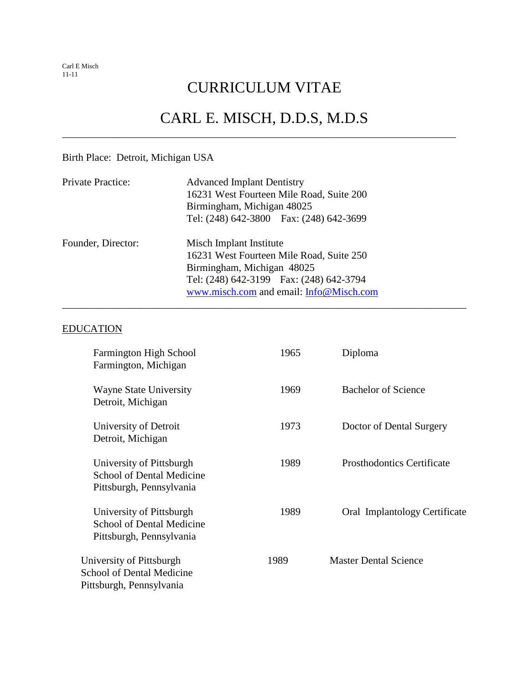#### CURRICULUM VITAE

#### CARL E. MISCH, D.D.S, M.D.S

\_\_\_\_\_\_\_\_\_\_\_\_\_\_\_\_\_\_\_\_\_\_\_\_\_\_\_\_\_\_\_\_\_\_\_\_\_\_\_\_\_\_\_\_\_\_\_\_\_\_\_\_\_\_\_\_\_\_\_\_\_\_\_\_\_\_\_\_\_\_\_\_\_\_\_\_\_\_

\_\_\_\_\_\_\_\_\_\_\_\_\_\_\_\_\_\_\_\_\_\_\_\_\_\_\_\_\_\_\_\_\_\_\_\_\_\_\_\_\_\_\_\_\_\_\_\_\_\_\_\_\_\_\_\_\_\_\_\_\_\_\_\_\_\_\_\_\_\_\_\_\_\_\_\_

#### Birth Place: Detroit, Michigan USA

| Private Practice:  | <b>Advanced Implant Dentistry</b>        |  |
|--------------------|------------------------------------------|--|
|                    | 16231 West Fourteen Mile Road, Suite 200 |  |
|                    | Birmingham, Michigan 48025               |  |
|                    | Tel: (248) 642-3800  Fax: (248) 642-3699 |  |
| Founder, Director: | Misch Implant Institute                  |  |
|                    | 16231 West Fourteen Mile Road, Suite 250 |  |
|                    | Birmingham, Michigan 48025               |  |
|                    | Tel: (248) 642-3199  Fax: (248) 642-3794 |  |
|                    | www.misch.com and email: Info@Misch.com  |  |

#### EDUCATION

| <b>Farmington High School</b><br>Farmington, Michigan                                    | 1965 | Diploma                           |
|------------------------------------------------------------------------------------------|------|-----------------------------------|
| <b>Wayne State University</b><br>Detroit, Michigan                                       | 1969 | <b>Bachelor of Science</b>        |
| University of Detroit<br>Detroit, Michigan                                               | 1973 | Doctor of Dental Surgery          |
| University of Pittsburgh<br><b>School of Dental Medicine</b><br>Pittsburgh, Pennsylvania | 1989 | <b>Prosthodontics Certificate</b> |
| University of Pittsburgh<br><b>School of Dental Medicine</b><br>Pittsburgh, Pennsylvania | 1989 | Oral Implantology Certificate     |
| University of Pittsburgh<br><b>School of Dental Medicine</b><br>Pittsburgh, Pennsylvania | 1989 | <b>Master Dental Science</b>      |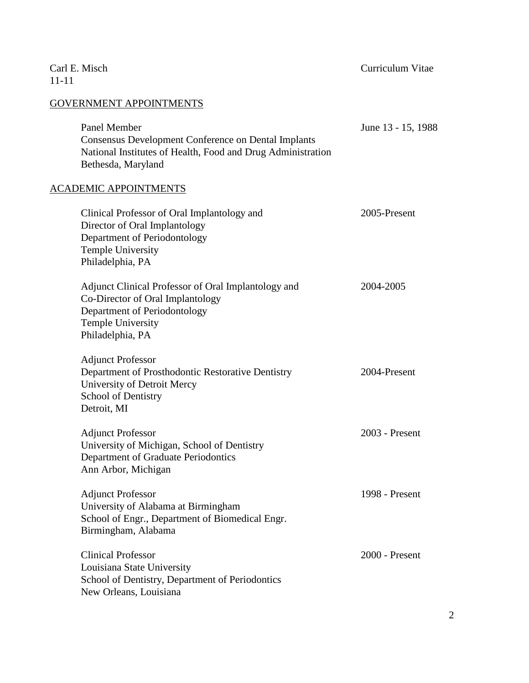| Carl E. Misch<br>$11 - 11$                                                                                                                                              | Curriculum Vitae   |
|-------------------------------------------------------------------------------------------------------------------------------------------------------------------------|--------------------|
| <b>GOVERNMENT APPOINTMENTS</b>                                                                                                                                          |                    |
| Panel Member<br><b>Consensus Development Conference on Dental Implants</b><br>National Institutes of Health, Food and Drug Administration<br>Bethesda, Maryland         | June 13 - 15, 1988 |
| <b>ACADEMIC APPOINTMENTS</b>                                                                                                                                            |                    |
| Clinical Professor of Oral Implantology and<br>Director of Oral Implantology<br>Department of Periodontology<br><b>Temple University</b><br>Philadelphia, PA            | 2005-Present       |
| Adjunct Clinical Professor of Oral Implantology and<br>Co-Director of Oral Implantology<br>Department of Periodontology<br><b>Temple University</b><br>Philadelphia, PA | 2004-2005          |
| <b>Adjunct Professor</b><br>Department of Prosthodontic Restorative Dentistry<br>University of Detroit Mercy<br>School of Dentistry<br>Detroit, MI                      | 2004-Present       |
| <b>Adjunct Professor</b><br>University of Michigan, School of Dentistry<br>Department of Graduate Periodontics<br>Ann Arbor, Michigan                                   | 2003 - Present     |
| <b>Adjunct Professor</b><br>University of Alabama at Birmingham<br>School of Engr., Department of Biomedical Engr.<br>Birmingham, Alabama                               | 1998 - Present     |
| <b>Clinical Professor</b><br>Louisiana State University<br>School of Dentistry, Department of Periodontics<br>New Orleans, Louisiana                                    | 2000 - Present     |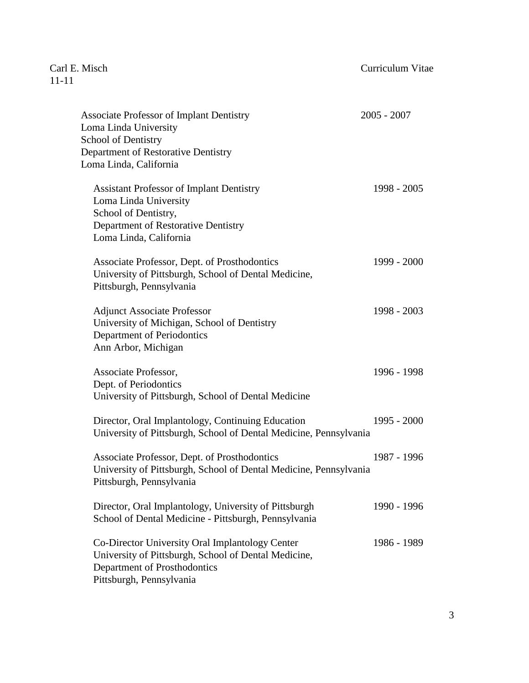| <b>Associate Professor of Implant Dentistry</b><br>Loma Linda University<br><b>School of Dentistry</b><br>Department of Restorative Dentistry<br>Loma Linda, California | $2005 - 2007$ |
|-------------------------------------------------------------------------------------------------------------------------------------------------------------------------|---------------|
| <b>Assistant Professor of Implant Dentistry</b><br>Loma Linda University<br>School of Dentistry,<br>Department of Restorative Dentistry<br>Loma Linda, California       | 1998 - 2005   |
| Associate Professor, Dept. of Prosthodontics<br>University of Pittsburgh, School of Dental Medicine,<br>Pittsburgh, Pennsylvania                                        | 1999 - 2000   |
| <b>Adjunct Associate Professor</b><br>University of Michigan, School of Dentistry<br>Department of Periodontics<br>Ann Arbor, Michigan                                  | 1998 - 2003   |
| Associate Professor,<br>Dept. of Periodontics<br>University of Pittsburgh, School of Dental Medicine                                                                    | 1996 - 1998   |
| Director, Oral Implantology, Continuing Education<br>University of Pittsburgh, School of Dental Medicine, Pennsylvania                                                  | 1995 - 2000   |
| Associate Professor, Dept. of Prosthodontics<br>University of Pittsburgh, School of Dental Medicine, Pennsylvania<br>Pittsburgh, Pennsylvania                           | 1987 - 1996   |
| Director, Oral Implantology, University of Pittsburgh<br>School of Dental Medicine - Pittsburgh, Pennsylvania                                                           | 1990 - 1996   |
| Co-Director University Oral Implantology Center<br>University of Pittsburgh, School of Dental Medicine,<br>Department of Prosthodontics<br>Pittsburgh, Pennsylvania     | 1986 - 1989   |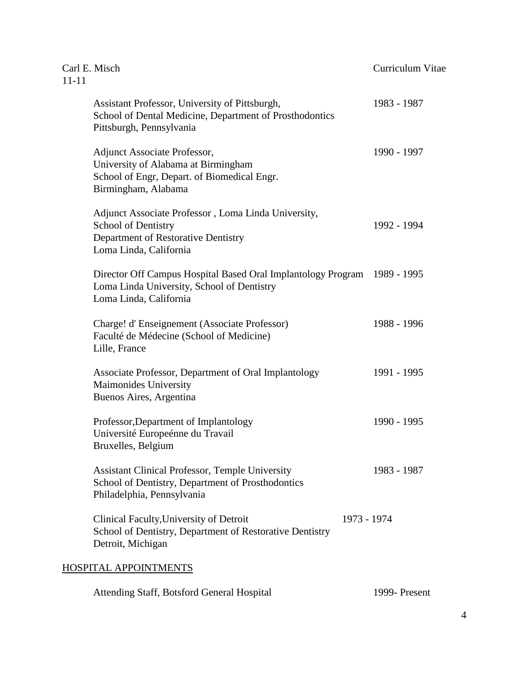| Carl E. Misch<br>$11 - 11$   |                                                                                                                                             | Curriculum Vitae |
|------------------------------|---------------------------------------------------------------------------------------------------------------------------------------------|------------------|
|                              | Assistant Professor, University of Pittsburgh,<br>School of Dental Medicine, Department of Prosthodontics<br>Pittsburgh, Pennsylvania       | 1983 - 1987      |
|                              | Adjunct Associate Professor,<br>University of Alabama at Birmingham<br>School of Engr, Depart. of Biomedical Engr.<br>Birmingham, Alabama   | 1990 - 1997      |
|                              | Adjunct Associate Professor, Loma Linda University,<br>School of Dentistry<br>Department of Restorative Dentistry<br>Loma Linda, California | 1992 - 1994      |
|                              | Director Off Campus Hospital Based Oral Implantology Program<br>Loma Linda University, School of Dentistry<br>Loma Linda, California        | 1989 - 1995      |
| Lille, France                | Charge! d'Enseignement (Associate Professor)<br>Faculté de Médecine (School of Medicine)                                                    | 1988 - 1996      |
|                              | Associate Professor, Department of Oral Implantology<br>Maimonides University<br>Buenos Aires, Argentina                                    | 1991 - 1995      |
|                              | Professor, Department of Implantology<br>Université Europeénne du Travail<br>Bruxelles, Belgium                                             | 1990 - 1995      |
|                              | <b>Assistant Clinical Professor, Temple University</b><br>School of Dentistry, Department of Prosthodontics<br>Philadelphia, Pennsylvania   | 1983 - 1987      |
| Detroit, Michigan            | Clinical Faculty, University of Detroit<br>School of Dentistry, Department of Restorative Dentistry                                         | 1973 - 1974      |
| <b>HOSPITAL APPOINTMENTS</b> |                                                                                                                                             |                  |

| Attending Staff, Botsford General Hospital | 1999- Present |
|--------------------------------------------|---------------|
|--------------------------------------------|---------------|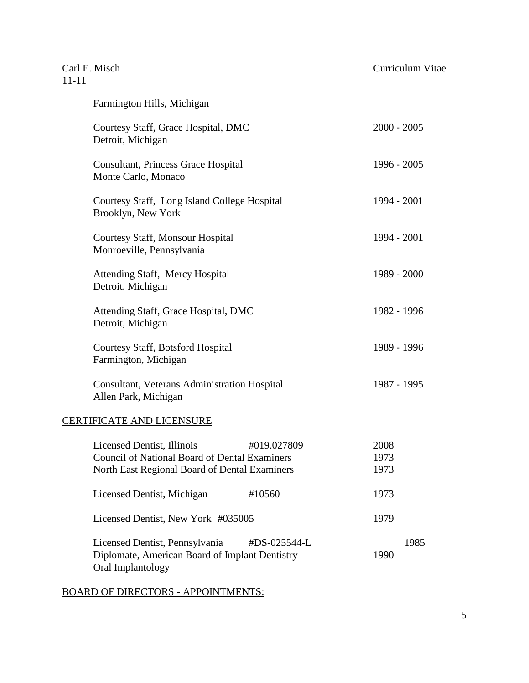| Carl E. Misch<br>$11 - 11$ |                                                                                                                                     |              | Curriculum Vitae     |
|----------------------------|-------------------------------------------------------------------------------------------------------------------------------------|--------------|----------------------|
|                            | Farmington Hills, Michigan                                                                                                          |              |                      |
|                            | Courtesy Staff, Grace Hospital, DMC<br>Detroit, Michigan                                                                            |              | $2000 - 2005$        |
|                            | <b>Consultant, Princess Grace Hospital</b><br>Monte Carlo, Monaco                                                                   |              | $1996 - 2005$        |
|                            | Courtesy Staff, Long Island College Hospital<br>Brooklyn, New York                                                                  |              | 1994 - 2001          |
|                            | Courtesy Staff, Monsour Hospital<br>Monroeville, Pennsylvania                                                                       |              | 1994 - 2001          |
|                            | Attending Staff, Mercy Hospital<br>Detroit, Michigan                                                                                |              | 1989 - 2000          |
|                            | Attending Staff, Grace Hospital, DMC<br>Detroit, Michigan                                                                           |              | 1982 - 1996          |
|                            | <b>Courtesy Staff, Botsford Hospital</b><br>Farmington, Michigan                                                                    |              | 1989 - 1996          |
|                            | Consultant, Veterans Administration Hospital<br>Allen Park, Michigan                                                                |              | 1987 - 1995          |
|                            | <b>CERTIFICATE AND LICENSURE</b>                                                                                                    |              |                      |
|                            | Licensed Dentist, Illinois<br><b>Council of National Board of Dental Examiners</b><br>North East Regional Board of Dental Examiners | #019.027809  | 2008<br>1973<br>1973 |
|                            | Licensed Dentist, Michigan                                                                                                          | #10560       | 1973                 |
|                            | Licensed Dentist, New York #035005                                                                                                  |              | 1979                 |
|                            | Licensed Dentist, Pennsylvania<br>Diplomate, American Board of Implant Dentistry<br>Oral Implantology                               | #DS-025544-L | 1985<br>1990         |

BOARD OF DIRECTORS - APPOINTMENTS: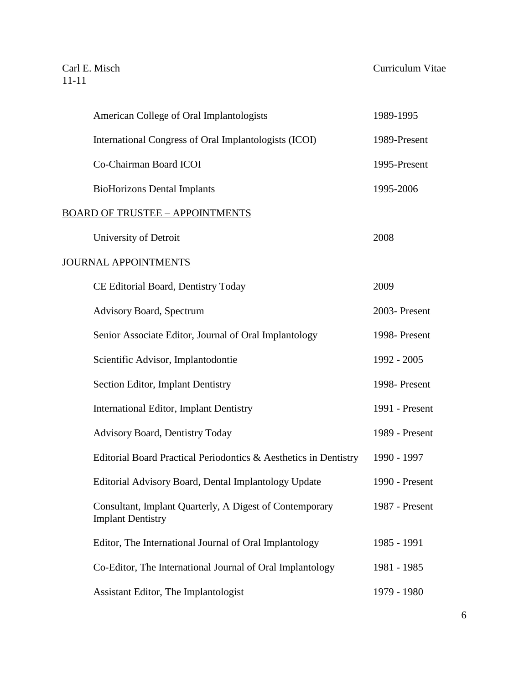Carl E. Misch Curriculum Vitae

|                             | American College of Oral Implantologists                         | 1989-1995      |
|-----------------------------|------------------------------------------------------------------|----------------|
|                             | International Congress of Oral Implantologists (ICOI)            | 1989-Present   |
|                             | Co-Chairman Board ICOI                                           | 1995-Present   |
|                             | <b>BioHorizons Dental Implants</b>                               | 1995-2006      |
|                             | <b>BOARD OF TRUSTEE - APPOINTMENTS</b>                           |                |
| University of Detroit       |                                                                  | 2008           |
| <b>JOURNAL APPOINTMENTS</b> |                                                                  |                |
|                             | CE Editorial Board, Dentistry Today                              | 2009           |
|                             | <b>Advisory Board, Spectrum</b>                                  | 2003- Present  |
|                             | Senior Associate Editor, Journal of Oral Implantology            | 1998-Present   |
|                             | Scientific Advisor, Implantodontie                               | 1992 - 2005    |
|                             | Section Editor, Implant Dentistry                                | 1998- Present  |
|                             | <b>International Editor, Implant Dentistry</b>                   | 1991 - Present |
|                             | <b>Advisory Board, Dentistry Today</b>                           | 1989 - Present |
|                             | Editorial Board Practical Periodontics & Aesthetics in Dentistry | 1990 - 1997    |
|                             | Editorial Advisory Board, Dental Implantology Update             | 1990 - Present |
| <b>Implant Dentistry</b>    | Consultant, Implant Quarterly, A Digest of Contemporary          | 1987 - Present |
|                             | Editor, The International Journal of Oral Implantology           | 1985 - 1991    |
|                             | Co-Editor, The International Journal of Oral Implantology        | 1981 - 1985    |
|                             | Assistant Editor, The Implantologist                             | 1979 - 1980    |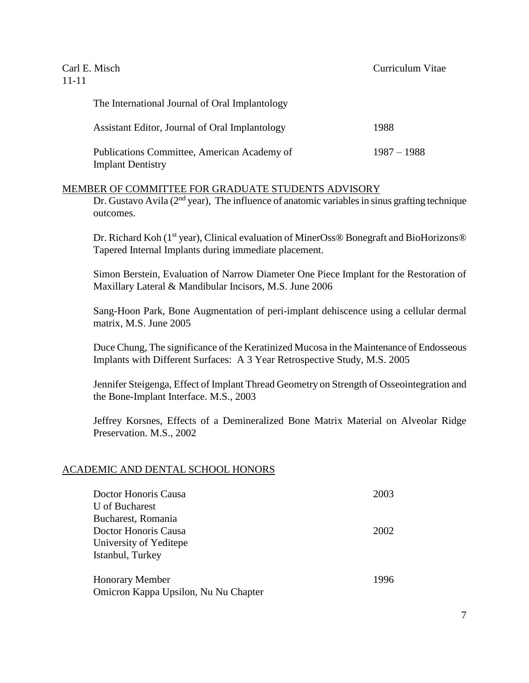| Carl E. Misch<br>11-11                                                  | Curriculum Vitae |
|-------------------------------------------------------------------------|------------------|
| The International Journal of Oral Implantology                          |                  |
| Assistant Editor, Journal of Oral Implantology                          | 1988             |
| Publications Committee, American Academy of<br><b>Implant Dentistry</b> | $1987 - 1988$    |

#### MEMBER OF COMMITTEE FOR GRADUATE STUDENTS ADVISORY

Dr. Gustavo Avila ( $2<sup>nd</sup>$  year), The influence of anatomic variables in sinus grafting technique outcomes.

Dr. Richard Koh (1<sup>st</sup> year), Clinical evaluation of MinerOss® Bonegraft and BioHorizons® Tapered Internal Implants during immediate placement.

Simon Berstein, Evaluation of Narrow Diameter One Piece Implant for the Restoration of Maxillary Lateral & Mandibular Incisors, M.S. June 2006

Sang-Hoon Park, Bone Augmentation of peri-implant dehiscence using a cellular dermal matrix, M.S. June 2005

Duce Chung, The significance of the Keratinized Mucosa in the Maintenance of Endosseous Implants with Different Surfaces: A 3 Year Retrospective Study, M.S. 2005

Jennifer Steigenga, Effect of Implant Thread Geometry on Strength of Osseointegration and the Bone-Implant Interface. M.S., 2003

Jeffrey Korsnes, Effects of a Demineralized Bone Matrix Material on Alveolar Ridge Preservation. M.S., 2002

#### ACADEMIC AND DENTAL SCHOOL HONORS

| Doctor Honoris Causa                 | 2003 |
|--------------------------------------|------|
| U of Bucharest                       |      |
| Bucharest, Romania                   |      |
| Doctor Honoris Causa                 | 2002 |
| University of Yeditepe               |      |
| Istanbul, Turkey                     |      |
| <b>Honorary Member</b>               | 1996 |
| Omicron Kappa Upsilon, Nu Nu Chapter |      |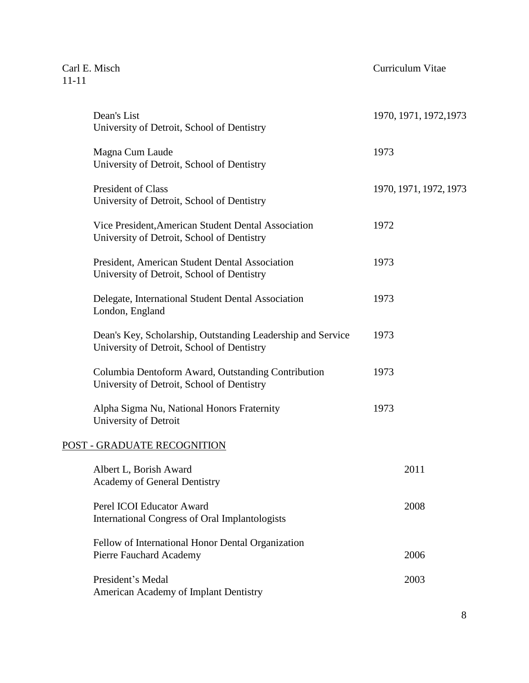Carl E. Misch Curriculum Vitae

| Dean's List                                                                                               | 1970, 1971, 1972, 1973 |
|-----------------------------------------------------------------------------------------------------------|------------------------|
| University of Detroit, School of Dentistry                                                                |                        |
| Magna Cum Laude<br>University of Detroit, School of Dentistry                                             | 1973                   |
| President of Class<br>University of Detroit, School of Dentistry                                          | 1970, 1971, 1972, 1973 |
| Vice President, American Student Dental Association<br>University of Detroit, School of Dentistry         | 1972                   |
| President, American Student Dental Association<br>University of Detroit, School of Dentistry              | 1973                   |
| Delegate, International Student Dental Association<br>London, England                                     | 1973                   |
| Dean's Key, Scholarship, Outstanding Leadership and Service<br>University of Detroit, School of Dentistry | 1973                   |
| Columbia Dentoform Award, Outstanding Contribution<br>University of Detroit, School of Dentistry          | 1973                   |
| Alpha Sigma Nu, National Honors Fraternity<br>University of Detroit                                       | 1973                   |
| POST - GRADUATE RECOGNITION                                                                               |                        |
| Albert L, Borish Award<br><b>Academy of General Dentistry</b>                                             | 2011                   |
| Perel ICOI Educator Award<br>International Congress of Oral Implantologists                               | 2008                   |
| Fellow of International Honor Dental Organization<br>Pierre Fauchard Academy                              | 2006                   |
| President's Medal<br>American Academy of Implant Dentistry                                                | 2003                   |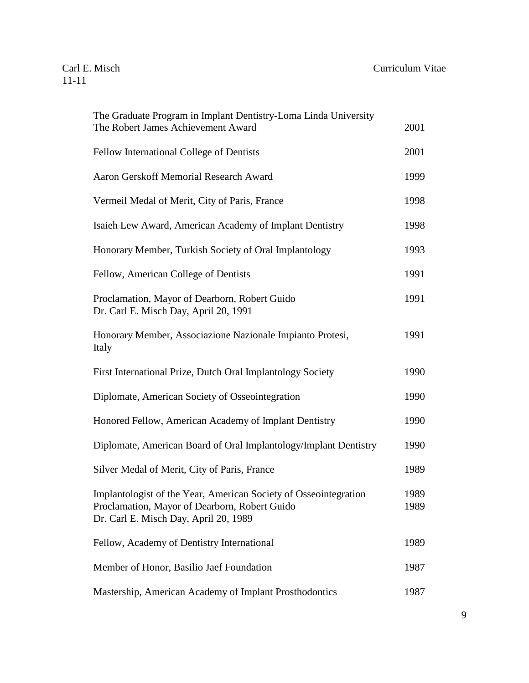#### Carl E. Misch Curriculum Vitae

| The Graduate Program in Implant Dentistry-Loma Linda University<br>The Robert James Achievement Award                                                      | 2001         |
|------------------------------------------------------------------------------------------------------------------------------------------------------------|--------------|
| Fellow International College of Dentists                                                                                                                   | 2001         |
| Aaron Gerskoff Memorial Research Award                                                                                                                     | 1999         |
| Vermeil Medal of Merit, City of Paris, France                                                                                                              | 1998         |
| Isaieh Lew Award, American Academy of Implant Dentistry                                                                                                    | 1998         |
| Honorary Member, Turkish Society of Oral Implantology                                                                                                      | 1993         |
| Fellow, American College of Dentists                                                                                                                       | 1991         |
| Proclamation, Mayor of Dearborn, Robert Guido<br>Dr. Carl E. Misch Day, April 20, 1991                                                                     | 1991         |
| Honorary Member, Associazione Nazionale Impianto Protesi,<br>Italy                                                                                         | 1991         |
| First International Prize, Dutch Oral Implantology Society                                                                                                 | 1990         |
| Diplomate, American Society of Osseointegration                                                                                                            | 1990         |
| Honored Fellow, American Academy of Implant Dentistry                                                                                                      | 1990         |
| Diplomate, American Board of Oral Implantology/Implant Dentistry                                                                                           | 1990         |
| Silver Medal of Merit, City of Paris, France                                                                                                               | 1989         |
| Implantologist of the Year, American Society of Osseointegration<br>Proclamation, Mayor of Dearborn, Robert Guido<br>Dr. Carl E. Misch Day, April 20, 1989 | 1989<br>1989 |
| Fellow, Academy of Dentistry International                                                                                                                 | 1989         |
| Member of Honor, Basilio Jaef Foundation                                                                                                                   | 1987         |
| Mastership, American Academy of Implant Prosthodontics                                                                                                     | 1987         |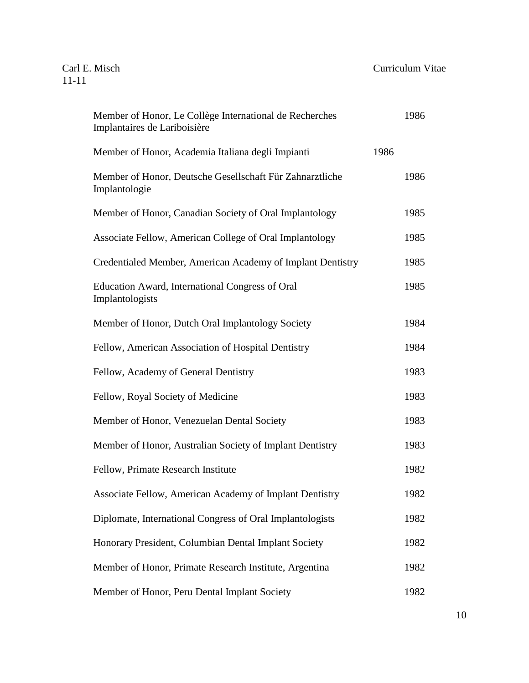| Member of Honor, Le Collège International de Recherches<br>Implantaires de Lariboisière |      | 1986 |
|-----------------------------------------------------------------------------------------|------|------|
| Member of Honor, Academia Italiana degli Impianti                                       | 1986 |      |
| Member of Honor, Deutsche Gesellschaft Für Zahnarztliche<br>Implantologie               |      | 1986 |
| Member of Honor, Canadian Society of Oral Implantology                                  |      | 1985 |
| Associate Fellow, American College of Oral Implantology                                 |      | 1985 |
| Credentialed Member, American Academy of Implant Dentistry                              |      | 1985 |
| Education Award, International Congress of Oral<br>Implantologists                      |      | 1985 |
| Member of Honor, Dutch Oral Implantology Society                                        |      | 1984 |
| Fellow, American Association of Hospital Dentistry                                      |      | 1984 |
| Fellow, Academy of General Dentistry                                                    |      | 1983 |
| Fellow, Royal Society of Medicine                                                       |      | 1983 |
| Member of Honor, Venezuelan Dental Society                                              |      | 1983 |
| Member of Honor, Australian Society of Implant Dentistry                                |      | 1983 |
| Fellow, Primate Research Institute                                                      |      | 1982 |
| Associate Fellow, American Academy of Implant Dentistry                                 |      | 1982 |
| Diplomate, International Congress of Oral Implantologists                               |      | 1982 |
| Honorary President, Columbian Dental Implant Society                                    |      | 1982 |
| Member of Honor, Primate Research Institute, Argentina                                  |      | 1982 |
| Member of Honor, Peru Dental Implant Society                                            |      | 1982 |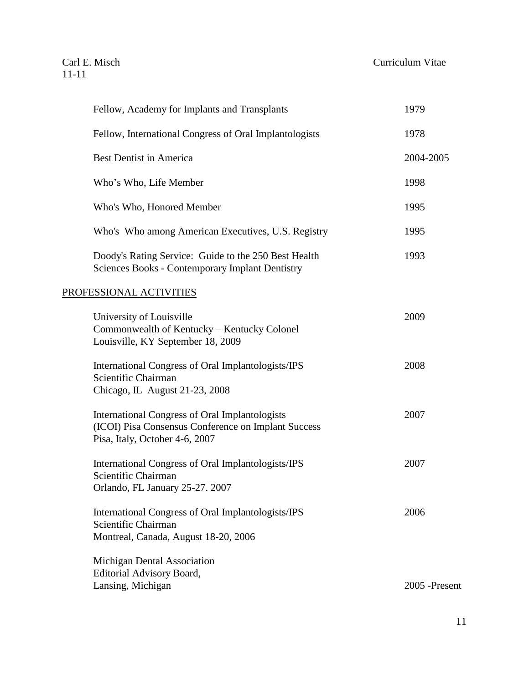| Fellow, Academy for Implants and Transplants                                                                                                   | 1979          |
|------------------------------------------------------------------------------------------------------------------------------------------------|---------------|
| Fellow, International Congress of Oral Implantologists                                                                                         | 1978          |
| <b>Best Dentist in America</b>                                                                                                                 | 2004-2005     |
| Who's Who, Life Member                                                                                                                         | 1998          |
| Who's Who, Honored Member                                                                                                                      | 1995          |
| Who's Who among American Executives, U.S. Registry                                                                                             | 1995          |
| Doody's Rating Service: Guide to the 250 Best Health<br><b>Sciences Books - Contemporary Implant Dentistry</b>                                 | 1993          |
| PROFESSIONAL ACTIVITIES                                                                                                                        |               |
| University of Louisville<br>Commonwealth of Kentucky - Kentucky Colonel<br>Louisville, KY September 18, 2009                                   | 2009          |
| International Congress of Oral Implantologists/IPS<br>Scientific Chairman<br>Chicago, IL August 21-23, 2008                                    | 2008          |
| <b>International Congress of Oral Implantologists</b><br>(ICOI) Pisa Consensus Conference on Implant Success<br>Pisa, Italy, October 4-6, 2007 | 2007          |
| International Congress of Oral Implantologists/IPS<br>Scientific Chairman<br>Orlando, FL January 25-27. 2007                                   | 2007          |
| International Congress of Oral Implantologists/IPS<br>Scientific Chairman<br>Montreal, Canada, August 18-20, 2006                              | 2006          |
| Michigan Dental Association<br>Editorial Advisory Board,<br>Lansing, Michigan                                                                  | 2005 -Present |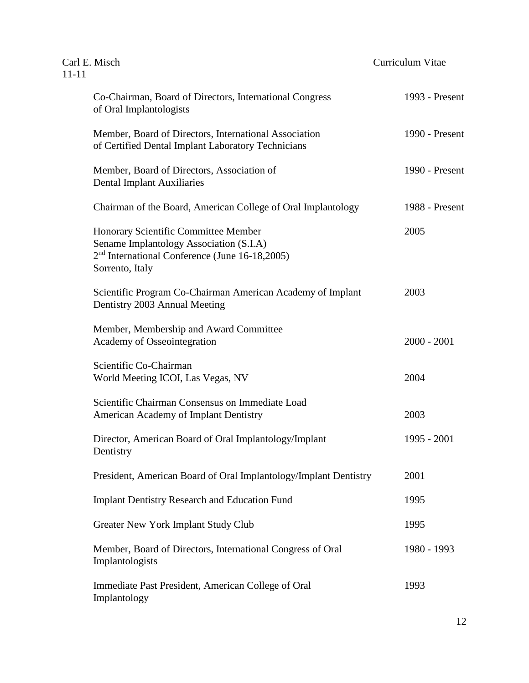| $11 - 11$ | Carl E. Misch                                                                                                                                          | Curriculum Vitae |                |
|-----------|--------------------------------------------------------------------------------------------------------------------------------------------------------|------------------|----------------|
|           | Co-Chairman, Board of Directors, International Congress<br>of Oral Implantologists                                                                     |                  | 1993 - Present |
|           | Member, Board of Directors, International Association<br>of Certified Dental Implant Laboratory Technicians                                            |                  | 1990 - Present |
|           | Member, Board of Directors, Association of<br><b>Dental Implant Auxiliaries</b>                                                                        |                  | 1990 - Present |
|           | Chairman of the Board, American College of Oral Implantology                                                                                           |                  | 1988 - Present |
|           | Honorary Scientific Committee Member<br>Sename Implantology Association (S.I.A)<br>$2nd$ International Conference (June 16-18,2005)<br>Sorrento, Italy |                  | 2005           |
|           | Scientific Program Co-Chairman American Academy of Implant<br>Dentistry 2003 Annual Meeting                                                            |                  | 2003           |
|           | Member, Membership and Award Committee<br>Academy of Osseointegration                                                                                  |                  | $2000 - 2001$  |
|           | Scientific Co-Chairman<br>World Meeting ICOI, Las Vegas, NV                                                                                            |                  | 2004           |
|           | Scientific Chairman Consensus on Immediate Load<br>American Academy of Implant Dentistry                                                               |                  | 2003           |
|           | Director, American Board of Oral Implantology/Implant<br>Dentistry                                                                                     |                  | 1995 - 2001    |
|           | President, American Board of Oral Implantology/Implant Dentistry                                                                                       |                  | 2001           |
|           | <b>Implant Dentistry Research and Education Fund</b>                                                                                                   |                  | 1995           |
|           | <b>Greater New York Implant Study Club</b>                                                                                                             |                  | 1995           |
|           | Member, Board of Directors, International Congress of Oral<br>Implantologists                                                                          |                  | 1980 - 1993    |
|           | Immediate Past President, American College of Oral<br>Implantology                                                                                     |                  | 1993           |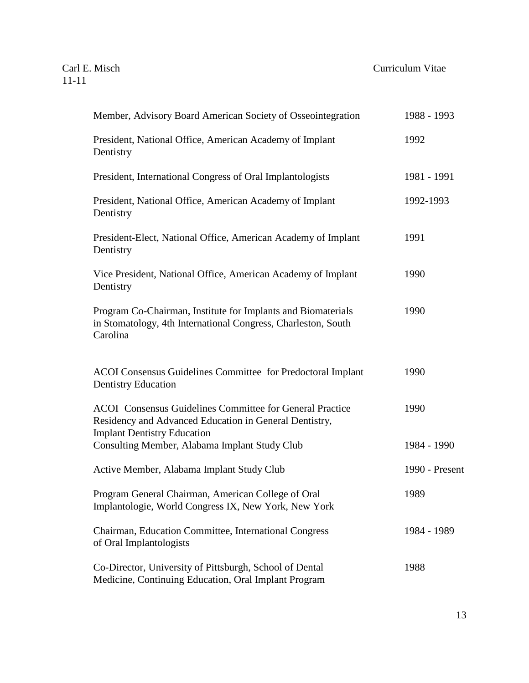| Member, Advisory Board American Society of Osseointegration                                                                                                     | 1988 - 1993    |
|-----------------------------------------------------------------------------------------------------------------------------------------------------------------|----------------|
| President, National Office, American Academy of Implant<br>Dentistry                                                                                            | 1992           |
| President, International Congress of Oral Implantologists                                                                                                       | 1981 - 1991    |
| President, National Office, American Academy of Implant<br>Dentistry                                                                                            | 1992-1993      |
| President-Elect, National Office, American Academy of Implant<br>Dentistry                                                                                      | 1991           |
| Vice President, National Office, American Academy of Implant<br>Dentistry                                                                                       | 1990           |
| Program Co-Chairman, Institute for Implants and Biomaterials<br>in Stomatology, 4th International Congress, Charleston, South<br>Carolina                       | 1990           |
| <b>ACOI</b> Consensus Guidelines Committee for Predoctoral Implant<br><b>Dentistry Education</b>                                                                | 1990           |
| <b>ACOI</b> Consensus Guidelines Committee for General Practice<br>Residency and Advanced Education in General Dentistry,<br><b>Implant Dentistry Education</b> | 1990           |
| Consulting Member, Alabama Implant Study Club                                                                                                                   | 1984 - 1990    |
| Active Member, Alabama Implant Study Club                                                                                                                       | 1990 - Present |
| Program General Chairman, American College of Oral<br>Implantologie, World Congress IX, New York, New York                                                      | 1989           |
| Chairman, Education Committee, International Congress<br>of Oral Implantologists                                                                                | 1984 - 1989    |
| Co-Director, University of Pittsburgh, School of Dental<br>Medicine, Continuing Education, Oral Implant Program                                                 | 1988           |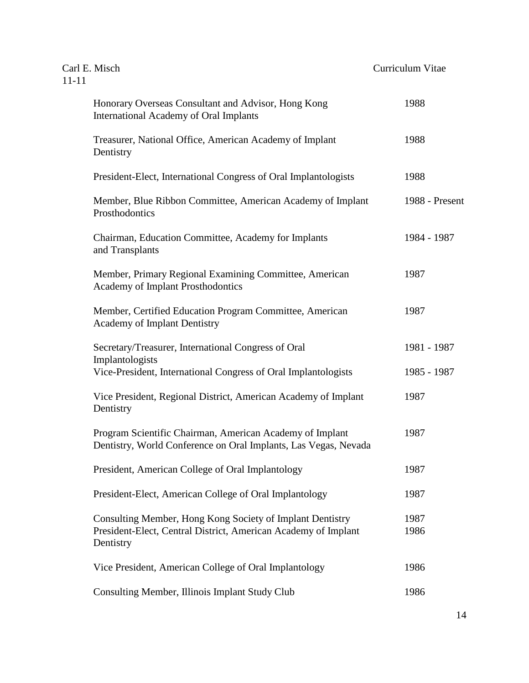| Carl E. Misch<br>$11 - 11$ |                                                                                                                                          | Curriculum Vitae |
|----------------------------|------------------------------------------------------------------------------------------------------------------------------------------|------------------|
|                            | Honorary Overseas Consultant and Advisor, Hong Kong<br>International Academy of Oral Implants                                            | 1988             |
|                            | Treasurer, National Office, American Academy of Implant<br>Dentistry                                                                     | 1988             |
|                            | President-Elect, International Congress of Oral Implantologists                                                                          | 1988             |
|                            | Member, Blue Ribbon Committee, American Academy of Implant<br>Prosthodontics                                                             | 1988 - Present   |
|                            | Chairman, Education Committee, Academy for Implants<br>and Transplants                                                                   | 1984 - 1987      |
|                            | Member, Primary Regional Examining Committee, American<br><b>Academy of Implant Prosthodontics</b>                                       | 1987             |
|                            | Member, Certified Education Program Committee, American<br><b>Academy of Implant Dentistry</b>                                           | 1987             |
|                            | Secretary/Treasurer, International Congress of Oral<br>Implantologists                                                                   | 1981 - 1987      |
|                            | Vice-President, International Congress of Oral Implantologists                                                                           | 1985 - 1987      |
|                            | Vice President, Regional District, American Academy of Implant<br>Dentistry                                                              | 1987             |
|                            | Program Scientific Chairman, American Academy of Implant<br>Dentistry, World Conference on Oral Implants, Las Vegas, Nevada              | 1987             |
|                            | President, American College of Oral Implantology                                                                                         | 1987             |
|                            | President-Elect, American College of Oral Implantology                                                                                   | 1987             |
|                            | Consulting Member, Hong Kong Society of Implant Dentistry<br>President-Elect, Central District, American Academy of Implant<br>Dentistry | 1987<br>1986     |
|                            | Vice President, American College of Oral Implantology                                                                                    | 1986             |
|                            | Consulting Member, Illinois Implant Study Club                                                                                           | 1986             |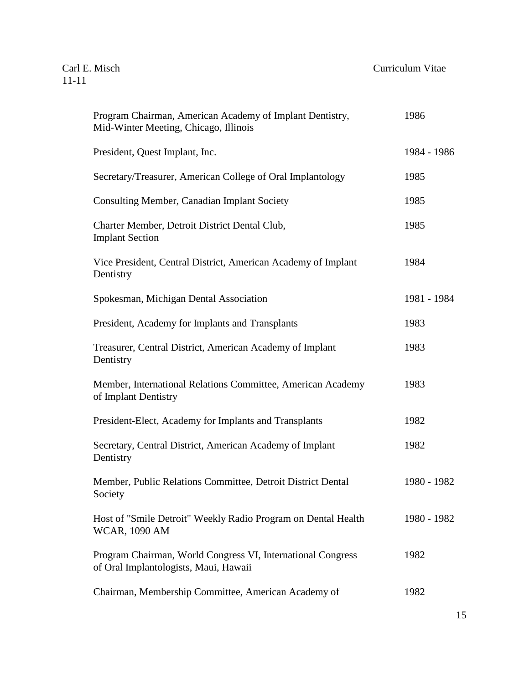| Program Chairman, American Academy of Implant Dentistry,<br>Mid-Winter Meeting, Chicago, Illinois    | 1986        |
|------------------------------------------------------------------------------------------------------|-------------|
| President, Quest Implant, Inc.                                                                       | 1984 - 1986 |
| Secretary/Treasurer, American College of Oral Implantology                                           | 1985        |
| <b>Consulting Member, Canadian Implant Society</b>                                                   | 1985        |
| Charter Member, Detroit District Dental Club,<br><b>Implant Section</b>                              | 1985        |
| Vice President, Central District, American Academy of Implant<br>Dentistry                           | 1984        |
| Spokesman, Michigan Dental Association                                                               | 1981 - 1984 |
| President, Academy for Implants and Transplants                                                      | 1983        |
| Treasurer, Central District, American Academy of Implant<br>Dentistry                                | 1983        |
| Member, International Relations Committee, American Academy<br>of Implant Dentistry                  | 1983        |
| President-Elect, Academy for Implants and Transplants                                                | 1982        |
| Secretary, Central District, American Academy of Implant<br>Dentistry                                | 1982        |
| Member, Public Relations Committee, Detroit District Dental<br>Society                               | 1980 - 1982 |
| Host of "Smile Detroit" Weekly Radio Program on Dental Health<br><b>WCAR, 1090 AM</b>                | 1980 - 1982 |
| Program Chairman, World Congress VI, International Congress<br>of Oral Implantologists, Maui, Hawaii | 1982        |
| Chairman, Membership Committee, American Academy of                                                  | 1982        |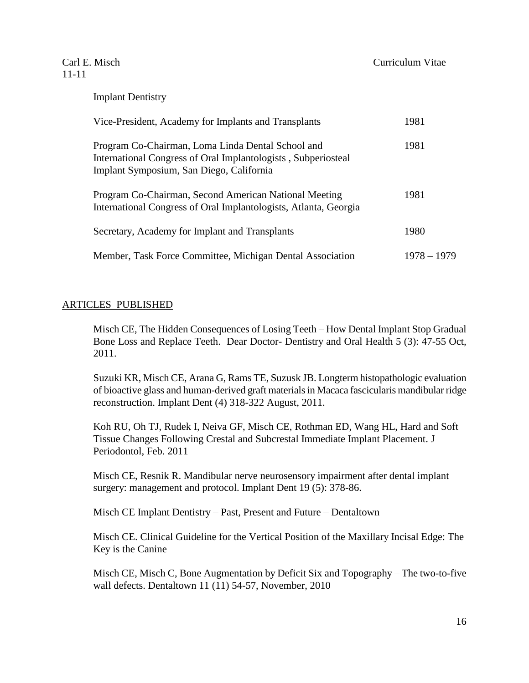| Vice-President, Academy for Implants and Transplants                                                                                                           | 1981        |
|----------------------------------------------------------------------------------------------------------------------------------------------------------------|-------------|
| Program Co-Chairman, Loma Linda Dental School and<br>International Congress of Oral Implantologists, Subperiosteal<br>Implant Symposium, San Diego, California | 1981        |
| Program Co-Chairman, Second American National Meeting<br>International Congress of Oral Implantologists, Atlanta, Georgia                                      | 1981        |
| Secretary, Academy for Implant and Transplants                                                                                                                 | 1980        |
| Member, Task Force Committee, Michigan Dental Association                                                                                                      | 1978 – 1979 |

#### ARTICLES PUBLISHED

Misch CE, The Hidden Consequences of Losing Teeth – How Dental Implant Stop Gradual Bone Loss and Replace Teeth. Dear Doctor- Dentistry and Oral Health 5 (3): 47-55 Oct, 2011.

Suzuki KR, Misch CE, Arana G, Rams TE, Suzusk JB. Longterm histopathologic evaluation of bioactive glass and human-derived graft materials in Macaca fascicularis mandibular ridge reconstruction. Implant Dent (4) 318-322 August, 2011.

Koh RU, Oh TJ, Rudek I, Neiva GF, Misch CE, Rothman ED, Wang HL, Hard and Soft Tissue Changes Following Crestal and Subcrestal Immediate Implant Placement. J Periodontol, Feb. 2011

Misch CE, Resnik R. Mandibular nerve neurosensory impairment after dental implant surgery: management and protocol. Implant Dent 19 (5): 378-86.

Misch CE Implant Dentistry – Past, Present and Future – Dentaltown

Misch CE. Clinical Guideline for the Vertical Position of the Maxillary Incisal Edge: The Key is the Canine

Misch CE, Misch C, Bone Augmentation by Deficit Six and Topography – The two-to-five wall defects. Dentaltown 11 (11) 54-57, November, 2010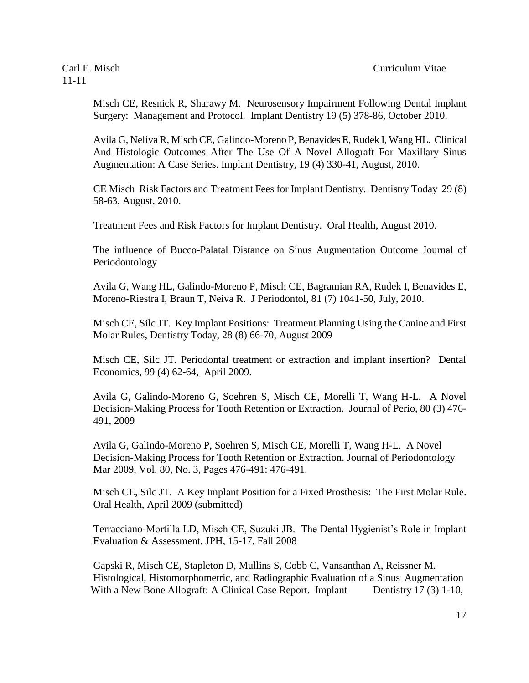Misch CE, Resnick R, Sharawy M. Neurosensory Impairment Following Dental Implant Surgery: Management and Protocol. Implant Dentistry 19 (5) 378-86, October 2010.

Avila G, Neliva R, Misch CE, Galindo-Moreno P, Benavides E, Rudek I, Wang HL. Clinical And Histologic Outcomes After The Use Of A Novel Allograft For Maxillary Sinus Augmentation: A Case Series. Implant Dentistry, 19 (4) 330-41, August, 2010.

CE Misch Risk Factors and Treatment Fees for Implant Dentistry. Dentistry Today 29 (8) 58-63, August, 2010.

Treatment Fees and Risk Factors for Implant Dentistry. Oral Health, August 2010.

The influence of Bucco-Palatal Distance on Sinus Augmentation Outcome Journal of Periodontology

Avila G, Wang HL, Galindo-Moreno P, Misch CE, Bagramian RA, Rudek I, Benavides E, Moreno-Riestra I, Braun T, Neiva R. J Periodontol, 81 (7) 1041-50, July, 2010.

Misch CE, Silc JT. Key Implant Positions: Treatment Planning Using the Canine and First Molar Rules, Dentistry Today, 28 (8) 66-70, August 2009

Misch CE, Silc JT. Periodontal treatment or extraction and implant insertion? Dental Economics, 99 (4) 62-64, April 2009.

Avila G, Galindo-Moreno G, Soehren S, Misch CE, Morelli T, Wang H-L. A Novel Decision-Making Process for Tooth Retention or Extraction. Journal of Perio, 80 (3) 476- 491, 2009

Avila G, Galindo-Moreno P, Soehren S, Misch CE, Morelli T, Wang H-L. A Novel Decision-Making Process for Tooth Retention or Extraction. [Journal of Periodontology](http://www.joponline.org/loi/jop) Mar 2009, Vol. 80, No. 3, Pages 476-491: 476-491.

Misch CE, Silc JT. A Key Implant Position for a Fixed Prosthesis: The First Molar Rule. Oral Health, April 2009 (submitted)

Terracciano-Mortilla LD, Misch CE, Suzuki JB. The Dental Hygienist's Role in Implant Evaluation & Assessment. JPH, 15-17, Fall 2008

Gapski R, Misch CE, Stapleton D, Mullins S, Cobb C, Vansanthan A, Reissner M. Histological, Histomorphometric, and Radiographic Evaluation of a Sinus Augmentation With a New Bone Allograft: A Clinical Case Report. Implant Dentistry 17 (3) 1-10,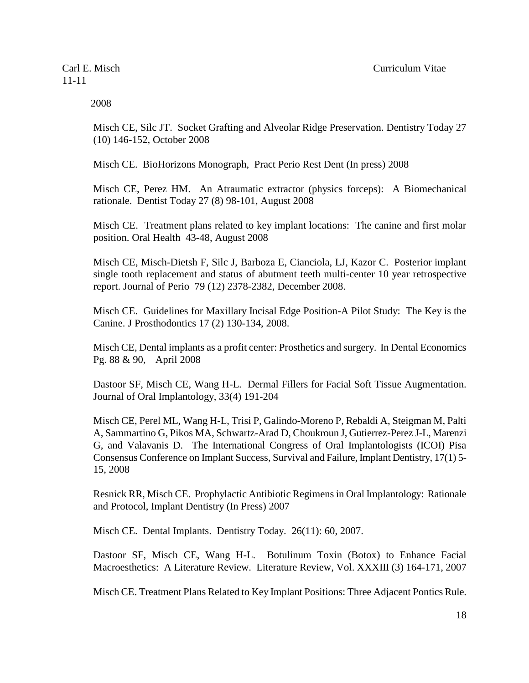2008

Misch CE, Silc JT. Socket Grafting and Alveolar Ridge Preservation. Dentistry Today 27 (10) 146-152, October 2008

Misch CE. BioHorizons Monograph, Pract Perio Rest Dent (In press) 2008

Misch CE, Perez HM. An Atraumatic extractor (physics forceps): A Biomechanical rationale. Dentist Today 27 (8) 98-101, August 2008

Misch CE. Treatment plans related to key implant locations: The canine and first molar position. Oral Health 43-48, August 2008

Misch CE, Misch-Dietsh F, Silc J, Barboza E, Cianciola, LJ, Kazor C. Posterior implant single tooth replacement and status of abutment teeth multi-center 10 year retrospective report. Journal of Perio 79 (12) 2378-2382, December 2008.

Misch CE. Guidelines for Maxillary Incisal Edge Position-A Pilot Study: The Key is the Canine. J Prosthodontics 17 (2) 130-134, 2008.

Misch CE, Dental implants as a profit center: Prosthetics and surgery. In Dental Economics Pg. 88 & 90, April 2008

Dastoor SF, Misch CE, Wang H-L. Dermal Fillers for Facial Soft Tissue Augmentation. Journal of Oral Implantology, 33(4) 191-204

Misch CE, Perel ML, Wang H-L, Trisi P, Galindo-Moreno P, Rebaldi A, Steigman M, Palti A, Sammartino G, Pikos MA, Schwartz-Arad D, Choukroun J, Gutierrez-Perez J-L, Marenzi G, and Valavanis D. The International Congress of Oral Implantologists (ICOI) Pisa Consensus Conference on Implant Success, Survival and Failure, Implant Dentistry, 17(1) 5- 15, 2008

Resnick RR, Misch CE. Prophylactic Antibiotic Regimens in Oral Implantology: Rationale and Protocol, Implant Dentistry (In Press) 2007

Misch CE. Dental Implants. Dentistry Today. 26(11): 60, 2007.

Dastoor SF, Misch CE, Wang H-L. Botulinum Toxin (Botox) to Enhance Facial Macroesthetics: A Literature Review. Literature Review, Vol. XXXIII (3) 164-171, 2007

Misch CE. Treatment Plans Related to Key Implant Positions: Three Adjacent Pontics Rule.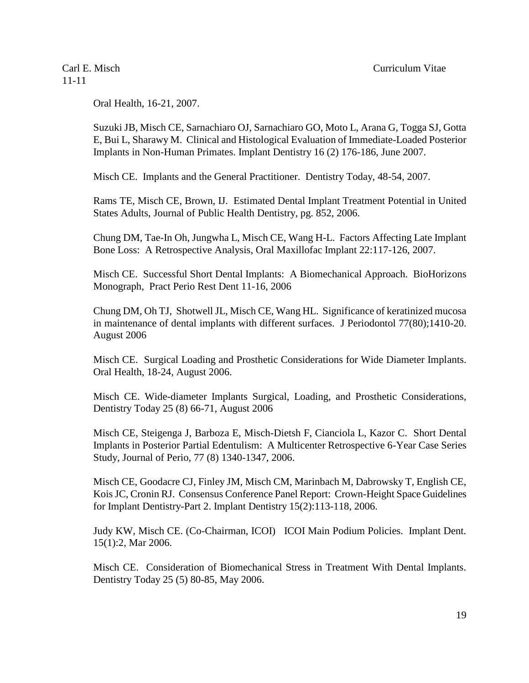Oral Health, 16-21, 2007.

Suzuki JB, Misch CE, Sarnachiaro OJ, Sarnachiaro GO, Moto L, Arana G, Togga SJ, Gotta E, Bui L, Sharawy M. Clinical and Histological Evaluation of Immediate-Loaded Posterior Implants in Non-Human Primates. Implant Dentistry 16 (2) 176-186, June 2007.

Misch CE. Implants and the General Practitioner. Dentistry Today, 48-54, 2007.

Rams TE, Misch CE, Brown, IJ. Estimated Dental Implant Treatment Potential in United States Adults, Journal of Public Health Dentistry, pg. 852, 2006.

Chung DM, Tae-In Oh, Jungwha L, Misch CE, Wang H-L. Factors Affecting Late Implant Bone Loss: A Retrospective Analysis, Oral Maxillofac Implant 22:117-126, 2007.

Misch CE. Successful Short Dental Implants: A Biomechanical Approach. BioHorizons Monograph, Pract Perio Rest Dent 11-16, 2006

Chung DM, Oh TJ, Shotwell JL, Misch CE, Wang HL. Significance of keratinized mucosa in maintenance of dental implants with different surfaces. J Periodontol 77(80);1410-20. August 2006

Misch CE. Surgical Loading and Prosthetic Considerations for Wide Diameter Implants. Oral Health, 18-24, August 2006.

Misch CE. Wide-diameter Implants Surgical, Loading, and Prosthetic Considerations, Dentistry Today 25 (8) 66-71, August 2006

Misch CE, Steigenga J, Barboza E, Misch-Dietsh F, Cianciola L, Kazor C. Short Dental Implants in Posterior Partial Edentulism: A Multicenter Retrospective 6-Year Case Series Study, Journal of Perio, 77 (8) 1340-1347, 2006.

Misch CE, Goodacre CJ, Finley JM, Misch CM, Marinbach M, Dabrowsky T, English CE, Kois JC, Cronin RJ. Consensus Conference Panel Report: Crown-Height Space Guidelines for Implant Dentistry-Part 2. Implant Dentistry 15(2):113-118, 2006.

Judy KW, Misch CE. (Co-Chairman, ICOI) ICOI Main Podium Policies. Implant Dent. 15(1):2, Mar 2006.

Misch CE. Consideration of Biomechanical Stress in Treatment With Dental Implants. Dentistry Today 25 (5) 80-85, May 2006.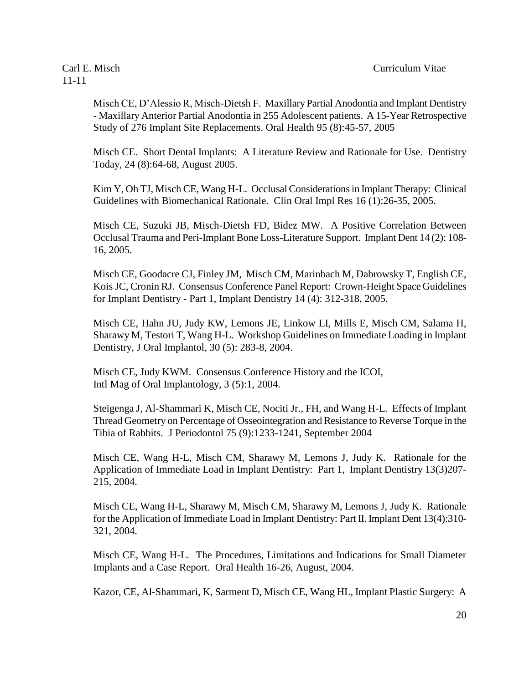Misch CE, D'Alessio R, Misch-Dietsh F. Maxillary Partial Anodontia and Implant Dentistry - Maxillary Anterior Partial Anodontia in 255 Adolescent patients. A 15-Year Retrospective Study of 276 Implant Site Replacements. Oral Health 95 (8):45-57, 2005

Misch CE. Short Dental Implants: A Literature Review and Rationale for Use. Dentistry Today, 24 (8):64-68, August 2005.

Kim Y, Oh TJ, Misch CE, Wang H-L. Occlusal Considerationsin Implant Therapy: Clinical Guidelines with Biomechanical Rationale. Clin Oral Impl Res 16 (1):26-35, 2005.

Misch CE, Suzuki JB, Misch-Dietsh FD, Bidez MW. A Positive Correlation Between Occlusal Trauma and Peri-Implant Bone Loss-Literature Support. Implant Dent 14 (2): 108- 16, 2005.

Misch CE, Goodacre CJ, Finley JM, Misch CM, Marinbach M, Dabrowsky T, English CE, Kois JC, Cronin RJ. Consensus Conference Panel Report: Crown-Height Space Guidelines for Implant Dentistry - Part 1, Implant Dentistry 14 (4): 312-318, 2005.

Misch CE, Hahn JU, Judy KW, Lemons JE, Linkow LI, Mills E, Misch CM, Salama H, Sharawy M, Testori T, Wang H-L. Workshop Guidelines on Immediate Loading in Implant Dentistry, J Oral Implantol, 30 (5): 283-8, 2004.

Misch CE, Judy KWM. Consensus Conference History and the ICOI, Intl Mag of Oral Implantology, 3 (5):1, 2004.

Steigenga J, Al-Shammari K, Misch CE, Nociti Jr., FH, and Wang H-L. Effects of Implant Thread Geometry on Percentage of Osseointegration and Resistance to Reverse Torque in the Tibia of Rabbits. J Periodontol 75 (9):1233-1241, September 2004

Misch CE, Wang H-L, Misch CM, Sharawy M, Lemons J, Judy K. Rationale for the Application of Immediate Load in Implant Dentistry: Part 1, Implant Dentistry 13(3)207- 215, 2004.

Misch CE, Wang H-L, Sharawy M, Misch CM, Sharawy M, Lemons J, Judy K. Rationale for the Application of Immediate Load in Implant Dentistry: Part II. Implant Dent 13(4):310- 321, 2004.

Misch CE, Wang H-L. The Procedures, Limitations and Indications for Small Diameter Implants and a Case Report. Oral Health 16-26, August, 2004.

Kazor, CE, Al-Shammari, K, Sarment D, Misch CE, Wang HL, Implant Plastic Surgery: A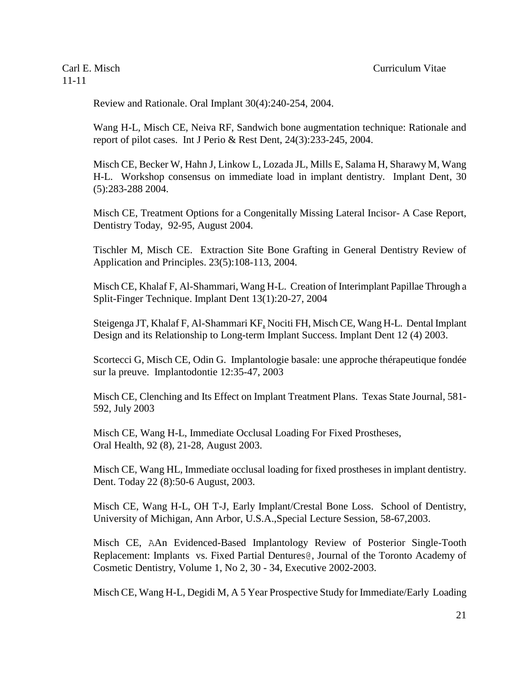Review and Rationale. Oral Implant 30(4):240-254, 2004.

Wang H-L, Misch CE, Neiva RF, Sandwich bone augmentation technique: Rationale and report of pilot cases. Int J Perio & Rest Dent, 24(3):233-245, 2004.

Misch CE, Becker W, Hahn J, Linkow L, Lozada JL, Mills E, Salama H, Sharawy M, Wang H-L. Workshop consensus on immediate load in implant dentistry. Implant Dent, 30 (5):283-288 2004.

Misch CE, Treatment Options for a Congenitally Missing Lateral Incisor- A Case Report, Dentistry Today, 92-95, August 2004.

Tischler M, Misch CE. Extraction Site Bone Grafting in General Dentistry Review of Application and Principles. 23(5):108-113, 2004.

Misch CE, Khalaf F, Al-Shammari, Wang H-L. Creation of Interimplant Papillae Through a Split-Finger Technique. Implant Dent 13(1):20-27, 2004

Steigenga JT, Khalaf F, Al-Shammari KF, Nociti FH, Misch CE, Wang H-L. Dental Implant Design and its Relationship to Long-term Implant Success. Implant Dent 12 (4) 2003.

Scortecci G, Misch CE, Odin G. Implantologie basale: une approche thérapeutique fondée sur la preuve. Implantodontie 12:35-47, 2003

Misch CE, Clenching and Its Effect on Implant Treatment Plans. Texas State Journal, 581- 592, July 2003

Misch CE, Wang H-L, Immediate Occlusal Loading For Fixed Prostheses, Oral Health, 92 (8), 21-28, August 2003.

Misch CE, Wang HL, Immediate occlusal loading for fixed prostheses in implant dentistry. Dent. Today 22 (8):50-6 August, 2003.

Misch CE, Wang H-L, OH T-J, Early Implant/Crestal Bone Loss. School of Dentistry, University of Michigan, Ann Arbor, U.S.A.,Special Lecture Session, 58-67,2003.

Misch CE, AAn Evidenced-Based Implantology Review of Posterior Single-Tooth Replacement: Implants vs. Fixed Partial Dentures@, Journal of the Toronto Academy of Cosmetic Dentistry, Volume 1, No 2, 30 - 34, Executive 2002-2003.

Misch CE, Wang H-L, Degidi M, A 5 Year Prospective Study for Immediate/Early Loading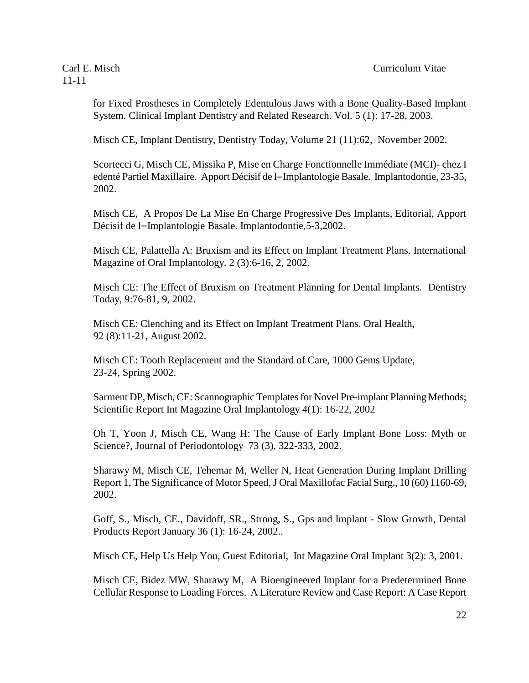for Fixed Prostheses in Completely Edentulous Jaws with a Bone Quality-Based Implant System. Clinical Implant Dentistry and Related Research. Vol. 5 (1): 17-28, 2003.

Misch CE, Implant Dentistry, Dentistry Today, Volume 21 (11):62, November 2002.

Scortecci G, Misch CE, Missika P, Mise en Charge Fonctionnelle Immédiate (MCI)- chez I edenté Partiel Maxillaire. Apport Décisif de l=Implantologie Basale. Implantodontie, 23-35, 2002.

Misch CE, A Propos De La Mise En Charge Progressive Des Implants, Editorial, Apport Décisif de l=Implantologie Basale. Implantodontie,5-3,2002.

Misch CE, Palattella A: Bruxism and its Effect on Implant Treatment Plans. International Magazine of Oral Implantology. 2 (3):6-16, 2, 2002.

Misch CE: The Effect of Bruxism on Treatment Planning for Dental Implants. Dentistry Today, 9:76-81, 9, 2002.

Misch CE: Clenching and its Effect on Implant Treatment Plans. Oral Health, 92 (8):11-21, August 2002.

Misch CE: Tooth Replacement and the Standard of Care, 1000 Gems Update, 23-24, Spring 2002.

Sarment DP, Misch, CE: Scannographic Templates for Novel Pre-implant Planning Methods; Scientific Report Int Magazine Oral Implantology 4(1): 16-22, 2002

Oh T, Yoon J, Misch CE, Wang H: The Cause of Early Implant Bone Loss: Myth or Science?, Journal of Periodontology 73 (3), 322-333, 2002.

Sharawy M, Misch CE, Tehemar M, Weller N, Heat Generation During Implant Drilling Report 1, The Significance of Motor Speed, J Oral Maxillofac Facial Surg., 10 (60) 1160-69, 2002.

Goff, S., Misch, CE., Davidoff, SR., Strong, S., Gps and Implant - Slow Growth, Dental Products Report January 36 (1): 16-24, 2002..

Misch CE, Help Us Help You, Guest Editorial, Int Magazine Oral Implant 3(2): 3, 2001.

Misch CE, Bidez MW, Sharawy M, A Bioengineered Implant for a Predetermined Bone Cellular Response to Loading Forces. A Literature Review and Case Report: A Case Report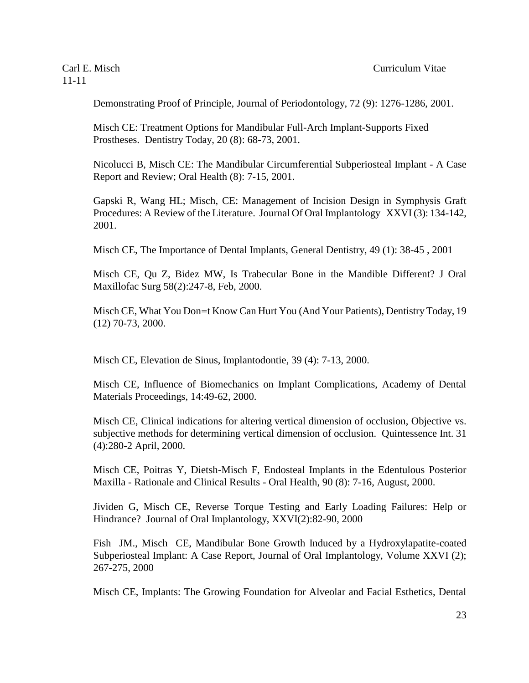Demonstrating Proof of Principle, Journal of Periodontology, 72 (9): 1276-1286, 2001.

Misch CE: Treatment Options for Mandibular Full-Arch Implant-Supports Fixed Prostheses. Dentistry Today, 20 (8): 68-73, 2001.

Nicolucci B, Misch CE: The Mandibular Circumferential Subperiosteal Implant - A Case Report and Review; Oral Health (8): 7-15, 2001.

Gapski R, Wang HL; Misch, CE: Management of Incision Design in Symphysis Graft Procedures: A Review of the Literature. Journal Of Oral Implantology XXVI (3): 134-142, 2001.

Misch CE, The Importance of Dental Implants, General Dentistry, 49 (1): 38-45 , 2001

Misch CE, Qu Z, Bidez MW, Is Trabecular Bone in the Mandible Different? J Oral Maxillofac Surg 58(2):247-8, Feb, 2000.

Misch CE, What You Don=t Know Can Hurt You (And Your Patients), Dentistry Today, 19 (12) 70-73, 2000.

Misch CE, Elevation de Sinus, Implantodontie, 39 (4): 7-13, 2000.

Misch CE, Influence of Biomechanics on Implant Complications, Academy of Dental Materials Proceedings, 14:49-62, 2000.

Misch CE, Clinical indications for altering vertical dimension of occlusion, Objective vs. subjective methods for determining vertical dimension of occlusion. Quintessence Int. 31 (4):280-2 April, 2000.

Misch CE, Poitras Y, Dietsh-Misch F, Endosteal Implants in the Edentulous Posterior Maxilla - Rationale and Clinical Results - Oral Health, 90 (8): 7-16, August, 2000.

Jividen G, Misch CE, Reverse Torque Testing and Early Loading Failures: Help or Hindrance? Journal of Oral Implantology, XXVI(2):82-90, 2000

Fish JM., Misch CE, Mandibular Bone Growth Induced by a Hydroxylapatite-coated Subperiosteal Implant: A Case Report, Journal of Oral Implantology, Volume XXVI (2); 267-275, 2000

Misch CE, Implants: The Growing Foundation for Alveolar and Facial Esthetics, Dental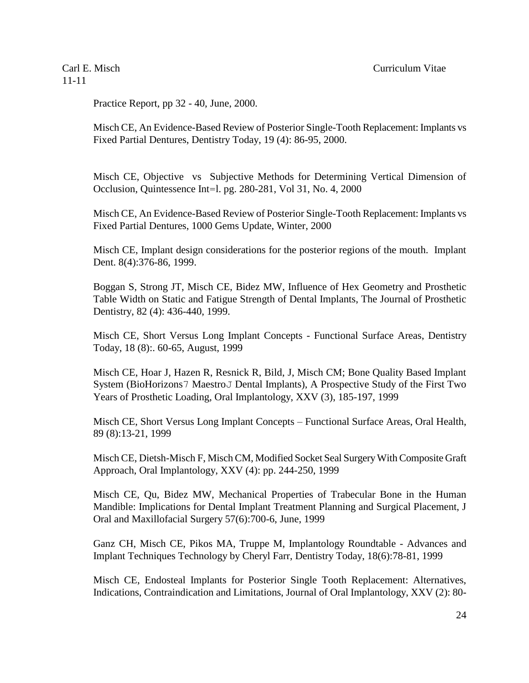Practice Report, pp 32 - 40, June, 2000.

Misch CE, An Evidence-Based Review of Posterior Single-Tooth Replacement: Implants vs Fixed Partial Dentures, Dentistry Today, 19 (4): 86-95, 2000.

Misch CE, Objective vs Subjective Methods for Determining Vertical Dimension of Occlusion, Quintessence Int=l. pg. 280-281, Vol 31, No. 4, 2000

Misch CE, An Evidence-Based Review of Posterior Single-Tooth Replacement: Implants vs Fixed Partial Dentures, 1000 Gems Update, Winter, 2000

Misch CE, Implant design considerations for the posterior regions of the mouth. Implant Dent. 8(4):376-86, 1999.

Boggan S, Strong JT, Misch CE, Bidez MW, Influence of Hex Geometry and Prosthetic Table Width on Static and Fatigue Strength of Dental Implants, The Journal of Prosthetic Dentistry, 82 (4): 436-440, 1999.

Misch CE, Short Versus Long Implant Concepts - Functional Surface Areas, Dentistry Today, 18 (8):. 60-65, August, 1999

Misch CE, Hoar J, Hazen R, Resnick R, Bild, J, Misch CM; Bone Quality Based Implant System (BioHorizons7 MaestroJ Dental Implants), A Prospective Study of the First Two Years of Prosthetic Loading, Oral Implantology, XXV (3), 185-197, 1999

Misch CE, Short Versus Long Implant Concepts – Functional Surface Areas, Oral Health, 89 (8):13-21, 1999

Misch CE, Dietsh-Misch F, Misch CM, Modified Socket Seal Surgery With Composite Graft Approach, Oral Implantology, XXV (4): pp. 244-250, 1999

Misch CE, Qu, Bidez MW, Mechanical Properties of Trabecular Bone in the Human Mandible: Implications for Dental Implant Treatment Planning and Surgical Placement, J Oral and Maxillofacial Surgery 57(6):700-6, June, 1999

Ganz CH, Misch CE, Pikos MA, Truppe M, Implantology Roundtable - Advances and Implant Techniques Technology by Cheryl Farr, Dentistry Today, 18(6):78-81, 1999

Misch CE, Endosteal Implants for Posterior Single Tooth Replacement: Alternatives, Indications, Contraindication and Limitations, Journal of Oral Implantology, XXV (2): 80-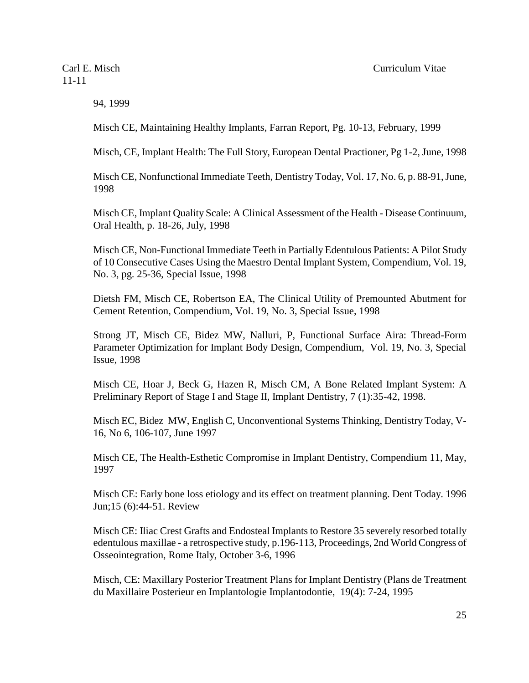94, 1999

Misch CE, Maintaining Healthy Implants, Farran Report, Pg. 10-13, February, 1999

Misch, CE, Implant Health: The Full Story, European Dental Practioner, Pg 1-2, June, 1998

Misch CE, Nonfunctional Immediate Teeth, Dentistry Today, Vol. 17, No. 6, p. 88-91, June, 1998

Misch CE, Implant Quality Scale: A Clinical Assessment of the Health - Disease Continuum, Oral Health, p. 18-26, July, 1998

Misch CE, Non-Functional Immediate Teeth in Partially Edentulous Patients: A Pilot Study of 10 Consecutive Cases Using the Maestro Dental Implant System, Compendium, Vol. 19, No. 3, pg. 25-36, Special Issue, 1998

Dietsh FM, Misch CE, Robertson EA, The Clinical Utility of Premounted Abutment for Cement Retention, Compendium, Vol. 19, No. 3, Special Issue, 1998

Strong JT, Misch CE, Bidez MW, Nalluri, P, Functional Surface Aira: Thread-Form Parameter Optimization for Implant Body Design, Compendium, Vol. 19, No. 3, Special Issue, 1998

Misch CE, Hoar J, Beck G, Hazen R, Misch CM, A Bone Related Implant System: A Preliminary Report of Stage I and Stage II, Implant Dentistry, 7 (1):35-42, 1998.

Misch EC, Bidez MW, English C, Unconventional Systems Thinking, Dentistry Today, V-16, No 6, 106-107, June 1997

Misch CE, The Health-Esthetic Compromise in Implant Dentistry, Compendium 11, May, 1997

Misch CE: Early bone loss etiology and its effect on treatment planning. Dent Today. 1996 Jun;15 (6):44-51. Review

Misch CE: Iliac Crest Grafts and Endosteal Implants to Restore 35 severely resorbed totally edentulous maxillae - a retrospective study, p.196-113, Proceedings, 2nd World Congress of Osseointegration, Rome Italy, October 3-6, 1996

Misch, CE: Maxillary Posterior Treatment Plans for Implant Dentistry (Plans de Treatment du Maxillaire Posterieur en Implantologie Implantodontie, 19(4): 7-24, 1995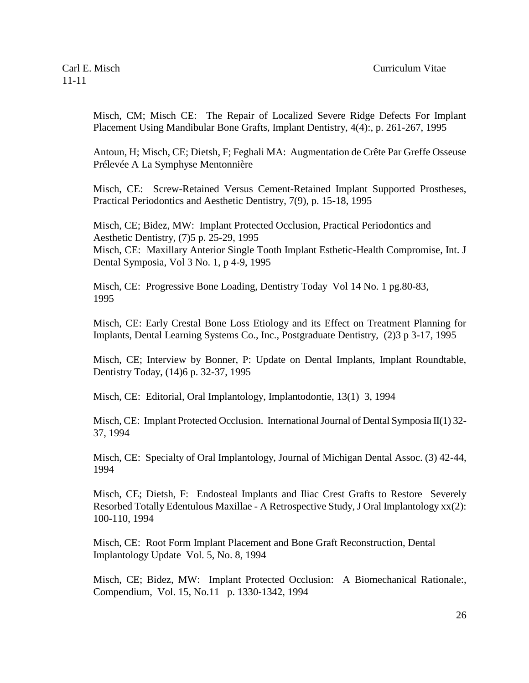Misch, CM; Misch CE: The Repair of Localized Severe Ridge Defects For Implant Placement Using Mandibular Bone Grafts, Implant Dentistry, 4(4):, p. 261-267, 1995

Antoun, H; Misch, CE; Dietsh, F; Feghali MA: Augmentation de Crête Par Greffe Osseuse Prélevée A La Symphyse Mentonnière

Misch, CE: Screw-Retained Versus Cement-Retained Implant Supported Prostheses, Practical Periodontics and Aesthetic Dentistry, 7(9), p. 15-18, 1995

Misch, CE; Bidez, MW: Implant Protected Occlusion, Practical Periodontics and Aesthetic Dentistry, (7)5 p. 25-29, 1995 Misch, CE: Maxillary Anterior Single Tooth Implant Esthetic-Health Compromise, Int. J Dental Symposia, Vol 3 No. 1, p 4-9, 1995

Misch, CE: Progressive Bone Loading, Dentistry Today Vol 14 No. 1 pg.80-83, 1995

Misch, CE: Early Crestal Bone Loss Etiology and its Effect on Treatment Planning for Implants, Dental Learning Systems Co., Inc., Postgraduate Dentistry, (2)3 p 3-17, 1995

Misch, CE; Interview by Bonner, P: Update on Dental Implants, Implant Roundtable, Dentistry Today, (14)6 p. 32-37, 1995

Misch, CE: Editorial, Oral Implantology, Implantodontie, 13(1) 3, 1994

Misch, CE: Implant Protected Occlusion. International Journal of Dental Symposia  $II(1)$  32-37, 1994

Misch, CE: Specialty of Oral Implantology, Journal of Michigan Dental Assoc. (3) 42-44, 1994

Misch, CE; Dietsh, F: Endosteal Implants and Iliac Crest Grafts to Restore Severely Resorbed Totally Edentulous Maxillae - A Retrospective Study, J Oral Implantology xx(2): 100-110, 1994

Misch, CE: Root Form Implant Placement and Bone Graft Reconstruction, Dental Implantology Update Vol. 5, No. 8, 1994

Misch, CE; Bidez, MW: Implant Protected Occlusion: A Biomechanical Rationale:, Compendium, Vol. 15, No.11 p. 1330-1342, 1994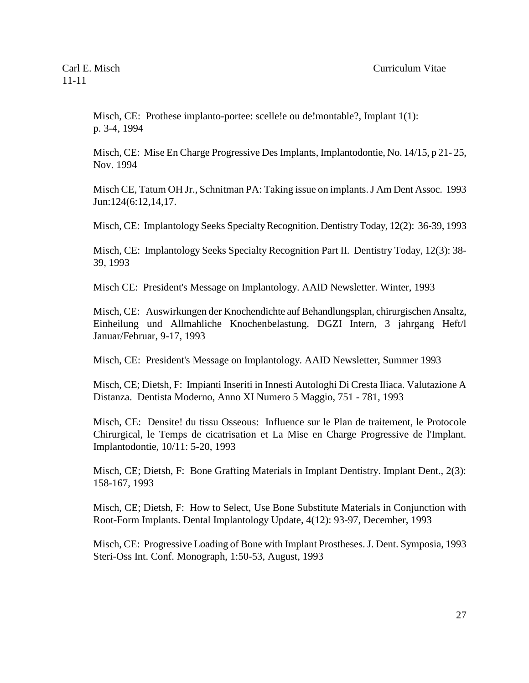Misch,  $CE:$  Prothese implanto-portee: scelle !e ou de!montable?, Implant  $1(1)$ : p. 3-4, 1994

Misch, CE: Mise En Charge Progressive Des Implants, Implantodontie, No. 14/15, p 21- 25, Nov. 1994

Misch CE, Tatum OH Jr., Schnitman PA: Taking issue on implants. J Am Dent Assoc. 1993 Jun:124(6:12,14,17.

Misch, CE: Implantology Seeks Specialty Recognition. Dentistry Today, 12(2): 36-39, 1993

Misch, CE: Implantology Seeks Specialty Recognition Part II. Dentistry Today, 12(3): 38- 39, 1993

Misch CE: President's Message on Implantology. AAID Newsletter. Winter, 1993

Misch, CE: Auswirkungen der Knochendichte auf Behandlungsplan, chirurgischen Ansaltz, Einheilung und Allmahliche Knochenbelastung. DGZI Intern, 3 jahrgang Heft/l Januar/Februar, 9-17, 1993

Misch, CE: President's Message on Implantology. AAID Newsletter, Summer 1993

Misch, CE; Dietsh, F: Impianti Inseriti in Innesti Autologhi Di Cresta Iliaca. Valutazione A Distanza. Dentista Moderno, Anno XI Numero 5 Maggio, 751 - 781, 1993

Misch, CE: Densite! du tissu Osseous: Influence sur le Plan de traitement, le Protocole Chirurgical, le Temps de cicatrisation et La Mise en Charge Progressive de l'Implant. Implantodontie, 10/11: 5-20, 1993

Misch, CE; Dietsh, F: Bone Grafting Materials in Implant Dentistry. Implant Dent., 2(3): 158-167, 1993

Misch, CE; Dietsh, F: How to Select, Use Bone Substitute Materials in Conjunction with Root-Form Implants. Dental Implantology Update, 4(12): 93-97, December, 1993

Misch, CE: Progressive Loading of Bone with Implant Prostheses. J. Dent. Symposia, 1993 Steri-Oss Int. Conf. Monograph, 1:50-53, August, 1993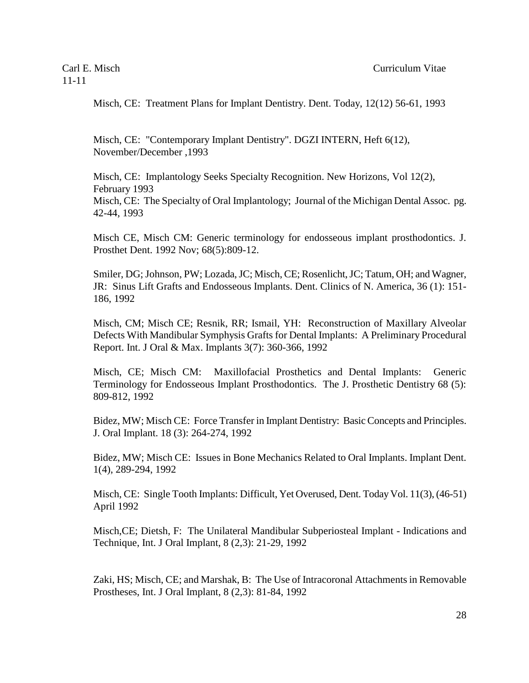Misch, CE: Treatment Plans for Implant Dentistry. Dent. Today, 12(12) 56-61, 1993

Misch, CE: "Contemporary Implant Dentistry". DGZI INTERN, Heft 6(12), November/December ,1993

Misch, CE: Implantology Seeks Specialty Recognition. New Horizons, Vol 12(2), February 1993 Misch, CE: The Specialty of Oral Implantology; Journal of the Michigan Dental Assoc. pg. 42-44, 1993

Misch CE, Misch CM: Generic terminology for endosseous implant prosthodontics. J. Prosthet Dent. 1992 Nov; 68(5):809-12.

Smiler, DG; Johnson, PW; Lozada, JC; Misch, CE; Rosenlicht, JC; Tatum, OH; and Wagner, JR: Sinus Lift Grafts and Endosseous Implants. Dent. Clinics of N. America, 36 (1): 151- 186, 1992

Misch, CM; Misch CE; Resnik, RR; Ismail, YH: Reconstruction of Maxillary Alveolar Defects With Mandibular Symphysis Grafts for Dental Implants: A Preliminary Procedural Report. Int. J Oral & Max. Implants 3(7): 360-366, 1992

Misch, CE; Misch CM: Maxillofacial Prosthetics and Dental Implants: Generic Terminology for Endosseous Implant Prosthodontics. The J. Prosthetic Dentistry 68 (5): 809-812, 1992

Bidez, MW; Misch CE: Force Transfer in Implant Dentistry: Basic Concepts and Principles. J. Oral Implant. 18 (3): 264-274, 1992

Bidez, MW; Misch CE: Issues in Bone Mechanics Related to Oral Implants. Implant Dent. 1(4), 289-294, 1992

Misch, CE: Single Tooth Implants: Difficult, Yet Overused, Dent. Today Vol. 11(3), (46-51) April 1992

Misch,CE; Dietsh, F: The Unilateral Mandibular Subperiosteal Implant - Indications and Technique, Int. J Oral Implant, 8 (2,3): 21-29, 1992

Zaki, HS; Misch, CE; and Marshak, B: The Use of Intracoronal Attachments in Removable Prostheses, Int. J Oral Implant, 8 (2,3): 81-84, 1992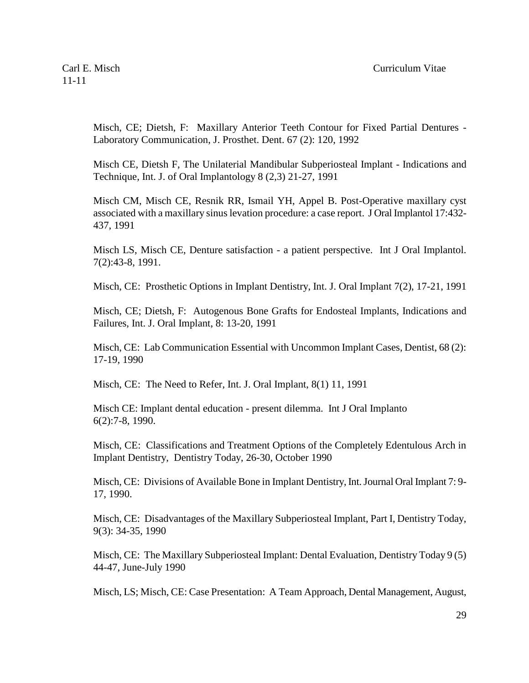Misch, CE; Dietsh, F: Maxillary Anterior Teeth Contour for Fixed Partial Dentures - Laboratory Communication, J. Prosthet. Dent. 67 (2): 120, 1992

Misch CE, Dietsh F, The Unilaterial Mandibular Subperiosteal Implant - Indications and Technique, Int. J. of Oral Implantology 8 (2,3) 21-27, 1991

Misch CM, Misch CE, Resnik RR, Ismail YH, Appel B. Post-Operative maxillary cyst associated with a maxillary sinus levation procedure: a case report. J Oral Implantol 17:432- 437, 1991

Misch LS, Misch CE, Denture satisfaction - a patient perspective. Int J Oral Implantol. 7(2):43-8, 1991.

Misch, CE: Prosthetic Options in Implant Dentistry, Int. J. Oral Implant 7(2), 17-21, 1991

Misch, CE; Dietsh, F: Autogenous Bone Grafts for Endosteal Implants, Indications and Failures, Int. J. Oral Implant, 8: 13-20, 1991

Misch, CE: Lab Communication Essential with Uncommon Implant Cases, Dentist, 68 (2): 17-19, 1990

Misch, CE: The Need to Refer, Int. J. Oral Implant, 8(1) 11, 1991

Misch CE: Implant dental education - present dilemma. Int J Oral Implanto 6(2):7-8, 1990.

Misch, CE: Classifications and Treatment Options of the Completely Edentulous Arch in Implant Dentistry, Dentistry Today, 26-30, October 1990

Misch, CE: Divisions of Available Bone in Implant Dentistry, Int. Journal Oral Implant 7: 9- 17, 1990.

Misch, CE: Disadvantages of the Maxillary Subperiosteal Implant, Part I, Dentistry Today, 9(3): 34-35, 1990

Misch, CE: The Maxillary Subperiosteal Implant: Dental Evaluation, Dentistry Today 9 (5) 44-47, June-July 1990

Misch, LS; Misch, CE: Case Presentation: A Team Approach, Dental Management, August,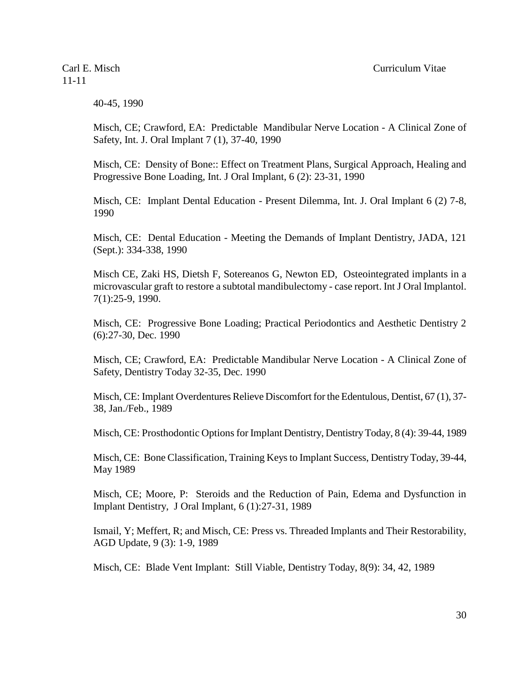40-45, 1990

Misch, CE; Crawford, EA: Predictable Mandibular Nerve Location - A Clinical Zone of Safety, Int. J. Oral Implant 7 (1), 37-40, 1990

Misch, CE: Density of Bone:: Effect on Treatment Plans, Surgical Approach, Healing and Progressive Bone Loading, Int. J Oral Implant, 6 (2): 23-31, 1990

Misch, CE: Implant Dental Education - Present Dilemma, Int. J. Oral Implant 6 (2) 7-8, 1990

Misch, CE: Dental Education - Meeting the Demands of Implant Dentistry, JADA, 121 (Sept.): 334-338, 1990

Misch CE, Zaki HS, Dietsh F, Sotereanos G, Newton ED, Osteointegrated implants in a microvascular graft to restore a subtotal mandibulectomy - case report. Int J Oral Implantol. 7(1):25-9, 1990.

Misch, CE: Progressive Bone Loading; Practical Periodontics and Aesthetic Dentistry 2 (6):27-30, Dec. 1990

Misch, CE; Crawford, EA: Predictable Mandibular Nerve Location - A Clinical Zone of Safety, Dentistry Today 32-35, Dec. 1990

Misch, CE: Implant Overdentures Relieve Discomfort for the Edentulous, Dentist, 67 (1), 37- 38, Jan./Feb., 1989

Misch, CE: Prosthodontic Options for Implant Dentistry, Dentistry Today, 8 (4): 39-44, 1989

Misch, CE: Bone Classification, Training Keys to Implant Success, Dentistry Today, 39-44, May 1989

Misch, CE; Moore, P: Steroids and the Reduction of Pain, Edema and Dysfunction in Implant Dentistry, J Oral Implant, 6 (1):27-31, 1989

Ismail, Y; Meffert, R; and Misch, CE: Press vs. Threaded Implants and Their Restorability, AGD Update, 9 (3): 1-9, 1989

Misch, CE: Blade Vent Implant: Still Viable, Dentistry Today, 8(9): 34, 42, 1989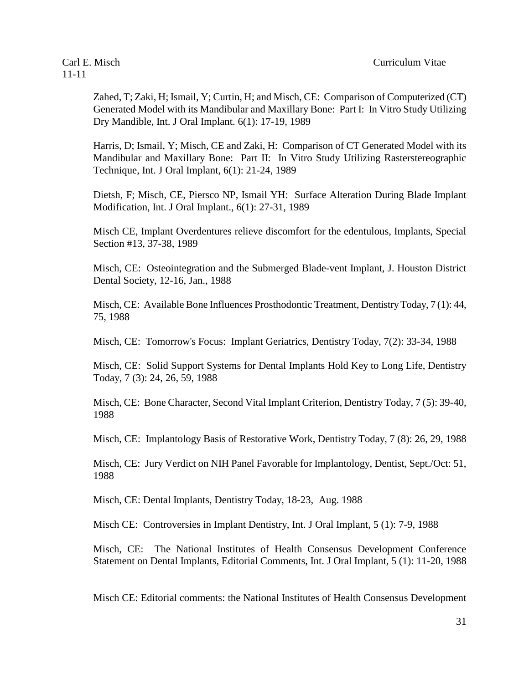Zahed, T; Zaki, H; Ismail, Y; Curtin, H; and Misch, CE: Comparison of Computerized (CT) Generated Model with its Mandibular and Maxillary Bone: Part I: In Vitro Study Utilizing Dry Mandible, Int. J Oral Implant. 6(1): 17-19, 1989

Harris, D; Ismail, Y; Misch, CE and Zaki, H: Comparison of CT Generated Model with its Mandibular and Maxillary Bone: Part II: In Vitro Study Utilizing Rasterstereographic Technique, Int. J Oral Implant, 6(1): 21-24, 1989

Dietsh, F; Misch, CE, Piersco NP, Ismail YH: Surface Alteration During Blade Implant Modification, Int. J Oral Implant., 6(1): 27-31, 1989

Misch CE, Implant Overdentures relieve discomfort for the edentulous, Implants, Special Section #13, 37-38, 1989

Misch, CE: Osteointegration and the Submerged Blade-vent Implant, J. Houston District Dental Society, 12-16, Jan., 1988

Misch, CE: Available Bone Influences Prosthodontic Treatment, Dentistry Today, 7 (1): 44, 75, 1988

Misch, CE: Tomorrow's Focus: Implant Geriatrics, Dentistry Today, 7(2): 33-34, 1988

Misch, CE: Solid Support Systems for Dental Implants Hold Key to Long Life, Dentistry Today, 7 (3): 24, 26, 59, 1988

Misch, CE: Bone Character, Second Vital Implant Criterion, Dentistry Today, 7 (5): 39-40, 1988

Misch, CE: Implantology Basis of Restorative Work, Dentistry Today, 7 (8): 26, 29, 1988

Misch, CE: Jury Verdict on NIH Panel Favorable for Implantology, Dentist, Sept./Oct: 51, 1988

Misch, CE: Dental Implants, Dentistry Today, 18-23, Aug. 1988

Misch CE: Controversies in Implant Dentistry, Int. J Oral Implant, 5 (1): 7-9, 1988

Misch, CE: The National Institutes of Health Consensus Development Conference Statement on Dental Implants, Editorial Comments, Int. J Oral Implant, 5 (1): 11-20, 1988

Misch CE: Editorial comments: the National Institutes of Health Consensus Development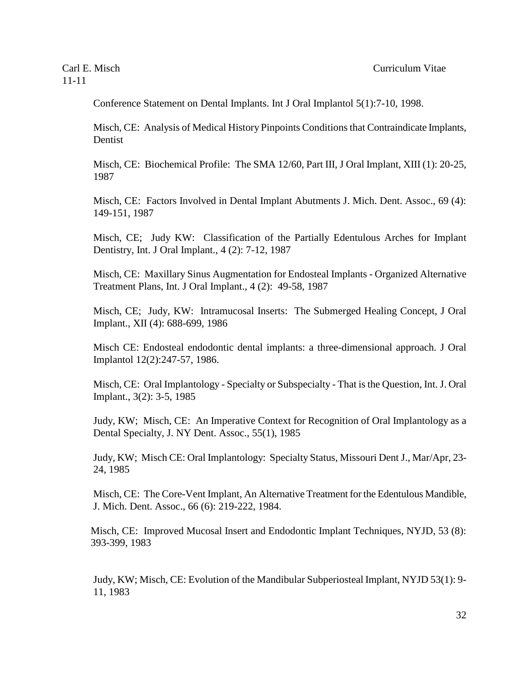Conference Statement on Dental Implants. Int J Oral Implantol 5(1):7-10, 1998.

Misch, CE: Analysis of Medical History Pinpoints Conditions that Contraindicate Implants, Dentist

Misch, CE: Biochemical Profile: The SMA 12/60, Part III, J Oral Implant, XIII (1): 20-25, 1987

Misch, CE: Factors Involved in Dental Implant Abutments J. Mich. Dent. Assoc., 69 (4): 149-151, 1987

Misch, CE; Judy KW: Classification of the Partially Edentulous Arches for Implant Dentistry, Int. J Oral Implant., 4 (2): 7-12, 1987

Misch, CE: Maxillary Sinus Augmentation for Endosteal Implants - Organized Alternative Treatment Plans, Int. J Oral Implant., 4 (2): 49-58, 1987

Misch, CE; Judy, KW: Intramucosal Inserts: The Submerged Healing Concept, J Oral Implant., XII (4): 688-699, 1986

Misch CE: Endosteal endodontic dental implants: a three-dimensional approach. J Oral Implantol 12(2):247-57, 1986.

Misch, CE: Oral Implantology - Specialty or Subspecialty - That is the Question, Int. J. Oral Implant., 3(2): 3-5, 1985

Judy, KW; Misch, CE: An Imperative Context for Recognition of Oral Implantology as a Dental Specialty, J. NY Dent. Assoc., 55(1), 1985

Judy, KW; Misch CE: Oral Implantology: Specialty Status, Missouri Dent J., Mar/Apr, 23- 24, 1985

Misch, CE: The Core-Vent Implant, An Alternative Treatment for the Edentulous Mandible, J. Mich. Dent. Assoc., 66 (6): 219-222, 1984.

Misch, CE: Improved Mucosal Insert and Endodontic Implant Techniques, NYJD, 53 (8): 393-399, 1983

Judy, KW; Misch, CE: Evolution of the Mandibular Subperiosteal Implant, NYJD 53(1): 9- 11, 1983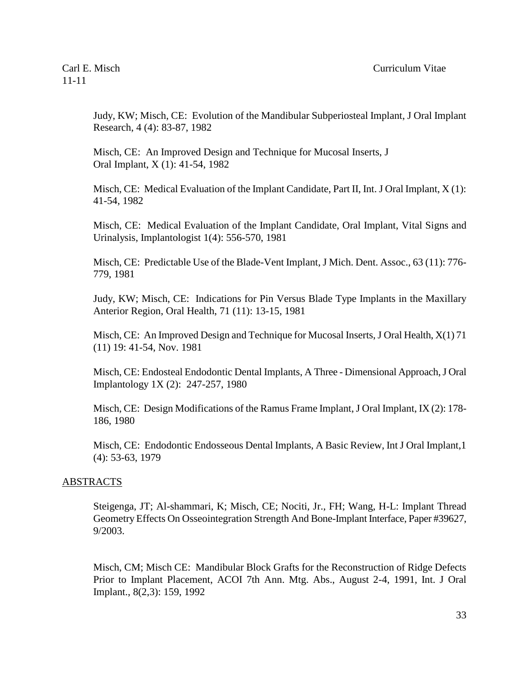Judy, KW; Misch, CE: Evolution of the Mandibular Subperiosteal Implant, J Oral Implant Research, 4 (4): 83-87, 1982

Misch, CE: An Improved Design and Technique for Mucosal Inserts, J Oral Implant, X (1): 41-54, 1982

Misch, CE: Medical Evaluation of the Implant Candidate, Part II, Int. J Oral Implant, X (1): 41-54, 1982

Misch, CE: Medical Evaluation of the Implant Candidate, Oral Implant, Vital Signs and Urinalysis, Implantologist 1(4): 556-570, 1981

Misch, CE: Predictable Use of the Blade-Vent Implant, J Mich. Dent. Assoc., 63 (11): 776- 779, 1981

Judy, KW; Misch, CE: Indications for Pin Versus Blade Type Implants in the Maxillary Anterior Region, Oral Health, 71 (11): 13-15, 1981

Misch, CE: An Improved Design and Technique for Mucosal Inserts, J Oral Health, X(1) 71 (11) 19: 41-54, Nov. 1981

Misch, CE: Endosteal Endodontic Dental Implants, A Three - Dimensional Approach, J Oral Implantology 1X (2): 247-257, 1980

Misch, CE: Design Modifications of the Ramus Frame Implant, J Oral Implant, IX (2): 178- 186, 1980

Misch, CE: Endodontic Endosseous Dental Implants, A Basic Review, Int J Oral Implant,1 (4): 53-63, 1979

#### **ABSTRACTS**

Steigenga, JT; Al-shammari, K; Misch, CE; Nociti, Jr., FH; Wang, H-L: Implant Thread Geometry Effects On Osseointegration Strength And Bone-Implant Interface, Paper #39627, 9/2003.

Misch, CM; Misch CE: Mandibular Block Grafts for the Reconstruction of Ridge Defects Prior to Implant Placement, ACOI 7th Ann. Mtg. Abs., August 2-4, 1991, Int. J Oral Implant., 8(2,3): 159, 1992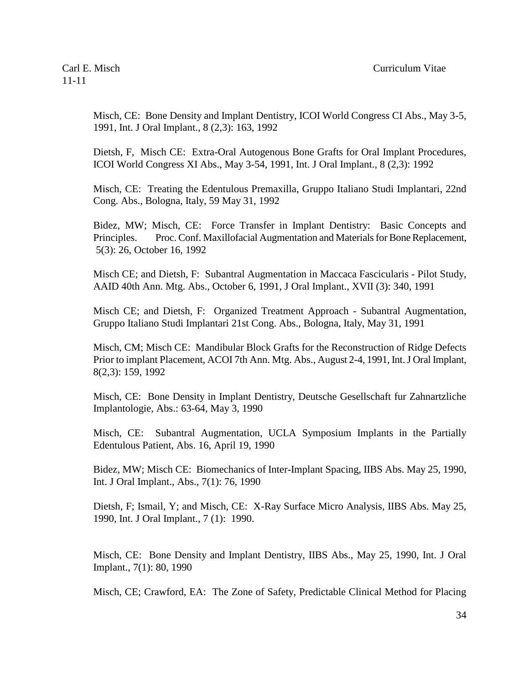Misch, CE: Bone Density and Implant Dentistry, ICOI World Congress CI Abs., May 3-5, 1991, Int. J Oral Implant., 8 (2,3): 163, 1992

Dietsh, F, Misch CE: Extra-Oral Autogenous Bone Grafts for Oral Implant Procedures, ICOI World Congress XI Abs., May 3-54, 1991, Int. J Oral Implant., 8 (2,3): 1992

Misch, CE: Treating the Edentulous Premaxilla, Gruppo Italiano Studi Implantari, 22nd Cong. Abs., Bologna, Italy, 59 May 31, 1992

Bidez, MW; Misch, CE: Force Transfer in Implant Dentistry: Basic Concepts and Principles. Proc. Conf. Maxillofacial Augmentation and Materials for Bone Replacement, 5(3): 26, October 16, 1992

Misch CE; and Dietsh, F: Subantral Augmentation in Maccaca Fascicularis - Pilot Study, AAID 40th Ann. Mtg. Abs., October 6, 1991, J Oral Implant., XVII (3): 340, 1991

Misch CE; and Dietsh, F: Organized Treatment Approach - Subantral Augmentation, Gruppo Italiano Studi Implantari 21st Cong. Abs., Bologna, Italy, May 31, 1991

Misch, CM; Misch CE: Mandibular Block Grafts for the Reconstruction of Ridge Defects Prior to implant Placement, ACOI 7th Ann. Mtg. Abs., August 2-4, 1991, Int. J Oral Implant, 8(2,3): 159, 1992

Misch, CE: Bone Density in Implant Dentistry, Deutsche Gesellschaft fur Zahnartzliche Implantologie, Abs.: 63-64, May 3, 1990

Misch, CE: Subantral Augmentation, UCLA Symposium Implants in the Partially Edentulous Patient, Abs. 16, April 19, 1990

Bidez, MW; Misch CE: Biomechanics of Inter-Implant Spacing, IIBS Abs. May 25, 1990, Int. J Oral Implant., Abs., 7(1): 76, 1990

Dietsh, F; Ismail, Y; and Misch, CE: X-Ray Surface Micro Analysis, IIBS Abs. May 25, 1990, Int. J Oral Implant., 7 (1): 1990.

Misch, CE: Bone Density and Implant Dentistry, IIBS Abs., May 25, 1990, Int. J Oral Implant., 7(1): 80, 1990

Misch, CE; Crawford, EA: The Zone of Safety, Predictable Clinical Method for Placing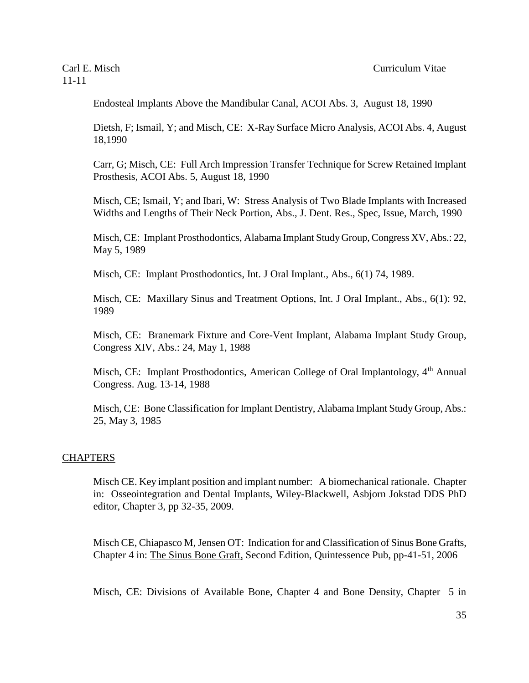Endosteal Implants Above the Mandibular Canal, ACOI Abs. 3, August 18, 1990

Dietsh, F; Ismail, Y; and Misch, CE: X-Ray Surface Micro Analysis, ACOI Abs. 4, August 18,1990

Carr, G; Misch, CE: Full Arch Impression Transfer Technique for Screw Retained Implant Prosthesis, ACOI Abs. 5, August 18, 1990

Misch, CE; Ismail, Y; and Ibari, W: Stress Analysis of Two Blade Implants with Increased Widths and Lengths of Their Neck Portion, Abs., J. Dent. Res., Spec, Issue, March, 1990

Misch, CE: Implant Prosthodontics, Alabama Implant Study Group, Congress XV, Abs.: 22, May 5, 1989

Misch, CE: Implant Prosthodontics, Int. J Oral Implant., Abs., 6(1) 74, 1989.

Misch, CE: Maxillary Sinus and Treatment Options, Int. J Oral Implant., Abs., 6(1): 92, 1989

Misch, CE: Branemark Fixture and Core-Vent Implant, Alabama Implant Study Group, Congress XIV, Abs.: 24, May 1, 1988

Misch, CE: Implant Prosthodontics, American College of Oral Implantology, 4<sup>th</sup> Annual Congress. Aug. 13-14, 1988

Misch, CE: Bone Classification for Implant Dentistry, Alabama Implant Study Group, Abs.: 25, May 3, 1985

#### **CHAPTERS**

Misch CE. Key implant position and implant number: A biomechanical rationale. Chapter in: Osseointegration and Dental Implants, Wiley-Blackwell, Asbjorn Jokstad DDS PhD editor, Chapter 3, pp 32-35, 2009.

Misch CE, Chiapasco M, Jensen OT: Indication for and Classification of Sinus Bone Grafts, Chapter 4 in: The Sinus Bone Graft, Second Edition, Quintessence Pub, pp-41-51, 2006

Misch, CE: Divisions of Available Bone, Chapter 4 and Bone Density, Chapter 5 in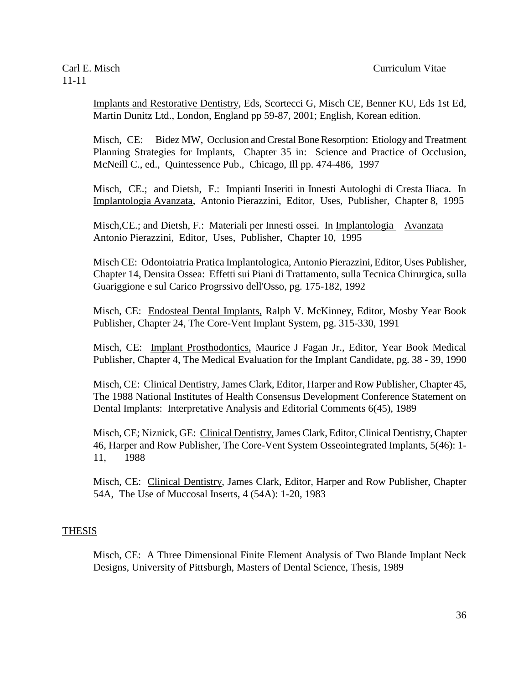Implants and Restorative Dentistry, Eds, Scortecci G, Misch CE, Benner KU, Eds 1st Ed, Martin Dunitz Ltd., London, England pp 59-87, 2001; English, Korean edition.

Misch, CE: Bidez MW, Occlusion and Crestal Bone Resorption: Etiology and Treatment Planning Strategies for Implants, Chapter 35 in: Science and Practice of Occlusion, McNeill C., ed., Quintessence Pub., Chicago, Ill pp. 474-486, 1997

 Misch, CE.; and Dietsh, F.: Impianti Inseriti in Innesti Autologhi di Cresta Iliaca. In Implantologia Avanzata, Antonio Pierazzini, Editor, Uses, Publisher, Chapter 8, 1995

Misch,CE.; and Dietsh, F.: Materiali per Innesti ossei. In Implantologia Avanzata Antonio Pierazzini, Editor, Uses, Publisher, Chapter 10, 1995

Misch CE: Odontoiatria Pratica Implantologica, Antonio Pierazzini, Editor, Uses Publisher, Chapter 14, Densita Ossea: Effetti sui Piani di Trattamento, sulla Tecnica Chirurgica, sulla Guariggione e sul Carico Progrssivo dell'Osso, pg. 175-182, 1992

Misch, CE: Endosteal Dental Implants, Ralph V. McKinney, Editor, Mosby Year Book Publisher, Chapter 24, The Core-Vent Implant System, pg. 315-330, 1991

Misch, CE: Implant Prosthodontics, Maurice J Fagan Jr., Editor, Year Book Medical Publisher, Chapter 4, The Medical Evaluation for the Implant Candidate, pg. 38 - 39, 1990

Misch, CE: Clinical Dentistry, James Clark, Editor, Harper and Row Publisher, Chapter 45, The 1988 National Institutes of Health Consensus Development Conference Statement on Dental Implants: Interpretative Analysis and Editorial Comments 6(45), 1989

Misch, CE; Niznick, GE: Clinical Dentistry,James Clark, Editor, Clinical Dentistry, Chapter 46, Harper and Row Publisher, The Core-Vent System Osseointegrated Implants, 5(46): 1- 11, 1988

Misch, CE: Clinical Dentistry, James Clark, Editor, Harper and Row Publisher, Chapter 54A, The Use of Muccosal Inserts, 4 (54A): 1-20, 1983

#### **THESIS**

Misch, CE: A Three Dimensional Finite Element Analysis of Two Blande Implant Neck Designs, University of Pittsburgh, Masters of Dental Science, Thesis, 1989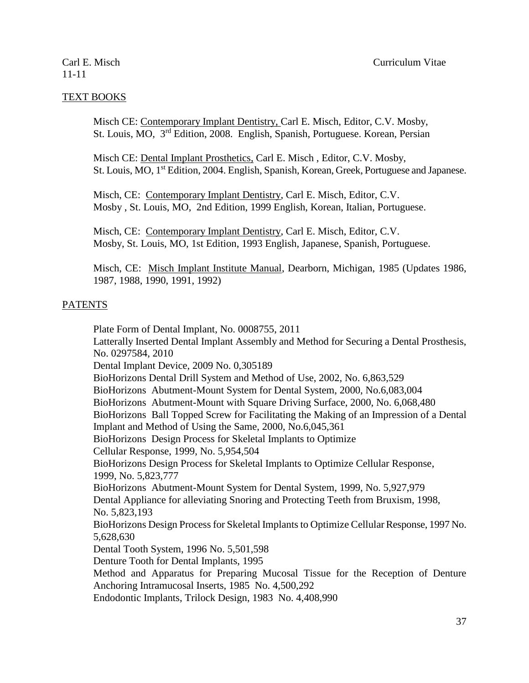### TEXT BOOKS

Misch CE: Contemporary Implant Dentistry, Carl E. Misch, Editor, C.V. Mosby, St. Louis, MO, 3<sup>rd</sup> Edition, 2008. English, Spanish, Portuguese. Korean, Persian

Misch CE: Dental Implant Prosthetics, Carl E. Misch , Editor, C.V. Mosby, St. Louis, MO, 1st Edition, 2004. English, Spanish, Korean, Greek, Portuguese and Japanese.

Misch, CE: Contemporary Implant Dentistry, Carl E. Misch, Editor, C.V. Mosby , St. Louis, MO, 2nd Edition, 1999 English, Korean, Italian, Portuguese.

Misch, CE: Contemporary Implant Dentistry, Carl E. Misch, Editor, C.V. Mosby, St. Louis, MO, 1st Edition, 1993 English, Japanese, Spanish, Portuguese.

Misch, CE: Misch Implant Institute Manual, Dearborn, Michigan, 1985 (Updates 1986, 1987, 1988, 1990, 1991, 1992)

### PATENTS

Plate Form of Dental Implant, No. 0008755, 2011 Latterally Inserted Dental Implant Assembly and Method for Securing a Dental Prosthesis, No. 0297584, 2010 Dental Implant Device, 2009 No. 0,305189 BioHorizons Dental Drill System and Method of Use, 2002, No. 6,863,529 BioHorizons Abutment-Mount System for Dental System, 2000, No.6,083,004 BioHorizons Abutment-Mount with Square Driving Surface, 2000, No. 6,068,480 BioHorizons Ball Topped Screw for Facilitating the Making of an Impression of a Dental Implant and Method of Using the Same, 2000, No.6,045,361 BioHorizons Design Process for Skeletal Implants to Optimize Cellular Response, 1999, No. 5,954,504 BioHorizons Design Process for Skeletal Implants to Optimize Cellular Response, 1999, No. 5,823,777 BioHorizons Abutment-Mount System for Dental System, 1999, No. 5,927,979 Dental Appliance for alleviating Snoring and Protecting Teeth from Bruxism, 1998, No. 5,823,193 BioHorizons Design Process for Skeletal Implants to Optimize Cellular Response, 1997 No. 5,628,630 Dental Tooth System, 1996 No. 5,501,598 Denture Tooth for Dental Implants, 1995 Method and Apparatus for Preparing Mucosal Tissue for the Reception of Denture Anchoring Intramucosal Inserts, 1985 No. 4,500,292

Endodontic Implants, Trilock Design, 1983 No. 4,408,990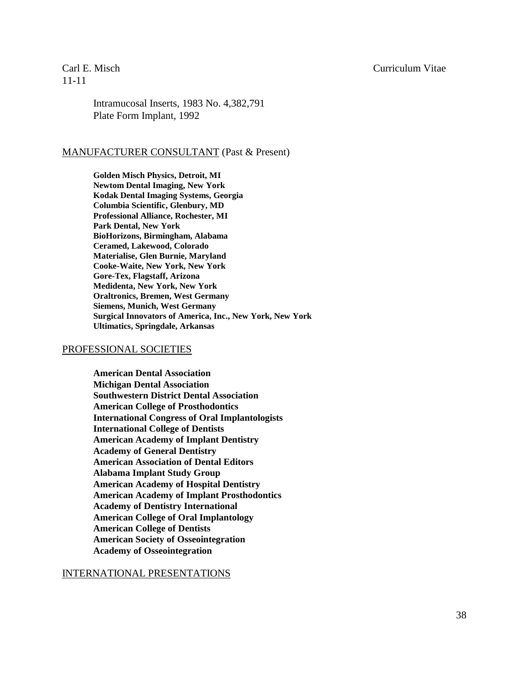### Carl E. Misch Curriculum Vitae

11-11

Intramucosal Inserts, 1983 No. 4,382,791 Plate Form Implant, 1992

### MANUFACTURER CONSULTANT (Past & Present)

**Golden Misch Physics, Detroit, MI Newtom Dental Imaging, New York Kodak Dental Imaging Systems, Georgia Columbia Scientific, Glenbury, MD Professional Alliance, Rochester, MI Park Dental, New York BioHorizons, Birmingham, Alabama Ceramed, Lakewood, Colorado Materialise, Glen Burnie, Maryland Cooke-Waite, New York, New York Gore-Tex, Flagstaff, Arizona Medidenta, New York, New York Oraltronics, Bremen, West Germany Siemens, Munich, West Germany Surgical Innovators of America, Inc., New York, New York Ultimatics, Springdale, Arkansas**

#### PROFESSIONAL SOCIETIES

**American Dental Association Michigan Dental Association Southwestern District Dental Association American College of Prosthodontics International Congress of Oral Implantologists International College of Dentists American Academy of Implant Dentistry Academy of General Dentistry American Association of Dental Editors Alabama Implant Study Group American Academy of Hospital Dentistry American Academy of Implant Prosthodontics Academy of Dentistry International American College of Oral Implantology American College of Dentists American Society of Osseointegration Academy of Osseointegration**

#### INTERNATIONAL PRESENTATIONS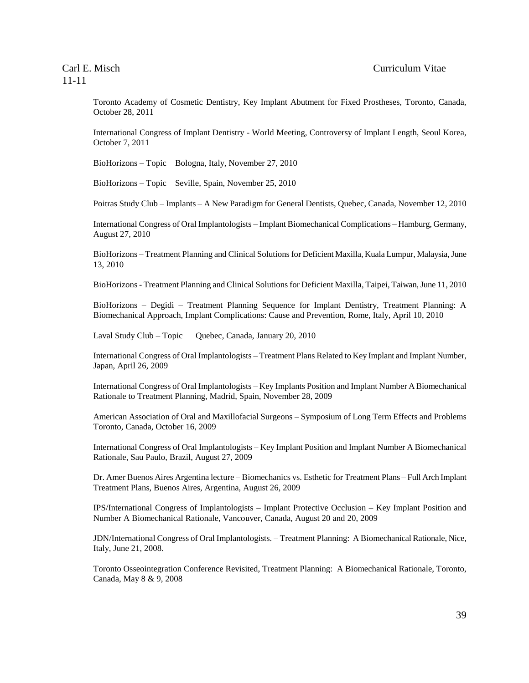Toronto Academy of Cosmetic Dentistry, Key Implant Abutment for Fixed Prostheses, Toronto, Canada, October 28, 2011

International Congress of Implant Dentistry - World Meeting, Controversy of Implant Length, Seoul Korea, October 7, 2011

BioHorizons – Topic Bologna, Italy, November 27, 2010

BioHorizons – Topic Seville, Spain, November 25, 2010

Poitras Study Club – Implants – A New Paradigm for General Dentists, Quebec, Canada, November 12, 2010

International Congress of Oral Implantologists – Implant Biomechanical Complications – Hamburg, Germany, August 27, 2010

BioHorizons – Treatment Planning and Clinical Solutions for Deficient Maxilla, Kuala Lumpur, Malaysia, June 13, 2010

BioHorizons - Treatment Planning and Clinical Solutions for Deficient Maxilla, Taipei, Taiwan, June 11, 2010

BioHorizons – Degidi – Treatment Planning Sequence for Implant Dentistry, Treatment Planning: A Biomechanical Approach, Implant Complications: Cause and Prevention, Rome, Italy, April 10, 2010

Laval Study Club – Topic Quebec, Canada, January 20, 2010

International Congress of Oral Implantologists – Treatment Plans Related to Key Implant and Implant Number, Japan, April 26, 2009

International Congress of Oral Implantologists – Key Implants Position and Implant Number A Biomechanical Rationale to Treatment Planning, Madrid, Spain, November 28, 2009

American Association of Oral and Maxillofacial Surgeons – Symposium of Long Term Effects and Problems Toronto, Canada, October 16, 2009

International Congress of Oral Implantologists – Key Implant Position and Implant Number A Biomechanical Rationale, Sau Paulo, Brazil, August 27, 2009

Dr. Amer Buenos Aires Argentina lecture – Biomechanics vs. Esthetic for Treatment Plans – Full Arch Implant Treatment Plans, Buenos Aires, Argentina, August 26, 2009

IPS/International Congress of Implantologists – Implant Protective Occlusion – Key Implant Position and Number A Biomechanical Rationale, Vancouver, Canada, August 20 and 20, 2009

JDN/International Congress of Oral Implantologists. – Treatment Planning: A Biomechanical Rationale, Nice, Italy, June 21, 2008.

Toronto Osseointegration Conference Revisited, Treatment Planning: A Biomechanical Rationale, Toronto, Canada, May 8 & 9, 2008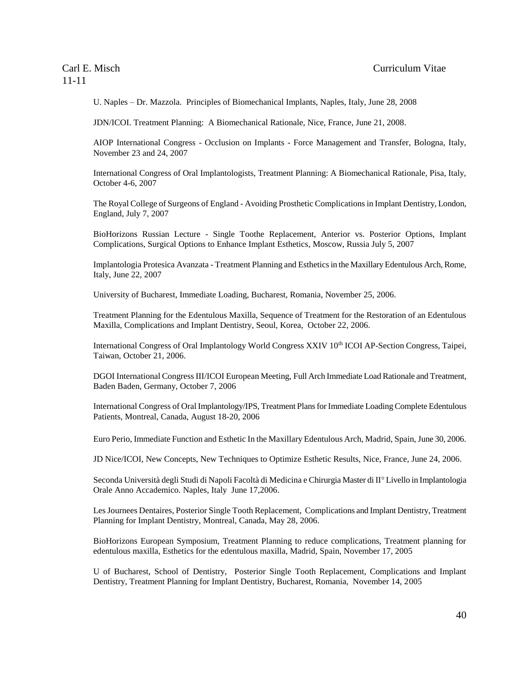U. Naples – Dr. Mazzola. Principles of Biomechanical Implants, Naples, Italy, June 28, 2008

JDN/ICOI. Treatment Planning: A Biomechanical Rationale, Nice, France, June 21, 2008.

AIOP International Congress - Occlusion on Implants - Force Management and Transfer, Bologna, Italy, November 23 and 24, 2007

International Congress of Oral Implantologists, Treatment Planning: A Biomechanical Rationale, Pisa, Italy, October 4-6, 2007

The Royal College of Surgeons of England - Avoiding Prosthetic Complications in Implant Dentistry, London, England, July 7, 2007

BioHorizons Russian Lecture - Single Toothe Replacement, Anterior vs. Posterior Options, Implant Complications, Surgical Options to Enhance Implant Esthetics, Moscow, Russia July 5, 2007

Implantologia Protesica Avanzata - Treatment Planning and Esthetics in the Maxillary Edentulous Arch, Rome, Italy, June 22, 2007

University of Bucharest, Immediate Loading, Bucharest, Romania, November 25, 2006.

Treatment Planning for the Edentulous Maxilla, Sequence of Treatment for the Restoration of an Edentulous Maxilla, Complications and Implant Dentistry, Seoul, Korea, October 22, 2006.

International Congress of Oral Implantology World Congress XXIV 10<sup>th</sup> ICOI AP-Section Congress, Taipei, Taiwan, October 21, 2006.

DGOI International Congress III/ICOI European Meeting, Full Arch Immediate Load Rationale and Treatment, Baden Baden, Germany, October 7, 2006

International Congress of Oral Implantology/IPS, Treatment Plans for Immediate Loading Complete Edentulous Patients, Montreal, Canada, August 18-20, 2006

Euro Perio, Immediate Function and Esthetic In the Maxillary Edentulous Arch, Madrid, Spain, June 30, 2006.

JD Nice/ICOI, New Concepts, New Techniques to Optimize Esthetic Results, Nice, France, June 24, 2006.

Seconda Università degli Studi di Napoli Facoltà di Medicina e Chirurgia Master di II<sup>°</sup> Livello in Implantologia Orale Anno Accademico. Naples, Italy June 17,2006.

Les Journees Dentaires, Posterior Single Tooth Replacement, Complications and Implant Dentistry, Treatment Planning for Implant Dentistry, Montreal, Canada, May 28, 2006.

BioHorizons European Symposium, Treatment Planning to reduce complications, Treatment planning for edentulous maxilla, Esthetics for the edentulous maxilla, Madrid, Spain, November 17, 2005

U of Bucharest, School of Dentistry, Posterior Single Tooth Replacement, Complications and Implant Dentistry, Treatment Planning for Implant Dentistry, Bucharest, Romania, November 14, 2005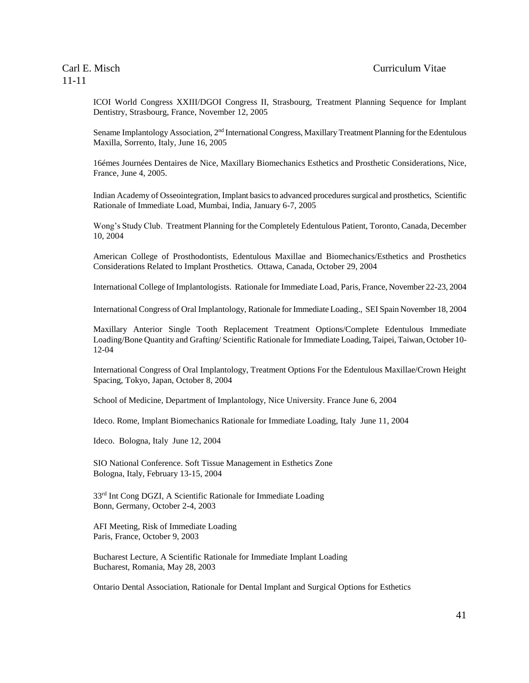ICOI World Congress XXIII/DGOI Congress II, Strasbourg, Treatment Planning Sequence for Implant Dentistry, Strasbourg, France, November 12, 2005

Sename Implantology Association, 2<sup>nd</sup> International Congress, Maxillary Treatment Planning for the Edentulous Maxilla, Sorrento, Italy, June 16, 2005

16émes Journées Dentaires de Nice, Maxillary Biomechanics Esthetics and Prosthetic Considerations, Nice, France, June 4, 2005.

Indian Academy of Osseointegration, Implant basics to advanced procedures surgical and prosthetics, Scientific Rationale of Immediate Load, Mumbai, India, January 6-7, 2005

Wong's Study Club. Treatment Planning for the Completely Edentulous Patient, Toronto, Canada, December 10, 2004

American College of Prosthodontists, Edentulous Maxillae and Biomechanics/Esthetics and Prosthetics Considerations Related to Implant Prosthetics. Ottawa, Canada, October 29, 2004

International College of Implantologists. Rationale for Immediate Load, Paris, France, November 22-23, 2004

International Congress of Oral Implantology, Rationale for Immediate Loading., SEI Spain November 18, 2004

Maxillary Anterior Single Tooth Replacement Treatment Options/Complete Edentulous Immediate Loading/Bone Quantity and Grafting/ Scientific Rationale for Immediate Loading, Taipei, Taiwan, October 10- 12-04

International Congress of Oral Implantology, Treatment Options For the Edentulous Maxillae/Crown Height Spacing, Tokyo, Japan, October 8, 2004

School of Medicine, Department of Implantology, Nice University. France June 6, 2004

Ideco. Rome, Implant Biomechanics Rationale for Immediate Loading, Italy June 11, 2004

Ideco. Bologna, Italy June 12, 2004

SIO National Conference. Soft Tissue Management in Esthetics Zone Bologna, Italy, February 13-15, 2004

33rd Int Cong DGZI, A Scientific Rationale for Immediate Loading Bonn, Germany, October 2-4, 2003

AFI Meeting, Risk of Immediate Loading Paris, France, October 9, 2003

Bucharest Lecture, A Scientific Rationale for Immediate Implant Loading Bucharest, Romania, May 28, 2003

Ontario Dental Association, Rationale for Dental Implant and Surgical Options for Esthetics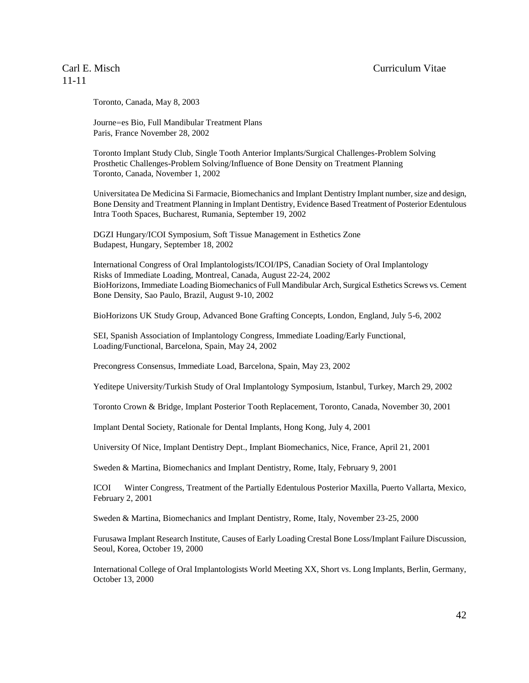#### Carl E. Misch Curriculum Vitae

# 11-11

Toronto, Canada, May 8, 2003

Journe=es Bio, Full Mandibular Treatment Plans Paris, France November 28, 2002

Toronto Implant Study Club, Single Tooth Anterior Implants/Surgical Challenges-Problem Solving Prosthetic Challenges-Problem Solving/Influence of Bone Density on Treatment Planning Toronto, Canada, November 1, 2002

Universitatea De Medicina Si Farmacie, Biomechanics and Implant Dentistry Implant number, size and design, Bone Density and Treatment Planning in Implant Dentistry, Evidence Based Treatment of Posterior Edentulous Intra Tooth Spaces, Bucharest, Rumania, September 19, 2002

DGZI Hungary/ICOI Symposium, Soft Tissue Management in Esthetics Zone Budapest, Hungary, September 18, 2002

International Congress of Oral Implantologists/ICOI/IPS, Canadian Society of Oral Implantology Risks of Immediate Loading, Montreal, Canada, August 22-24, 2002 BioHorizons, Immediate Loading Biomechanics of Full Mandibular Arch, Surgical Esthetics Screws vs. Cement Bone Density, Sao Paulo, Brazil, August 9-10, 2002

BioHorizons UK Study Group, Advanced Bone Grafting Concepts, London, England, July 5-6, 2002

SEI, Spanish Association of Implantology Congress, Immediate Loading/Early Functional, Loading/Functional, Barcelona, Spain, May 24, 2002

Precongress Consensus, Immediate Load, Barcelona, Spain, May 23, 2002

Yeditepe University/Turkish Study of Oral Implantology Symposium, Istanbul, Turkey, March 29, 2002

Toronto Crown & Bridge, Implant Posterior Tooth Replacement, Toronto, Canada, November 30, 2001

Implant Dental Society, Rationale for Dental Implants, Hong Kong, July 4, 2001

University Of Nice, Implant Dentistry Dept., Implant Biomechanics, Nice, France, April 21, 2001

Sweden & Martina, Biomechanics and Implant Dentistry, Rome, Italy, February 9, 2001

ICOI Winter Congress, Treatment of the Partially Edentulous Posterior Maxilla, Puerto Vallarta, Mexico, February 2, 2001

Sweden & Martina, Biomechanics and Implant Dentistry, Rome, Italy, November 23-25, 2000

Furusawa Implant Research Institute, Causes of Early Loading Crestal Bone Loss/Implant Failure Discussion, Seoul, Korea, October 19, 2000

International College of Oral Implantologists World Meeting XX, Short vs. Long Implants, Berlin, Germany, October 13, 2000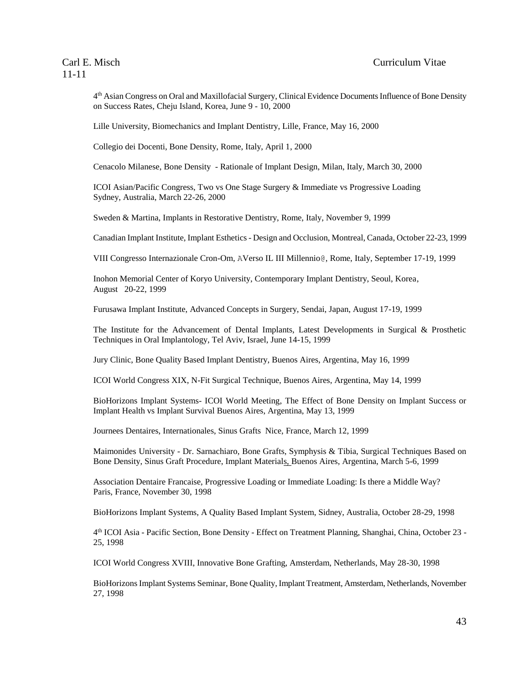4<sup>th</sup> Asian Congress on Oral and Maxillofacial Surgery, Clinical Evidence Documents Influence of Bone Density on Success Rates, Cheju Island, Korea, June 9 - 10, 2000

Lille University, Biomechanics and Implant Dentistry, Lille, France, May 16, 2000

Collegio dei Docenti, Bone Density, Rome, Italy, April 1, 2000

Cenacolo Milanese, Bone Density - Rationale of Implant Design, Milan, Italy, March 30, 2000

ICOI Asian/Pacific Congress, Two vs One Stage Surgery & Immediate vs Progressive Loading Sydney, Australia, March 22-26, 2000

Sweden & Martina, Implants in Restorative Dentistry, Rome, Italy, November 9, 1999

Canadian Implant Institute, Implant Esthetics - Design and Occlusion, Montreal, Canada, October 22-23, 1999

VIII Congresso Internazionale Cron-Om, AVerso IL III Millennio@, Rome, Italy, September 17-19, 1999

Inohon Memorial Center of Koryo University, Contemporary Implant Dentistry, Seoul, Korea, August 20-22, 1999

Furusawa Implant Institute, Advanced Concepts in Surgery, Sendai, Japan, August 17-19, 1999

The Institute for the Advancement of Dental Implants, Latest Developments in Surgical & Prosthetic Techniques in Oral Implantology, Tel Aviv, Israel, June 14-15, 1999

Jury Clinic, Bone Quality Based Implant Dentistry, Buenos Aires, Argentina, May 16, 1999

ICOI World Congress XIX, N-Fit Surgical Technique, Buenos Aires, Argentina, May 14, 1999

BioHorizons Implant Systems- ICOI World Meeting, The Effect of Bone Density on Implant Success or Implant Health vs Implant Survival Buenos Aires, Argentina, May 13, 1999

Journees Dentaires, Internationales, Sinus Grafts Nice, France, March 12, 1999

Maimonides University - Dr. Sarnachiaro, Bone Grafts, Symphysis & Tibia, Surgical Techniques Based on Bone Density, Sinus Graft Procedure, Implant Materials, Buenos Aires, Argentina, March 5-6, 1999

Association Dentaire Francaise, Progressive Loading or Immediate Loading: Is there a Middle Way? Paris, France, November 30, 1998

BioHorizons Implant Systems, A Quality Based Implant System, Sidney, Australia, October 28-29, 1998

4 th ICOI Asia - Pacific Section, Bone Density - Effect on Treatment Planning, Shanghai, China, October 23 - 25, 1998

ICOI World Congress XVIII, Innovative Bone Grafting, Amsterdam, Netherlands, May 28-30, 1998

BioHorizons Implant Systems Seminar, Bone Quality, Implant Treatment, Amsterdam, Netherlands, November 27, 1998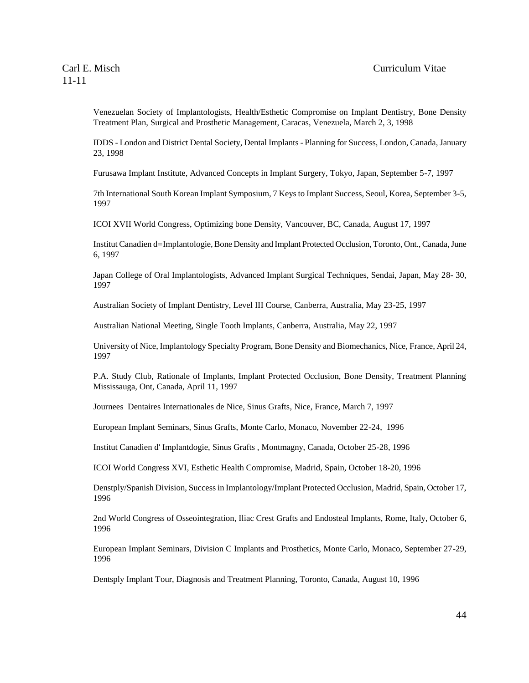Venezuelan Society of Implantologists, Health/Esthetic Compromise on Implant Dentistry, Bone Density Treatment Plan, Surgical and Prosthetic Management, Caracas, Venezuela, March 2, 3, 1998

IDDS - London and District Dental Society, Dental Implants - Planning for Success, London, Canada, January 23, 1998

Furusawa Implant Institute, Advanced Concepts in Implant Surgery, Tokyo, Japan, September 5-7, 1997

7th International South Korean Implant Symposium, 7 Keys to Implant Success, Seoul, Korea, September 3-5, 1997

ICOI XVII World Congress, Optimizing bone Density, Vancouver, BC, Canada, August 17, 1997

Institut Canadien d=Implantologie, Bone Density and Implant Protected Occlusion, Toronto, Ont., Canada, June 6, 1997

Japan College of Oral Implantologists, Advanced Implant Surgical Techniques, Sendai, Japan, May 28- 30, 1997

Australian Society of Implant Dentistry, Level III Course, Canberra, Australia, May 23-25, 1997

Australian National Meeting, Single Tooth Implants, Canberra, Australia, May 22, 1997

University of Nice, Implantology Specialty Program, Bone Density and Biomechanics, Nice, France, April 24, 1997

P.A. Study Club, Rationale of Implants, Implant Protected Occlusion, Bone Density, Treatment Planning Mississauga, Ont, Canada, April 11, 1997

Journees Dentaires Internationales de Nice, Sinus Grafts, Nice, France, March 7, 1997

European Implant Seminars, Sinus Grafts, Monte Carlo, Monaco, November 22-24, 1996

Institut Canadien d' Implantdogie, Sinus Grafts , Montmagny, Canada, October 25-28, 1996

ICOI World Congress XVI, Esthetic Health Compromise, Madrid, Spain, October 18-20, 1996

Denstply/Spanish Division, Success in Implantology/Implant Protected Occlusion, Madrid, Spain, October 17, 1996

2nd World Congress of Osseointegration, Iliac Crest Grafts and Endosteal Implants, Rome, Italy, October 6, 1996

European Implant Seminars, Division C Implants and Prosthetics, Monte Carlo, Monaco, September 27-29, 1996

Dentsply Implant Tour, Diagnosis and Treatment Planning, Toronto, Canada, August 10, 1996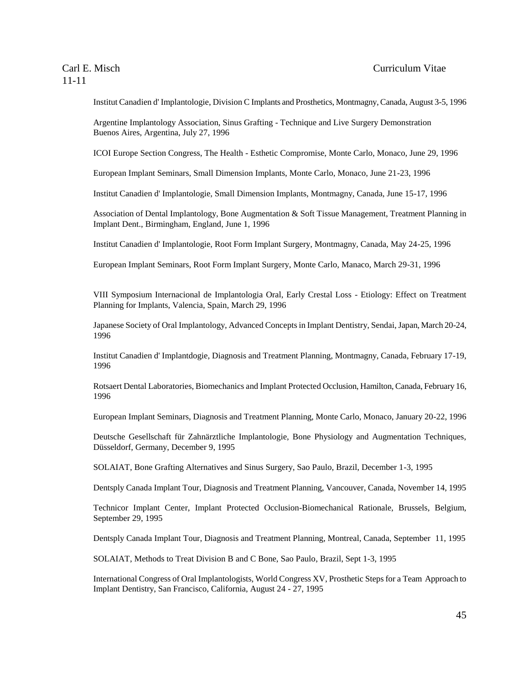Institut Canadien d' Implantologie, Division C Implants and Prosthetics, Montmagny, Canada, August 3-5, 1996

Argentine Implantology Association, Sinus Grafting - Technique and Live Surgery Demonstration Buenos Aires, Argentina, July 27, 1996

ICOI Europe Section Congress, The Health - Esthetic Compromise, Monte Carlo, Monaco, June 29, 1996

European Implant Seminars, Small Dimension Implants, Monte Carlo, Monaco, June 21-23, 1996

Institut Canadien d' Implantologie, Small Dimension Implants, Montmagny, Canada, June 15-17, 1996

Association of Dental Implantology, Bone Augmentation & Soft Tissue Management, Treatment Planning in Implant Dent., Birmingham, England, June 1, 1996

Institut Canadien d' Implantologie, Root Form Implant Surgery, Montmagny, Canada, May 24-25, 1996

European Implant Seminars, Root Form Implant Surgery, Monte Carlo, Manaco, March 29-31, 1996

VIII Symposium Internacional de Implantologia Oral, Early Crestal Loss - Etiology: Effect on Treatment Planning for Implants, Valencia, Spain, March 29, 1996

Japanese Society of Oral Implantology, Advanced Concepts in Implant Dentistry, Sendai, Japan, March 20-24, 1996

Institut Canadien d' Implantdogie, Diagnosis and Treatment Planning, Montmagny, Canada, February 17-19, 1996

Rotsaert Dental Laboratories, Biomechanics and Implant Protected Occlusion, Hamilton, Canada, February 16, 1996

European Implant Seminars, Diagnosis and Treatment Planning, Monte Carlo, Monaco, January 20-22, 1996

Deutsche Gesellschaft für Zahnärztliche Implantologie, Bone Physiology and Augmentation Techniques, Düsseldorf, Germany, December 9, 1995

SOLAIAT, Bone Grafting Alternatives and Sinus Surgery, Sao Paulo, Brazil, December 1-3, 1995

Dentsply Canada Implant Tour, Diagnosis and Treatment Planning, Vancouver, Canada, November 14, 1995

Technicor Implant Center, Implant Protected Occlusion-Biomechanical Rationale, Brussels, Belgium, September 29, 1995

Dentsply Canada Implant Tour, Diagnosis and Treatment Planning, Montreal, Canada, September 11, 1995

SOLAIAT, Methods to Treat Division B and C Bone, Sao Paulo, Brazil, Sept 1-3, 1995

International Congress of Oral Implantologists, World Congress XV, Prosthetic Steps for a Team Approach to Implant Dentistry, San Francisco, California, August 24 - 27, 1995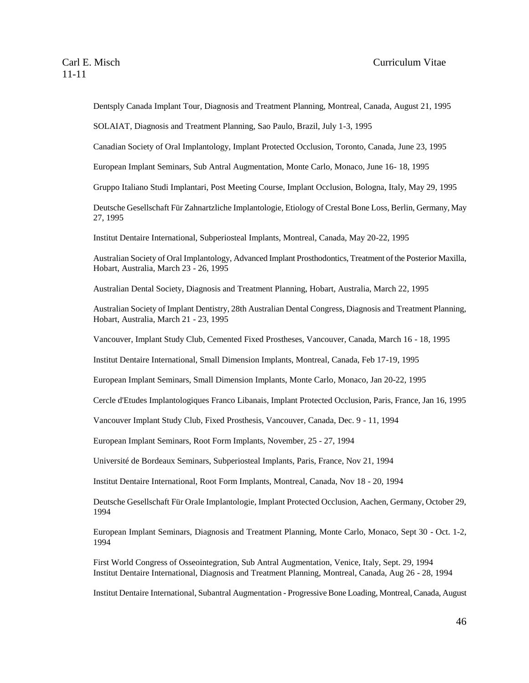Dentsply Canada Implant Tour, Diagnosis and Treatment Planning, Montreal, Canada, August 21, 1995

SOLAIAT, Diagnosis and Treatment Planning, Sao Paulo, Brazil, July 1-3, 1995

Canadian Society of Oral Implantology, Implant Protected Occlusion, Toronto, Canada, June 23, 1995

European Implant Seminars, Sub Antral Augmentation, Monte Carlo, Monaco, June 16- 18, 1995

Gruppo Italiano Studi Implantari, Post Meeting Course, Implant Occlusion, Bologna, Italy, May 29, 1995

Deutsche Gesellschaft Für Zahnartzliche Implantologie, Etiology of Crestal Bone Loss, Berlin, Germany, May 27, 1995

Institut Dentaire International, Subperiosteal Implants, Montreal, Canada, May 20-22, 1995

Australian Society of Oral Implantology, Advanced Implant Prosthodontics, Treatment of the Posterior Maxilla, Hobart, Australia, March 23 - 26, 1995

Australian Dental Society, Diagnosis and Treatment Planning, Hobart, Australia, March 22, 1995

Australian Society of Implant Dentistry, 28th Australian Dental Congress, Diagnosis and Treatment Planning, Hobart, Australia, March 21 - 23, 1995

Vancouver, Implant Study Club, Cemented Fixed Prostheses, Vancouver, Canada, March 16 - 18, 1995

Institut Dentaire International, Small Dimension Implants, Montreal, Canada, Feb 17-19, 1995

European Implant Seminars, Small Dimension Implants, Monte Carlo, Monaco, Jan 20-22, 1995

Cercle d'Etudes Implantologiques Franco Libanais, Implant Protected Occlusion, Paris, France, Jan 16, 1995

Vancouver Implant Study Club, Fixed Prosthesis, Vancouver, Canada, Dec. 9 - 11, 1994

European Implant Seminars, Root Form Implants, November, 25 - 27, 1994

Université de Bordeaux Seminars, Subperiosteal Implants, Paris, France, Nov 21, 1994

Institut Dentaire International, Root Form Implants, Montreal, Canada, Nov 18 - 20, 1994

Deutsche Gesellschaft Für Orale Implantologie, Implant Protected Occlusion, Aachen, Germany, October 29, 1994

European Implant Seminars, Diagnosis and Treatment Planning, Monte Carlo, Monaco, Sept 30 - Oct. 1-2, 1994

First World Congress of Osseointegration, Sub Antral Augmentation, Venice, Italy, Sept. 29, 1994 Institut Dentaire International, Diagnosis and Treatment Planning, Montreal, Canada, Aug 26 - 28, 1994

Institut Dentaire International, Subantral Augmentation - Progressive Bone Loading, Montreal, Canada, August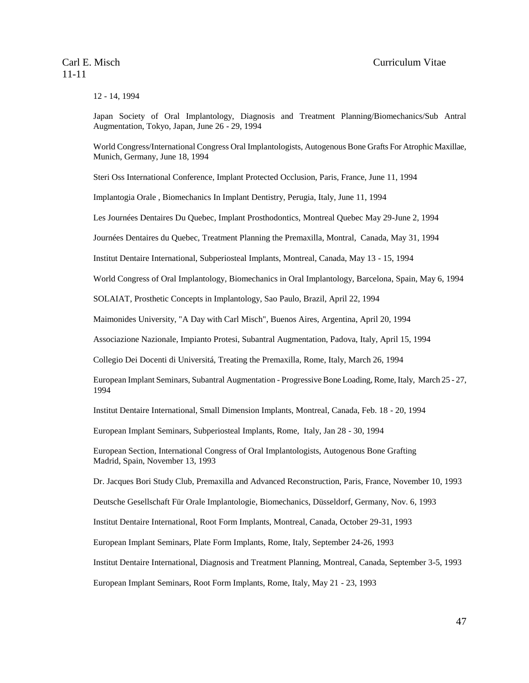12 - 14, 1994

Japan Society of Oral Implantology, Diagnosis and Treatment Planning/Biomechanics/Sub Antral Augmentation, Tokyo, Japan, June 26 - 29, 1994

World Congress/International Congress Oral Implantologists, Autogenous Bone Grafts For Atrophic Maxillae, Munich, Germany, June 18, 1994

Steri Oss International Conference, Implant Protected Occlusion, Paris, France, June 11, 1994

Implantogia Orale , Biomechanics In Implant Dentistry, Perugia, Italy, June 11, 1994

Les Journées Dentaires Du Quebec, Implant Prosthodontics, Montreal Quebec May 29-June 2, 1994

Journées Dentaires du Quebec, Treatment Planning the Premaxilla, Montral, Canada, May 31, 1994

Institut Dentaire International, Subperiosteal Implants, Montreal, Canada, May 13 - 15, 1994

World Congress of Oral Implantology, Biomechanics in Oral Implantology, Barcelona, Spain, May 6, 1994

SOLAIAT, Prosthetic Concepts in Implantology, Sao Paulo, Brazil, April 22, 1994

Maimonides University, "A Day with Carl Misch", Buenos Aires, Argentina, April 20, 1994

Associazione Nazionale, Impianto Protesi, Subantral Augmentation, Padova, Italy, April 15, 1994

Collegio Dei Docenti di Universitá, Treating the Premaxilla, Rome, Italy, March 26, 1994

European Implant Seminars, Subantral Augmentation - Progressive Bone Loading, Rome, Italy, March 25 - 27, 1994

Institut Dentaire International, Small Dimension Implants, Montreal, Canada, Feb. 18 - 20, 1994

European Implant Seminars, Subperiosteal Implants, Rome, Italy, Jan 28 - 30, 1994

European Section, International Congress of Oral Implantologists, Autogenous Bone Grafting Madrid, Spain, November 13, 1993

Dr. Jacques Bori Study Club, Premaxilla and Advanced Reconstruction, Paris, France, November 10, 1993

Deutsche Gesellschaft Für Orale Implantologie, Biomechanics, Düsseldorf, Germany, Nov. 6, 1993

Institut Dentaire International, Root Form Implants, Montreal, Canada, October 29-31, 1993

European Implant Seminars, Plate Form Implants, Rome, Italy, September 24-26, 1993

Institut Dentaire International, Diagnosis and Treatment Planning, Montreal, Canada, September 3-5, 1993

European Implant Seminars, Root Form Implants, Rome, Italy, May 21 - 23, 1993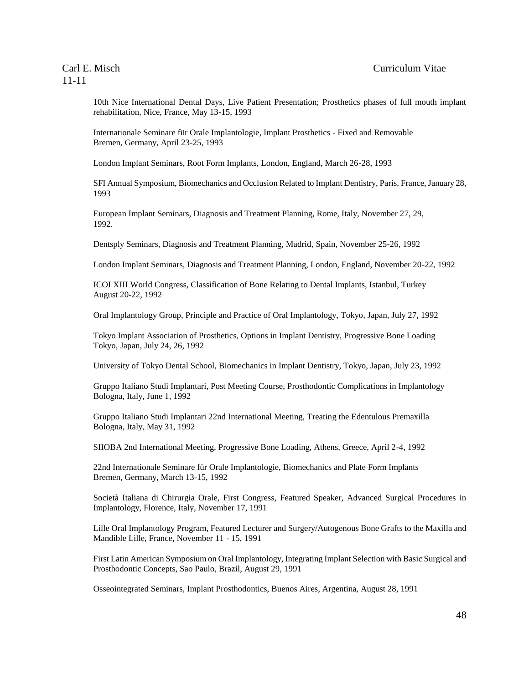10th Nice International Dental Days, Live Patient Presentation; Prosthetics phases of full mouth implant rehabilitation, Nice, France, May 13-15, 1993

Internationale Seminare für Orale Implantologie, Implant Prosthetics - Fixed and Removable Bremen, Germany, April 23-25, 1993

London Implant Seminars, Root Form Implants, London, England, March 26-28, 1993

SFI Annual Symposium, Biomechanics and Occlusion Related to Implant Dentistry, Paris, France, January 28, 1993

European Implant Seminars, Diagnosis and Treatment Planning, Rome, Italy, November 27, 29, 1992.

Dentsply Seminars, Diagnosis and Treatment Planning, Madrid, Spain, November 25-26, 1992

London Implant Seminars, Diagnosis and Treatment Planning, London, England, November 20-22, 1992

ICOI XIII World Congress, Classification of Bone Relating to Dental Implants, Istanbul, Turkey August 20-22, 1992

Oral Implantology Group, Principle and Practice of Oral Implantology, Tokyo, Japan, July 27, 1992

Tokyo Implant Association of Prosthetics, Options in Implant Dentistry, Progressive Bone Loading Tokyo, Japan, July 24, 26, 1992

University of Tokyo Dental School, Biomechanics in Implant Dentistry, Tokyo, Japan, July 23, 1992

Gruppo Italiano Studi Implantari, Post Meeting Course, Prosthodontic Complications in Implantology Bologna, Italy, June 1, 1992

Gruppo Italiano Studi Implantari 22nd International Meeting, Treating the Edentulous Premaxilla Bologna, Italy, May 31, 1992

SIIOBA 2nd International Meeting, Progressive Bone Loading, Athens, Greece, April 2-4, 1992

22nd Internationale Seminare für Orale Implantologie, Biomechanics and Plate Form Implants Bremen, Germany, March 13-15, 1992

Società Italiana di Chirurgia Orale, First Congress, Featured Speaker, Advanced Surgical Procedures in Implantology, Florence, Italy, November 17, 1991

Lille Oral Implantology Program, Featured Lecturer and Surgery/Autogenous Bone Grafts to the Maxilla and Mandible Lille, France, November 11 - 15, 1991

First Latin American Symposium on Oral Implantology, Integrating Implant Selection with Basic Surgical and Prosthodontic Concepts, Sao Paulo, Brazil, August 29, 1991

Osseointegrated Seminars, Implant Prosthodontics, Buenos Aires, Argentina, August 28, 1991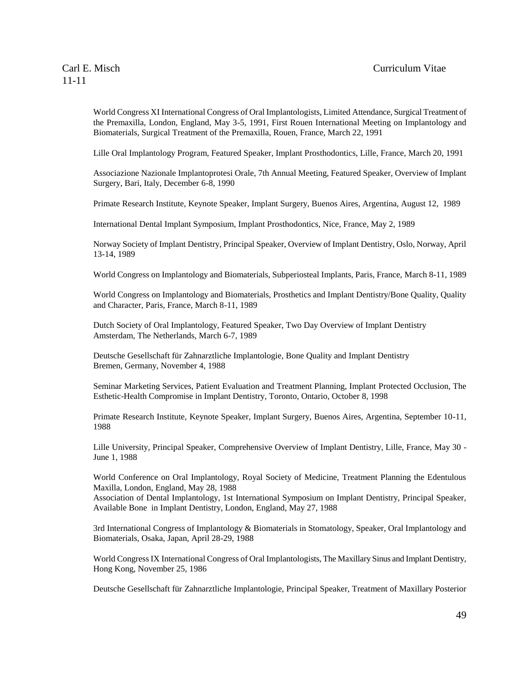World Congress XI International Congress of Oral Implantologists, Limited Attendance, Surgical Treatment of the Premaxilla, London, England, May 3-5, 1991, First Rouen International Meeting on Implantology and Biomaterials, Surgical Treatment of the Premaxilla, Rouen, France, March 22, 1991

Lille Oral Implantology Program, Featured Speaker, Implant Prosthodontics, Lille, France, March 20, 1991

Associazione Nazionale Implantoprotesi Orale, 7th Annual Meeting, Featured Speaker, Overview of Implant Surgery, Bari, Italy, December 6-8, 1990

Primate Research Institute, Keynote Speaker, Implant Surgery, Buenos Aires, Argentina, August 12, 1989

International Dental Implant Symposium, Implant Prosthodontics, Nice, France, May 2, 1989

Norway Society of Implant Dentistry, Principal Speaker, Overview of Implant Dentistry, Oslo, Norway, April 13-14, 1989

World Congress on Implantology and Biomaterials, Subperiosteal Implants, Paris, France, March 8-11, 1989

World Congress on Implantology and Biomaterials, Prosthetics and Implant Dentistry/Bone Quality, Quality and Character, Paris, France, March 8-11, 1989

Dutch Society of Oral Implantology, Featured Speaker, Two Day Overview of Implant Dentistry Amsterdam, The Netherlands, March 6-7, 1989

Deutsche Gesellschaft für Zahnarztliche Implantologie, Bone Quality and Implant Dentistry Bremen, Germany, November 4, 1988

Seminar Marketing Services, Patient Evaluation and Treatment Planning, Implant Protected Occlusion, The Esthetic-Health Compromise in Implant Dentistry, Toronto, Ontario, October 8, 1998

Primate Research Institute, Keynote Speaker, Implant Surgery, Buenos Aires, Argentina, September 10-11, 1988

Lille University, Principal Speaker, Comprehensive Overview of Implant Dentistry, Lille, France, May 30 - June 1, 1988

World Conference on Oral Implantology, Royal Society of Medicine, Treatment Planning the Edentulous Maxilla, London, England, May 28, 1988

Association of Dental Implantology, 1st International Symposium on Implant Dentistry, Principal Speaker, Available Bone in Implant Dentistry, London, England, May 27, 1988

3rd International Congress of Implantology & Biomaterials in Stomatology, Speaker, Oral Implantology and Biomaterials, Osaka, Japan, April 28-29, 1988

World Congress IX International Congress of Oral Implantologists, The Maxillary Sinus and Implant Dentistry, Hong Kong, November 25, 1986

Deutsche Gesellschaft für Zahnarztliche Implantologie, Principal Speaker, Treatment of Maxillary Posterior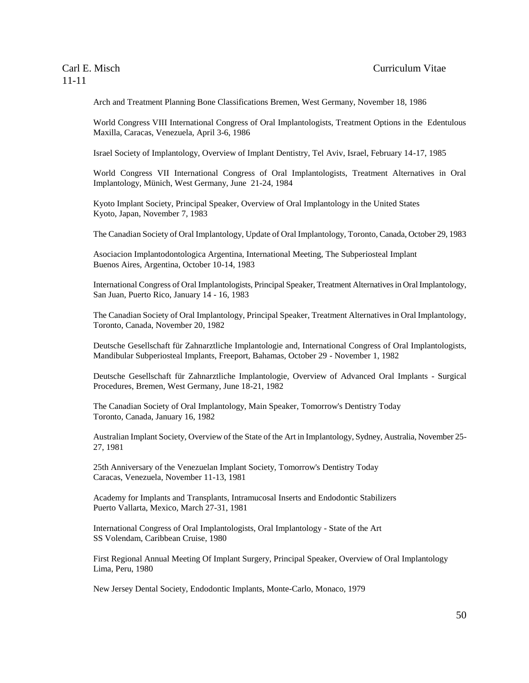Arch and Treatment Planning Bone Classifications Bremen, West Germany, November 18, 1986

World Congress VIII International Congress of Oral Implantologists, Treatment Options in the Edentulous Maxilla, Caracas, Venezuela, April 3-6, 1986

Israel Society of Implantology, Overview of Implant Dentistry, Tel Aviv, Israel, February 14-17, 1985

World Congress VII International Congress of Oral Implantologists, Treatment Alternatives in Oral Implantology, Münich, West Germany, June 21-24, 1984

Kyoto Implant Society, Principal Speaker, Overview of Oral Implantology in the United States Kyoto, Japan, November 7, 1983

The Canadian Society of Oral Implantology, Update of Oral Implantology, Toronto, Canada, October 29, 1983

Asociacion Implantodontologica Argentina, International Meeting, The Subperiosteal Implant Buenos Aires, Argentina, October 10-14, 1983

International Congress of Oral Implantologists, Principal Speaker, Treatment Alternatives in Oral Implantology, San Juan, Puerto Rico, January 14 - 16, 1983

The Canadian Society of Oral Implantology, Principal Speaker, Treatment Alternatives in Oral Implantology, Toronto, Canada, November 20, 1982

Deutsche Gesellschaft für Zahnarztliche Implantologie and, International Congress of Oral Implantologists, Mandibular Subperiosteal Implants, Freeport, Bahamas, October 29 - November 1, 1982

Deutsche Gesellschaft für Zahnarztliche Implantologie, Overview of Advanced Oral Implants - Surgical Procedures, Bremen, West Germany, June 18-21, 1982

The Canadian Society of Oral Implantology, Main Speaker, Tomorrow's Dentistry Today Toronto, Canada, January 16, 1982

Australian Implant Society, Overview of the State of the Art in Implantology, Sydney, Australia, November 25- 27, 1981

25th Anniversary of the Venezuelan Implant Society, Tomorrow's Dentistry Today Caracas, Venezuela, November 11-13, 1981

Academy for Implants and Transplants, Intramucosal Inserts and Endodontic Stabilizers Puerto Vallarta, Mexico, March 27-31, 1981

International Congress of Oral Implantologists, Oral Implantology - State of the Art SS Volendam, Caribbean Cruise, 1980

First Regional Annual Meeting Of Implant Surgery, Principal Speaker, Overview of Oral Implantology Lima, Peru, 1980

New Jersey Dental Society, Endodontic Implants, Monte-Carlo, Monaco, 1979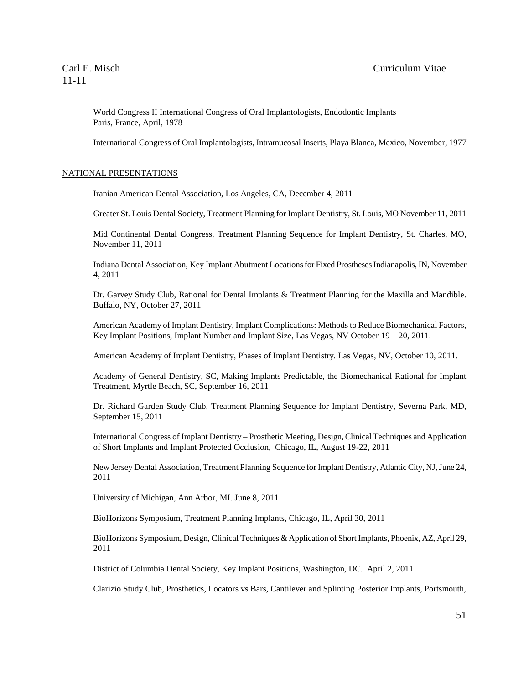World Congress II International Congress of Oral Implantologists, Endodontic Implants Paris, France, April, 1978

International Congress of Oral Implantologists, Intramucosal Inserts, Playa Blanca, Mexico, November, 1977

#### NATIONAL PRESENTATIONS

Iranian American Dental Association, Los Angeles, CA, December 4, 2011

Greater St. Louis Dental Society, Treatment Planning for Implant Dentistry, St. Louis, MO November 11, 2011

Mid Continental Dental Congress, Treatment Planning Sequence for Implant Dentistry, St. Charles, MO, November 11, 2011

Indiana Dental Association, Key Implant Abutment Locations for Fixed Prostheses Indianapolis, IN, November 4, 2011

Dr. Garvey Study Club, Rational for Dental Implants & Treatment Planning for the Maxilla and Mandible. Buffalo, NY, October 27, 2011

American Academy of Implant Dentistry, Implant Complications: Methods to Reduce Biomechanical Factors, Key Implant Positions, Implant Number and Implant Size, Las Vegas, NV October 19 – 20, 2011.

American Academy of Implant Dentistry, Phases of Implant Dentistry. Las Vegas, NV, October 10, 2011.

Academy of General Dentistry, SC, Making Implants Predictable, the Biomechanical Rational for Implant Treatment, Myrtle Beach, SC, September 16, 2011

Dr. Richard Garden Study Club, Treatment Planning Sequence for Implant Dentistry, Severna Park, MD, September 15, 2011

International Congress of Implant Dentistry – Prosthetic Meeting, Design, Clinical Techniques and Application of Short Implants and Implant Protected Occlusion, Chicago, IL, August 19-22, 2011

New Jersey Dental Association, Treatment Planning Sequence for Implant Dentistry, Atlantic City, NJ, June 24, 2011

University of Michigan, Ann Arbor, MI. June 8, 2011

BioHorizons Symposium, Treatment Planning Implants, Chicago, IL, April 30, 2011

BioHorizons Symposium, Design, Clinical Techniques & Application of Short Implants, Phoenix, AZ, April 29, 2011

District of Columbia Dental Society, Key Implant Positions, Washington, DC. April 2, 2011

Clarizio Study Club, Prosthetics, Locators vs Bars, Cantilever and Splinting Posterior Implants, Portsmouth,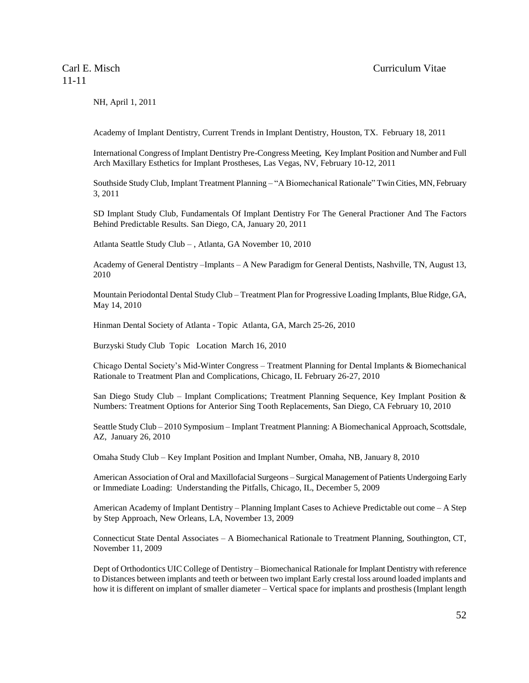NH, April 1, 2011

Academy of Implant Dentistry, Current Trends in Implant Dentistry, Houston, TX. February 18, 2011

International Congress of Implant Dentistry Pre-Congress Meeting, Key Implant Position and Number and Full Arch Maxillary Esthetics for Implant Prostheses, Las Vegas, NV, February 10-12, 2011

Southside Study Club, Implant Treatment Planning – "A Biomechanical Rationale" Twin Cities, MN, February 3, 2011

SD Implant Study Club, Fundamentals Of Implant Dentistry For The General Practioner And The Factors Behind Predictable Results. San Diego, CA, January 20, 2011

Atlanta Seattle Study Club – , Atlanta, GA November 10, 2010

Academy of General Dentistry –Implants – A New Paradigm for General Dentists, Nashville, TN, August 13, 2010

Mountain Periodontal Dental Study Club – Treatment Plan for Progressive Loading Implants, Blue Ridge, GA, May 14, 2010

Hinman Dental Society of Atlanta - Topic Atlanta, GA, March 25-26, 2010

Burzyski Study Club Topic Location March 16, 2010

Chicago Dental Society's Mid-Winter Congress – Treatment Planning for Dental Implants & Biomechanical Rationale to Treatment Plan and Complications, Chicago, IL February 26-27, 2010

San Diego Study Club – Implant Complications; Treatment Planning Sequence, Key Implant Position & Numbers: Treatment Options for Anterior Sing Tooth Replacements, San Diego, CA February 10, 2010

Seattle Study Club – 2010 Symposium – Implant Treatment Planning: A Biomechanical Approach, Scottsdale, AZ, January 26, 2010

Omaha Study Club – Key Implant Position and Implant Number, Omaha, NB, January 8, 2010

American Association of Oral and Maxillofacial Surgeons – Surgical Management of Patients Undergoing Early or Immediate Loading: Understanding the Pitfalls, Chicago, IL, December 5, 2009

American Academy of Implant Dentistry – Planning Implant Cases to Achieve Predictable out come – A Step by Step Approach, New Orleans, LA, November 13, 2009

Connecticut State Dental Associates – A Biomechanical Rationale to Treatment Planning, Southington, CT, November 11, 2009

Dept of Orthodontics UIC College of Dentistry – Biomechanical Rationale for Implant Dentistry with reference to Distances between implants and teeth or between two implant Early crestal loss around loaded implants and how it is different on implant of smaller diameter – Vertical space for implants and prosthesis (Implant length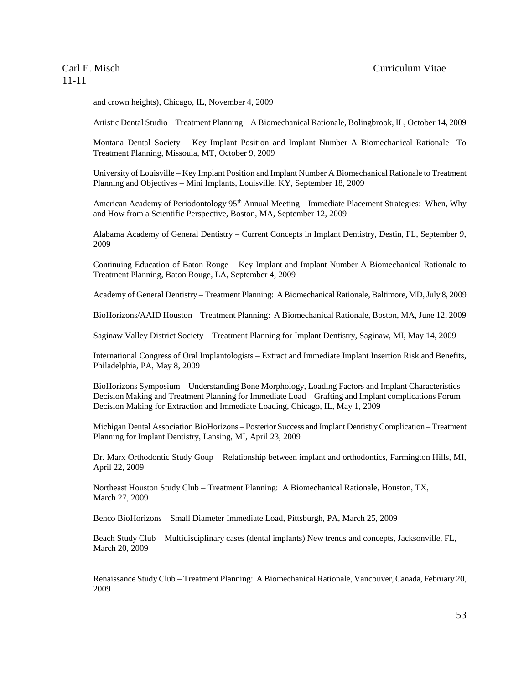### Carl E. Misch Curriculum Vitae

# 11-11

and crown heights), Chicago, IL, November 4, 2009

Artistic Dental Studio – Treatment Planning – A Biomechanical Rationale, Bolingbrook, IL, October 14, 2009

Montana Dental Society – Key Implant Position and Implant Number A Biomechanical Rationale To Treatment Planning, Missoula, MT, October 9, 2009

University of Louisville – Key Implant Position and Implant Number A Biomechanical Rationale to Treatment Planning and Objectives – Mini Implants, Louisville, KY, September 18, 2009

American Academy of Periodontology 95<sup>th</sup> Annual Meeting – Immediate Placement Strategies: When, Why and How from a Scientific Perspective, Boston, MA, September 12, 2009

Alabama Academy of General Dentistry – Current Concepts in Implant Dentistry, Destin, FL, September 9, 2009

Continuing Education of Baton Rouge – Key Implant and Implant Number A Biomechanical Rationale to Treatment Planning, Baton Rouge, LA, September 4, 2009

Academy of General Dentistry – Treatment Planning: A Biomechanical Rationale, Baltimore, MD, July 8, 2009

BioHorizons/AAID Houston – Treatment Planning: A Biomechanical Rationale, Boston, MA, June 12, 2009

Saginaw Valley District Society – Treatment Planning for Implant Dentistry, Saginaw, MI, May 14, 2009

International Congress of Oral Implantologists – Extract and Immediate Implant Insertion Risk and Benefits, Philadelphia, PA, May 8, 2009

BioHorizons Symposium – Understanding Bone Morphology, Loading Factors and Implant Characteristics – Decision Making and Treatment Planning for Immediate Load – Grafting and Implant complications Forum – Decision Making for Extraction and Immediate Loading, Chicago, IL, May 1, 2009

Michigan Dental Association BioHorizons – Posterior Success and Implant Dentistry Complication – Treatment Planning for Implant Dentistry, Lansing, MI, April 23, 2009

Dr. Marx Orthodontic Study Goup – Relationship between implant and orthodontics, Farmington Hills, MI, April 22, 2009

Northeast Houston Study Club – Treatment Planning: A Biomechanical Rationale, Houston, TX, March 27, 2009

Benco BioHorizons – Small Diameter Immediate Load, Pittsburgh, PA, March 25, 2009

Beach Study Club – Multidisciplinary cases (dental implants) New trends and concepts, Jacksonville, FL, March 20, 2009

Renaissance Study Club – Treatment Planning: A Biomechanical Rationale, Vancouver, Canada, February 20, 2009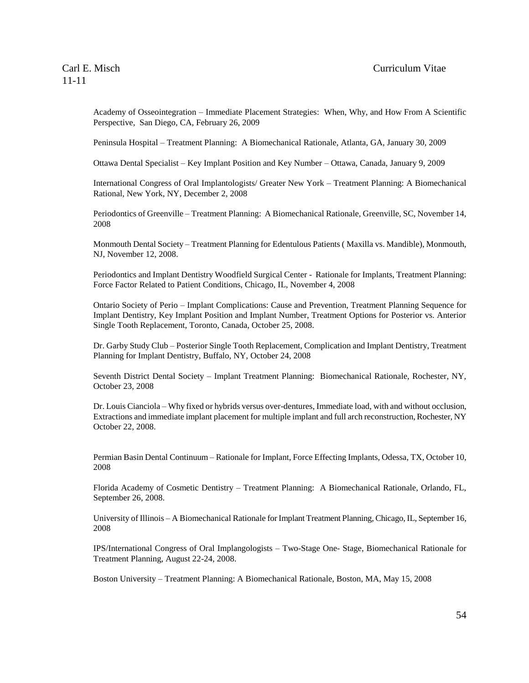Academy of Osseointegration – Immediate Placement Strategies: When, Why, and How From A Scientific Perspective, San Diego, CA, February 26, 2009

Peninsula Hospital – Treatment Planning: A Biomechanical Rationale, Atlanta, GA, January 30, 2009

Ottawa Dental Specialist – Key Implant Position and Key Number – Ottawa, Canada, January 9, 2009

International Congress of Oral Implantologists/ Greater New York – Treatment Planning: A Biomechanical Rational, New York, NY, December 2, 2008

Periodontics of Greenville – Treatment Planning: A Biomechanical Rationale, Greenville, SC, November 14, 2008

Monmouth Dental Society – Treatment Planning for Edentulous Patients ( Maxilla vs. Mandible), Monmouth, NJ, November 12, 2008.

Periodontics and Implant Dentistry Woodfield Surgical Center - Rationale for Implants, Treatment Planning: Force Factor Related to Patient Conditions, Chicago, IL, November 4, 2008

Ontario Society of Perio – Implant Complications: Cause and Prevention, Treatment Planning Sequence for Implant Dentistry, Key Implant Position and Implant Number, Treatment Options for Posterior vs. Anterior Single Tooth Replacement, Toronto, Canada, October 25, 2008.

Dr. Garby Study Club – Posterior Single Tooth Replacement, Complication and Implant Dentistry, Treatment Planning for Implant Dentistry, Buffalo, NY, October 24, 2008

Seventh District Dental Society – Implant Treatment Planning: Biomechanical Rationale, Rochester, NY, October 23, 2008

Dr. Louis Cianciola – Why fixed or hybrids versus over-dentures, Immediate load, with and without occlusion, Extractions and immediate implant placement for multiple implant and full arch reconstruction, Rochester, NY October 22, 2008.

Permian Basin Dental Continuum – Rationale for Implant, Force Effecting Implants, Odessa, TX, October 10, 2008

Florida Academy of Cosmetic Dentistry – Treatment Planning: A Biomechanical Rationale, Orlando, FL, September 26, 2008.

University of Illinois – A Biomechanical Rationale for Implant Treatment Planning, Chicago, IL, September 16, 2008

IPS/International Congress of Oral Implangologists – Two-Stage One- Stage, Biomechanical Rationale for Treatment Planning, August 22-24, 2008.

Boston University – Treatment Planning: A Biomechanical Rationale, Boston, MA, May 15, 2008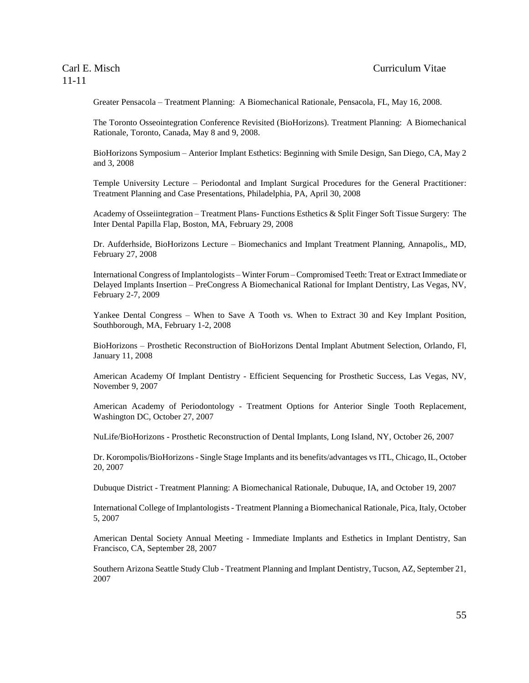Greater Pensacola – Treatment Planning: A Biomechanical Rationale, Pensacola, FL, May 16, 2008.

The Toronto Osseointegration Conference Revisited (BioHorizons). Treatment Planning: A Biomechanical Rationale, Toronto, Canada, May 8 and 9, 2008.

BioHorizons Symposium – Anterior Implant Esthetics: Beginning with Smile Design, San Diego, CA, May 2 and 3, 2008

Temple University Lecture – Periodontal and Implant Surgical Procedures for the General Practitioner: Treatment Planning and Case Presentations, Philadelphia, PA, April 30, 2008

Academy of Osseiintegration – Treatment Plans- Functions Esthetics & Split Finger Soft Tissue Surgery: The Inter Dental Papilla Flap, Boston, MA, February 29, 2008

Dr. Aufderhside, BioHorizons Lecture – Biomechanics and Implant Treatment Planning, Annapolis,, MD, February 27, 2008

International Congress of Implantologists – Winter Forum – Compromised Teeth: Treat or Extract Immediate or Delayed Implants Insertion – PreCongress A Biomechanical Rational for Implant Dentistry, Las Vegas, NV, February 2-7, 2009

Yankee Dental Congress – When to Save A Tooth vs. When to Extract 30 and Key Implant Position, Southborough, MA, February 1-2, 2008

BioHorizons – Prosthetic Reconstruction of BioHorizons Dental Implant Abutment Selection, Orlando, Fl, January 11, 2008

American Academy Of Implant Dentistry - Efficient Sequencing for Prosthetic Success, Las Vegas, NV, November 9, 2007

American Academy of Periodontology - Treatment Options for Anterior Single Tooth Replacement, Washington DC, October 27, 2007

NuLife/BioHorizons - Prosthetic Reconstruction of Dental Implants, Long Island, NY, October 26, 2007

Dr. Korompolis/BioHorizons - Single Stage Implants and its benefits/advantages vsITL, Chicago, IL, October 20, 2007

Dubuque District - Treatment Planning: A Biomechanical Rationale, Dubuque, IA, and October 19, 2007

International College of Implantologists - Treatment Planning a Biomechanical Rationale, Pica, Italy, October 5, 2007

American Dental Society Annual Meeting - Immediate Implants and Esthetics in Implant Dentistry, San Francisco, CA, September 28, 2007

Southern Arizona Seattle Study Club - Treatment Planning and Implant Dentistry, Tucson, AZ, September 21, 2007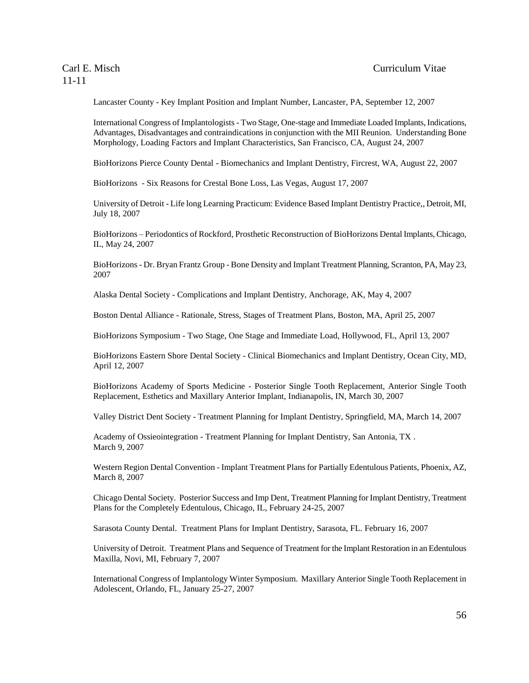Lancaster County - Key Implant Position and Implant Number, Lancaster, PA, September 12, 2007

International Congress of Implantologists - Two Stage, One-stage and Immediate Loaded Implants, Indications, Advantages, Disadvantages and contraindications in conjunction with the MII Reunion. Understanding Bone Morphology, Loading Factors and Implant Characteristics, San Francisco, CA, August 24, 2007

BioHorizons Pierce County Dental - Biomechanics and Implant Dentistry, Fircrest, WA, August 22, 2007

BioHorizons - Six Reasons for Crestal Bone Loss, Las Vegas, August 17, 2007

University of Detroit - Life long Learning Practicum: Evidence Based Implant Dentistry Practice,, Detroit, MI, July 18, 2007

BioHorizons – Periodontics of Rockford, Prosthetic Reconstruction of BioHorizons Dental Implants, Chicago, IL, May 24, 2007

BioHorizons - Dr. Bryan Frantz Group - Bone Density and Implant Treatment Planning, Scranton, PA, May 23, 2007

Alaska Dental Society - Complications and Implant Dentistry, Anchorage, AK, May 4, 2007

Boston Dental Alliance - Rationale, Stress, Stages of Treatment Plans, Boston, MA, April 25, 2007

BioHorizons Symposium - Two Stage, One Stage and Immediate Load, Hollywood, FL, April 13, 2007

BioHorizons Eastern Shore Dental Society - Clinical Biomechanics and Implant Dentistry, Ocean City, MD, April 12, 2007

BioHorizons Academy of Sports Medicine - Posterior Single Tooth Replacement, Anterior Single Tooth Replacement, Esthetics and Maxillary Anterior Implant, Indianapolis, IN, March 30, 2007

Valley District Dent Society - Treatment Planning for Implant Dentistry, Springfield, MA, March 14, 2007

Academy of Ossieointegration - Treatment Planning for Implant Dentistry, San Antonia, TX . March 9, 2007

Western Region Dental Convention - Implant Treatment Plans for Partially Edentulous Patients, Phoenix, AZ, March 8, 2007

Chicago Dental Society. Posterior Success and Imp Dent, Treatment Planning for Implant Dentistry, Treatment Plans for the Completely Edentulous, Chicago, IL, February 24-25, 2007

Sarasota County Dental. Treatment Plans for Implant Dentistry, Sarasota, FL. February 16, 2007

University of Detroit. Treatment Plans and Sequence of Treatment for the Implant Restoration in an Edentulous Maxilla, Novi, MI, February 7, 2007

International Congress of Implantology Winter Symposium. Maxillary Anterior Single Tooth Replacement in Adolescent, Orlando, FL, January 25-27, 2007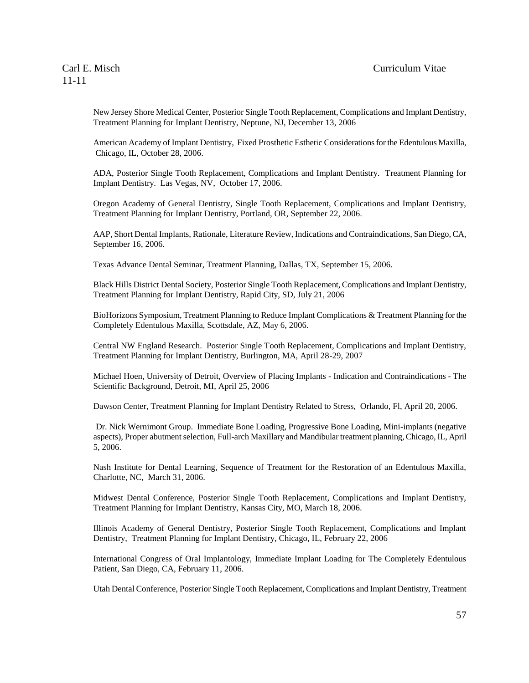New Jersey Shore Medical Center, Posterior Single Tooth Replacement, Complications and Implant Dentistry, Treatment Planning for Implant Dentistry, Neptune, NJ, December 13, 2006

American Academy of Implant Dentistry, Fixed Prosthetic Esthetic Considerations for the Edentulous Maxilla, Chicago, IL, October 28, 2006.

ADA, Posterior Single Tooth Replacement, Complications and Implant Dentistry. Treatment Planning for Implant Dentistry. Las Vegas, NV, October 17, 2006.

Oregon Academy of General Dentistry, Single Tooth Replacement, Complications and Implant Dentistry, Treatment Planning for Implant Dentistry, Portland, OR, September 22, 2006.

AAP, Short Dental Implants, Rationale, Literature Review, Indications and Contraindications, San Diego, CA, September 16, 2006.

Texas Advance Dental Seminar, Treatment Planning, Dallas, TX, September 15, 2006.

Black Hills District Dental Society, Posterior Single Tooth Replacement, Complications and Implant Dentistry, Treatment Planning for Implant Dentistry, Rapid City, SD, July 21, 2006

BioHorizons Symposium, Treatment Planning to Reduce Implant Complications & Treatment Planning for the Completely Edentulous Maxilla, Scottsdale, AZ, May 6, 2006.

Central NW England Research. Posterior Single Tooth Replacement, Complications and Implant Dentistry, Treatment Planning for Implant Dentistry, Burlington, MA, April 28-29, 2007

Michael Hoen, University of Detroit, Overview of Placing Implants - Indication and Contraindications - The Scientific Background, Detroit, MI, April 25, 2006

Dawson Center, Treatment Planning for Implant Dentistry Related to Stress, Orlando, Fl, April 20, 2006.

Dr. Nick Wernimont Group. Immediate Bone Loading, Progressive Bone Loading, Mini-implants (negative aspects), Proper abutment selection, Full-arch Maxillary and Mandibular treatment planning, Chicago, IL, April 5, 2006.

Nash Institute for Dental Learning, Sequence of Treatment for the Restoration of an Edentulous Maxilla, Charlotte, NC, March 31, 2006.

Midwest Dental Conference, Posterior Single Tooth Replacement, Complications and Implant Dentistry, Treatment Planning for Implant Dentistry, Kansas City, MO, March 18, 2006.

Illinois Academy of General Dentistry, Posterior Single Tooth Replacement, Complications and Implant Dentistry, Treatment Planning for Implant Dentistry, Chicago, IL, February 22, 2006

International Congress of Oral Implantology, Immediate Implant Loading for The Completely Edentulous Patient, San Diego, CA, February 11, 2006.

Utah Dental Conference, Posterior Single Tooth Replacement, Complications and Implant Dentistry, Treatment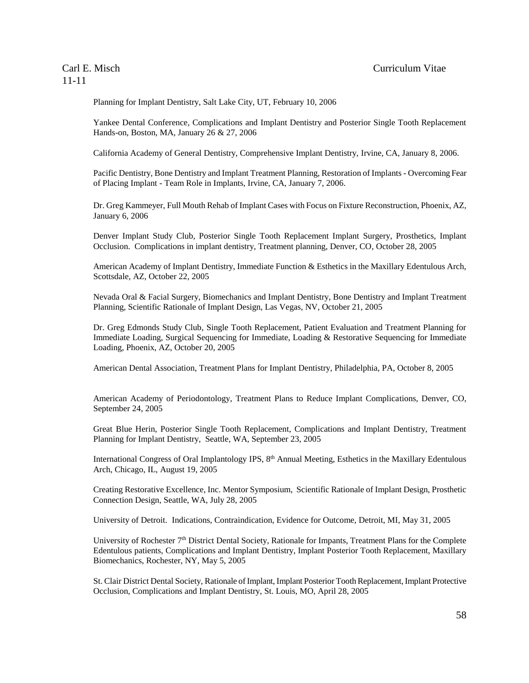Planning for Implant Dentistry, Salt Lake City, UT, February 10, 2006

Yankee Dental Conference, Complications and Implant Dentistry and Posterior Single Tooth Replacement Hands-on, Boston, MA, January 26 & 27, 2006

California Academy of General Dentistry, Comprehensive Implant Dentistry, Irvine, CA, January 8, 2006.

Pacific Dentistry, Bone Dentistry and Implant Treatment Planning, Restoration of Implants - Overcoming Fear of Placing Implant - Team Role in Implants, Irvine, CA, January 7, 2006.

Dr. Greg Kammeyer, Full Mouth Rehab of Implant Cases with Focus on Fixture Reconstruction, Phoenix, AZ, January 6, 2006

Denver Implant Study Club, Posterior Single Tooth Replacement Implant Surgery, Prosthetics, Implant Occlusion. Complications in implant dentistry, Treatment planning, Denver, CO, October 28, 2005

American Academy of Implant Dentistry, Immediate Function & Esthetics in the Maxillary Edentulous Arch, Scottsdale, AZ, October 22, 2005

Nevada Oral & Facial Surgery, Biomechanics and Implant Dentistry, Bone Dentistry and Implant Treatment Planning, Scientific Rationale of Implant Design, Las Vegas, NV, October 21, 2005

Dr. Greg Edmonds Study Club, Single Tooth Replacement, Patient Evaluation and Treatment Planning for Immediate Loading, Surgical Sequencing for Immediate, Loading & Restorative Sequencing for Immediate Loading, Phoenix, AZ, October 20, 2005

American Dental Association, Treatment Plans for Implant Dentistry, Philadelphia, PA, October 8, 2005

American Academy of Periodontology, Treatment Plans to Reduce Implant Complications, Denver, CO, September 24, 2005

Great Blue Herin, Posterior Single Tooth Replacement, Complications and Implant Dentistry, Treatment Planning for Implant Dentistry, Seattle, WA, September 23, 2005

International Congress of Oral Implantology IPS, 8<sup>th</sup> Annual Meeting, Esthetics in the Maxillary Edentulous Arch, Chicago, IL, August 19, 2005

Creating Restorative Excellence, Inc. Mentor Symposium, Scientific Rationale of Implant Design, Prosthetic Connection Design, Seattle, WA, July 28, 2005

University of Detroit. Indications, Contraindication, Evidence for Outcome, Detroit, MI, May 31, 2005

University of Rochester 7<sup>th</sup> District Dental Society, Rationale for Impants, Treatment Plans for the Complete Edentulous patients, Complications and Implant Dentistry, Implant Posterior Tooth Replacement, Maxillary Biomechanics, Rochester, NY, May 5, 2005

St. Clair District Dental Society, Rationale of Implant, Implant Posterior Tooth Replacement, Implant Protective Occlusion, Complications and Implant Dentistry, St. Louis, MO, April 28, 2005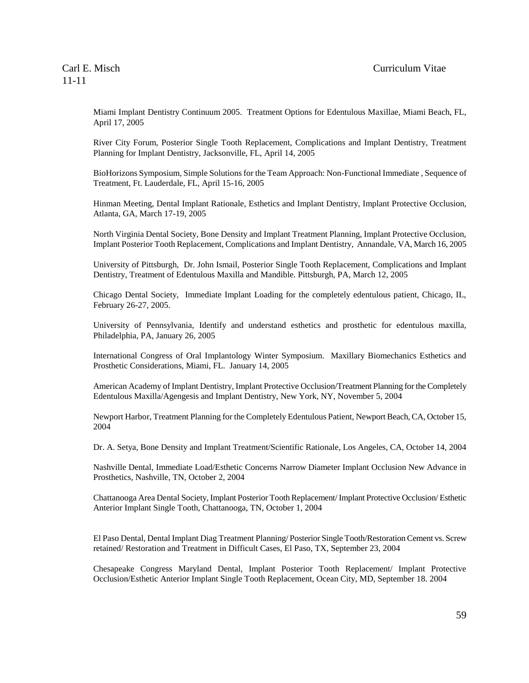Miami Implant Dentistry Continuum 2005. Treatment Options for Edentulous Maxillae, Miami Beach, FL, April 17, 2005

River City Forum, Posterior Single Tooth Replacement, Complications and Implant Dentistry, Treatment Planning for Implant Dentistry, Jacksonville, FL, April 14, 2005

BioHorizons Symposium, Simple Solutions for the Team Approach: Non-Functional Immediate , Sequence of Treatment, Ft. Lauderdale, FL, April 15-16, 2005

Hinman Meeting, Dental Implant Rationale, Esthetics and Implant Dentistry, Implant Protective Occlusion, Atlanta, GA, March 17-19, 2005

North Virginia Dental Society, Bone Density and Implant Treatment Planning, Implant Protective Occlusion, Implant Posterior Tooth Replacement, Complications and Implant Dentistry, Annandale, VA, March 16, 2005

University of Pittsburgh, Dr. John Ismail, Posterior Single Tooth Replacement, Complications and Implant Dentistry, Treatment of Edentulous Maxilla and Mandible. Pittsburgh, PA, March 12, 2005

Chicago Dental Society, Immediate Implant Loading for the completely edentulous patient, Chicago, IL, February 26-27, 2005.

University of Pennsylvania, Identify and understand esthetics and prosthetic for edentulous maxilla, Philadelphia, PA, January 26, 2005

International Congress of Oral Implantology Winter Symposium. Maxillary Biomechanics Esthetics and Prosthetic Considerations, Miami, FL. January 14, 2005

American Academy of Implant Dentistry, Implant Protective Occlusion/Treatment Planning for the Completely Edentulous Maxilla/Agengesis and Implant Dentistry, New York, NY, November 5, 2004

Newport Harbor, Treatment Planning for the Completely Edentulous Patient, Newport Beach, CA, October 15, 2004

Dr. A. Setya, Bone Density and Implant Treatment/Scientific Rationale, Los Angeles, CA, October 14, 2004

Nashville Dental, Immediate Load/Esthetic Concerns Narrow Diameter Implant Occlusion New Advance in Prosthetics, Nashville, TN, October 2, 2004

Chattanooga Area Dental Society, Implant Posterior Tooth Replacement/ Implant Protective Occlusion/ Esthetic Anterior Implant Single Tooth, Chattanooga, TN, October 1, 2004

El Paso Dental, Dental Implant Diag Treatment Planning/ Posterior Single Tooth/Restoration Cement vs. Screw retained/ Restoration and Treatment in Difficult Cases, El Paso, TX, September 23, 2004

Chesapeake Congress Maryland Dental, Implant Posterior Tooth Replacement/ Implant Protective Occlusion/Esthetic Anterior Implant Single Tooth Replacement, Ocean City, MD, September 18. 2004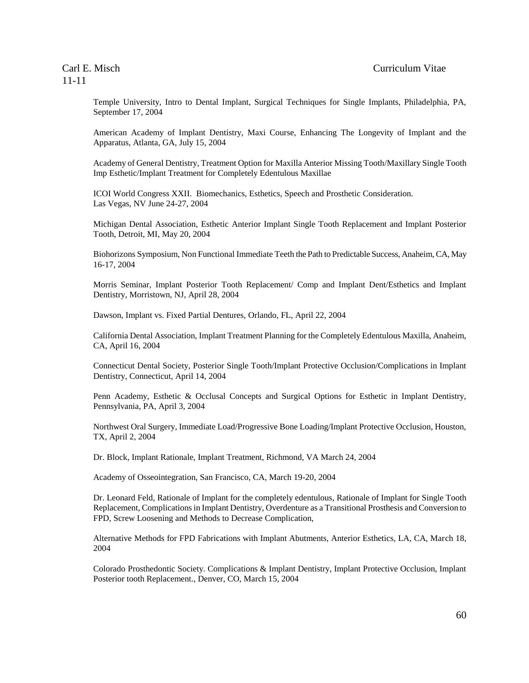Temple University, Intro to Dental Implant, Surgical Techniques for Single Implants, Philadelphia, PA, September 17, 2004

American Academy of Implant Dentistry, Maxi Course, Enhancing The Longevity of Implant and the Apparatus, Atlanta, GA, July 15, 2004

Academy of General Dentistry, Treatment Option for Maxilla Anterior Missing Tooth/Maxillary Single Tooth Imp Esthetic/Implant Treatment for Completely Edentulous Maxillae

ICOI World Congress XXII. Biomechanics, Esthetics, Speech and Prosthetic Consideration. Las Vegas, NV June 24-27, 2004

Michigan Dental Association, Esthetic Anterior Implant Single Tooth Replacement and Implant Posterior Tooth, Detroit, MI, May 20, 2004

Biohorizons Symposium, Non Functional Immediate Teeth the Path to Predictable Success, Anaheim, CA, May 16-17, 2004

Morris Seminar, Implant Posterior Tooth Replacement/ Comp and Implant Dent/Esthetics and Implant Dentistry, Morristown, NJ, April 28, 2004

Dawson, Implant vs. Fixed Partial Dentures, Orlando, FL, April 22, 2004

California Dental Association, Implant Treatment Planning for the Completely Edentulous Maxilla, Anaheim, CA, April 16, 2004

Connecticut Dental Society, Posterior Single Tooth/Implant Protective Occlusion/Complications in Implant Dentistry, Connecticut, April 14, 2004

Penn Academy, Esthetic & Occlusal Concepts and Surgical Options for Esthetic in Implant Dentistry, Pennsylvania, PA, April 3, 2004

Northwest Oral Surgery, Immediate Load/Progressive Bone Loading/Implant Protective Occlusion, Houston, TX, April 2, 2004

Dr. Block, Implant Rationale, Implant Treatment, Richmond, VA March 24, 2004

Academy of Osseointegration, San Francisco, CA, March 19-20, 2004

Dr. Leonard Feld, Rationale of Implant for the completely edentulous, Rationale of Implant for Single Tooth Replacement, Complications in Implant Dentistry, Overdenture as a Transitional Prosthesis and Conversion to FPD, Screw Loosening and Methods to Decrease Complication,

Alternative Methods for FPD Fabrications with Implant Abutments, Anterior Esthetics, LA, CA, March 18, 2004

Colorado Prosthedontic Society. Complications & Implant Dentistry, Implant Protective Occlusion, Implant Posterior tooth Replacement., Denver, CO, March 15, 2004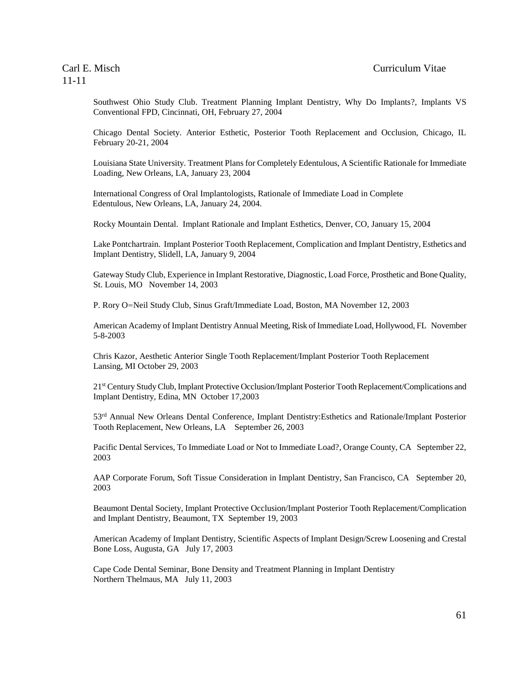Southwest Ohio Study Club. Treatment Planning Implant Dentistry, Why Do Implants?, Implants VS Conventional FPD, Cincinnati, OH, February 27, 2004

Chicago Dental Society. Anterior Esthetic, Posterior Tooth Replacement and Occlusion, Chicago, IL February 20-21, 2004

Louisiana State University. Treatment Plans for Completely Edentulous, A Scientific Rationale for Immediate Loading, New Orleans, LA, January 23, 2004

International Congress of Oral Implantologists, Rationale of Immediate Load in Complete Edentulous, New Orleans, LA, January 24, 2004.

Rocky Mountain Dental. Implant Rationale and Implant Esthetics, Denver, CO, January 15, 2004

Lake Pontchartrain. Implant Posterior Tooth Replacement, Complication and Implant Dentistry, Esthetics and Implant Dentistry, Slidell, LA, January 9, 2004

Gateway Study Club, Experience in Implant Restorative, Diagnostic, Load Force, Prosthetic and Bone Quality, St. Louis, MO November 14, 2003

P. Rory O=Neil Study Club, Sinus Graft/Immediate Load, Boston, MA November 12, 2003

American Academy of Implant Dentistry Annual Meeting, Risk of Immediate Load, Hollywood, FL November 5-8-2003

Chris Kazor, Aesthetic Anterior Single Tooth Replacement/Implant Posterior Tooth Replacement Lansing, MI October 29, 2003

21st Century Study Club, Implant Protective Occlusion/Implant Posterior Tooth Replacement/Complications and Implant Dentistry, Edina, MN October 17,2003

53<sup>rd</sup> Annual New Orleans Dental Conference, Implant Dentistry: Esthetics and Rationale/Implant Posterior Tooth Replacement, New Orleans, LA September 26, 2003

Pacific Dental Services, To Immediate Load or Not to Immediate Load?, Orange County, CA September 22, 2003

AAP Corporate Forum, Soft Tissue Consideration in Implant Dentistry, San Francisco, CA September 20, 2003

Beaumont Dental Society, Implant Protective Occlusion/Implant Posterior Tooth Replacement/Complication and Implant Dentistry, Beaumont, TX September 19, 2003

American Academy of Implant Dentistry, Scientific Aspects of Implant Design/Screw Loosening and Crestal Bone Loss, Augusta, GA July 17, 2003

Cape Code Dental Seminar, Bone Density and Treatment Planning in Implant Dentistry Northern Thelmaus, MA July 11, 2003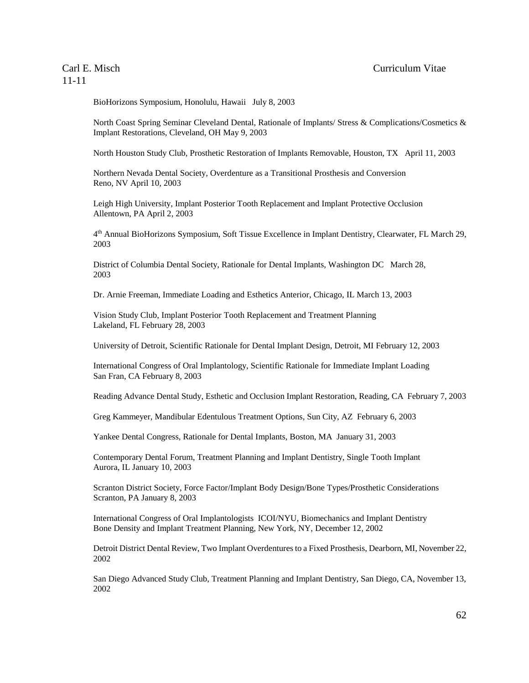BioHorizons Symposium, Honolulu, Hawaii July 8, 2003

North Coast Spring Seminar Cleveland Dental, Rationale of Implants/ Stress & Complications/Cosmetics & Implant Restorations, Cleveland, OH May 9, 2003

North Houston Study Club, Prosthetic Restoration of Implants Removable, Houston, TX April 11, 2003

Northern Nevada Dental Society, Overdenture as a Transitional Prosthesis and Conversion Reno, NV April 10, 2003

Leigh High University, Implant Posterior Tooth Replacement and Implant Protective Occlusion Allentown, PA April 2, 2003

4 th Annual BioHorizons Symposium, Soft Tissue Excellence in Implant Dentistry, Clearwater, FL March 29, 2003

District of Columbia Dental Society, Rationale for Dental Implants, Washington DC March 28, 2003

Dr. Arnie Freeman, Immediate Loading and Esthetics Anterior, Chicago, IL March 13, 2003

Vision Study Club, Implant Posterior Tooth Replacement and Treatment Planning Lakeland, FL February 28, 2003

University of Detroit, Scientific Rationale for Dental Implant Design, Detroit, MI February 12, 2003

International Congress of Oral Implantology, Scientific Rationale for Immediate Implant Loading San Fran, CA February 8, 2003

Reading Advance Dental Study, Esthetic and Occlusion Implant Restoration, Reading, CA February 7, 2003

Greg Kammeyer, Mandibular Edentulous Treatment Options, Sun City, AZ February 6, 2003

Yankee Dental Congress, Rationale for Dental Implants, Boston, MA January 31, 2003

Contemporary Dental Forum, Treatment Planning and Implant Dentistry, Single Tooth Implant Aurora, IL January 10, 2003

Scranton District Society, Force Factor/Implant Body Design/Bone Types/Prosthetic Considerations Scranton, PA January 8, 2003

International Congress of Oral Implantologists ICOI/NYU, Biomechanics and Implant Dentistry Bone Density and Implant Treatment Planning, New York, NY, December 12, 2002

Detroit District Dental Review, Two Implant Overdentures to a Fixed Prosthesis, Dearborn, MI, November 22, 2002

San Diego Advanced Study Club, Treatment Planning and Implant Dentistry, San Diego, CA, November 13, 2002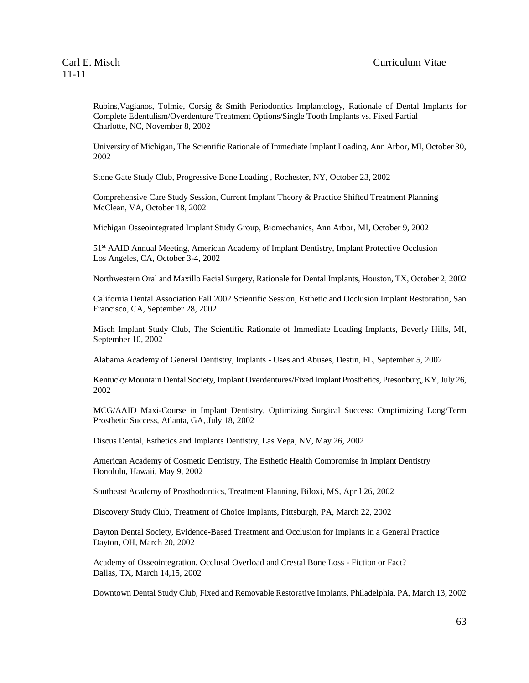Rubins,Vagianos, Tolmie, Corsig & Smith Periodontics Implantology, Rationale of Dental Implants for Complete Edentulism/Overdenture Treatment Options/Single Tooth Implants vs. Fixed Partial Charlotte, NC, November 8, 2002

University of Michigan, The Scientific Rationale of Immediate Implant Loading, Ann Arbor, MI, October 30, 2002

Stone Gate Study Club, Progressive Bone Loading , Rochester, NY, October 23, 2002

Comprehensive Care Study Session, Current Implant Theory & Practice Shifted Treatment Planning McClean, VA, October 18, 2002

Michigan Osseointegrated Implant Study Group, Biomechanics, Ann Arbor, MI, October 9, 2002

51st AAID Annual Meeting, American Academy of Implant Dentistry, Implant Protective Occlusion Los Angeles, CA, October 3-4, 2002

Northwestern Oral and Maxillo Facial Surgery, Rationale for Dental Implants, Houston, TX, October 2, 2002

California Dental Association Fall 2002 Scientific Session, Esthetic and Occlusion Implant Restoration, San Francisco, CA, September 28, 2002

Misch Implant Study Club, The Scientific Rationale of Immediate Loading Implants, Beverly Hills, MI, September 10, 2002

Alabama Academy of General Dentistry, Implants - Uses and Abuses, Destin, FL, September 5, 2002

Kentucky Mountain Dental Society, Implant Overdentures/Fixed Implant Prosthetics, Presonburg, KY, July 26, 2002

MCG/AAID Maxi-Course in Implant Dentistry, Optimizing Surgical Success: Omptimizing Long/Term Prosthetic Success, Atlanta, GA, July 18, 2002

Discus Dental, Esthetics and Implants Dentistry, Las Vega, NV, May 26, 2002

American Academy of Cosmetic Dentistry, The Esthetic Health Compromise in Implant Dentistry Honolulu, Hawaii, May 9, 2002

Southeast Academy of Prosthodontics, Treatment Planning, Biloxi, MS, April 26, 2002

Discovery Study Club, Treatment of Choice Implants, Pittsburgh, PA, March 22, 2002

Dayton Dental Society, Evidence-Based Treatment and Occlusion for Implants in a General Practice Dayton, OH, March 20, 2002

Academy of Osseointegration, Occlusal Overload and Crestal Bone Loss - Fiction or Fact? Dallas, TX, March 14,15, 2002

Downtown Dental Study Club, Fixed and Removable Restorative Implants, Philadelphia, PA, March 13, 2002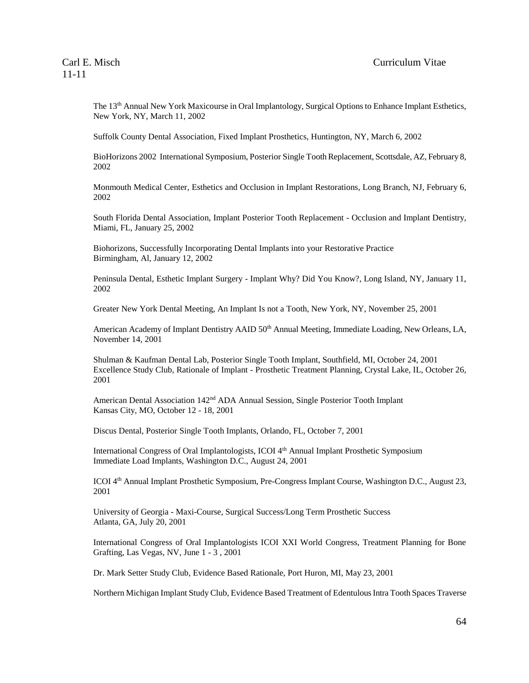The 13th Annual New York Maxicourse in Oral Implantology, Surgical Options to Enhance Implant Esthetics, New York, NY, March 11, 2002

Suffolk County Dental Association, Fixed Implant Prosthetics, Huntington, NY, March 6, 2002

BioHorizons 2002 International Symposium, Posterior Single Tooth Replacement, Scottsdale, AZ, February 8, 2002

Monmouth Medical Center, Esthetics and Occlusion in Implant Restorations, Long Branch, NJ, February 6, 2002

South Florida Dental Association, Implant Posterior Tooth Replacement - Occlusion and Implant Dentistry, Miami, FL, January 25, 2002

Biohorizons, Successfully Incorporating Dental Implants into your Restorative Practice Birmingham, Al, January 12, 2002

Peninsula Dental, Esthetic Implant Surgery - Implant Why? Did You Know?, Long Island, NY, January 11, 2002

Greater New York Dental Meeting, An Implant Is not a Tooth, New York, NY, November 25, 2001

American Academy of Implant Dentistry AAID 50<sup>th</sup> Annual Meeting, Immediate Loading, New Orleans, LA, November 14, 2001

Shulman & Kaufman Dental Lab, Posterior Single Tooth Implant, Southfield, MI, October 24, 2001 Excellence Study Club, Rationale of Implant - Prosthetic Treatment Planning, Crystal Lake, IL, October 26, 2001

American Dental Association 142nd ADA Annual Session, Single Posterior Tooth Implant Kansas City, MO, October 12 - 18, 2001

Discus Dental, Posterior Single Tooth Implants, Orlando, FL, October 7, 2001

International Congress of Oral Implantologists, ICOI 4th Annual Implant Prosthetic Symposium Immediate Load Implants, Washington D.C., August 24, 2001

ICOI 4th Annual Implant Prosthetic Symposium, Pre-Congress Implant Course, Washington D.C., August 23, 2001

University of Georgia - Maxi-Course, Surgical Success/Long Term Prosthetic Success Atlanta, GA, July 20, 2001

International Congress of Oral Implantologists ICOI XXI World Congress, Treatment Planning for Bone Grafting, Las Vegas, NV, June 1 - 3 , 2001

Dr. Mark Setter Study Club, Evidence Based Rationale, Port Huron, MI, May 23, 2001

Northern Michigan Implant Study Club, Evidence Based Treatment of Edentulous Intra Tooth Spaces Traverse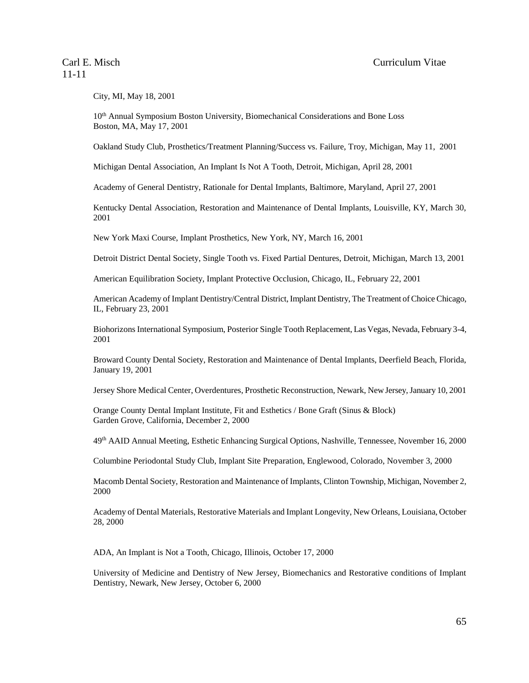City, MI, May 18, 2001

10th Annual Symposium Boston University, Biomechanical Considerations and Bone Loss Boston, MA, May 17, 2001

Oakland Study Club, Prosthetics/Treatment Planning/Success vs. Failure, Troy, Michigan, May 11, 2001

Michigan Dental Association, An Implant Is Not A Tooth, Detroit, Michigan, April 28, 2001

Academy of General Dentistry, Rationale for Dental Implants, Baltimore, Maryland, April 27, 2001

Kentucky Dental Association, Restoration and Maintenance of Dental Implants, Louisville, KY, March 30, 2001

New York Maxi Course, Implant Prosthetics, New York, NY, March 16, 2001

Detroit District Dental Society, Single Tooth vs. Fixed Partial Dentures, Detroit, Michigan, March 13, 2001

American Equilibration Society, Implant Protective Occlusion, Chicago, IL, February 22, 2001

American Academy of Implant Dentistry/Central District, Implant Dentistry, The Treatment of Choice Chicago, IL, February 23, 2001

Biohorizons International Symposium, Posterior Single Tooth Replacement, Las Vegas, Nevada, February 3-4, 2001

Broward County Dental Society, Restoration and Maintenance of Dental Implants, Deerfield Beach, Florida, January 19, 2001

Jersey Shore Medical Center, Overdentures, Prosthetic Reconstruction, Newark, New Jersey, January 10, 2001

Orange County Dental Implant Institute, Fit and Esthetics / Bone Graft (Sinus & Block) Garden Grove, California, December 2, 2000

49th AAID Annual Meeting, Esthetic Enhancing Surgical Options, Nashville, Tennessee, November 16, 2000

Columbine Periodontal Study Club, Implant Site Preparation, Englewood, Colorado, November 3, 2000

Macomb Dental Society, Restoration and Maintenance of Implants, Clinton Township, Michigan, November 2, 2000

Academy of Dental Materials, Restorative Materials and Implant Longevity, New Orleans, Louisiana, October 28, 2000

ADA, An Implant is Not a Tooth, Chicago, Illinois, October 17, 2000

University of Medicine and Dentistry of New Jersey, Biomechanics and Restorative conditions of Implant Dentistry, Newark, New Jersey, October 6, 2000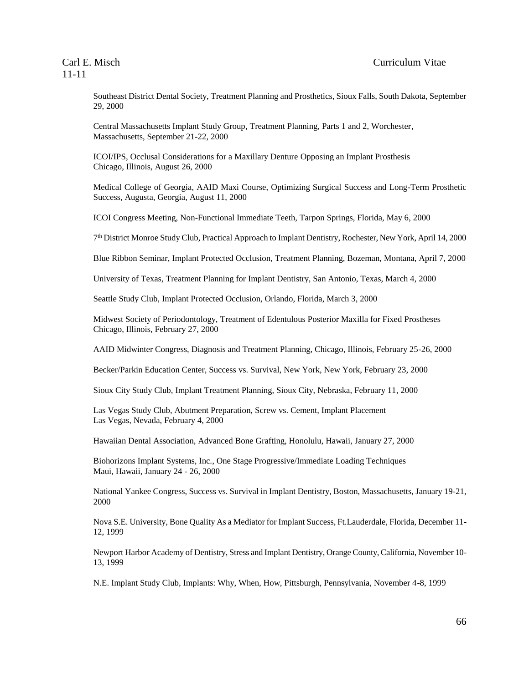Southeast District Dental Society, Treatment Planning and Prosthetics, Sioux Falls, South Dakota, September 29, 2000

Central Massachusetts Implant Study Group, Treatment Planning, Parts 1 and 2, Worchester, Massachusetts, September 21-22, 2000

ICOI/IPS, Occlusal Considerations for a Maxillary Denture Opposing an Implant Prosthesis Chicago, Illinois, August 26, 2000

Medical College of Georgia, AAID Maxi Course, Optimizing Surgical Success and Long-Term Prosthetic Success, Augusta, Georgia, August 11, 2000

ICOI Congress Meeting, Non-Functional Immediate Teeth, Tarpon Springs, Florida, May 6, 2000

7 th District Monroe Study Club, Practical Approach to Implant Dentistry, Rochester, New York, April 14, 2000

Blue Ribbon Seminar, Implant Protected Occlusion, Treatment Planning, Bozeman, Montana, April 7, 2000

University of Texas, Treatment Planning for Implant Dentistry, San Antonio, Texas, March 4, 2000

Seattle Study Club, Implant Protected Occlusion, Orlando, Florida, March 3, 2000

Midwest Society of Periodontology, Treatment of Edentulous Posterior Maxilla for Fixed Prostheses Chicago, Illinois, February 27, 2000

AAID Midwinter Congress, Diagnosis and Treatment Planning, Chicago, Illinois, February 25-26, 2000

Becker/Parkin Education Center, Success vs. Survival, New York, New York, February 23, 2000

Sioux City Study Club, Implant Treatment Planning, Sioux City, Nebraska, February 11, 2000

Las Vegas Study Club, Abutment Preparation, Screw vs. Cement, Implant Placement Las Vegas, Nevada, February 4, 2000

Hawaiian Dental Association, Advanced Bone Grafting, Honolulu, Hawaii, January 27, 2000

Biohorizons Implant Systems, Inc., One Stage Progressive/Immediate Loading Techniques Maui, Hawaii, January 24 - 26, 2000

National Yankee Congress, Success vs. Survival in Implant Dentistry, Boston, Massachusetts, January 19-21, 2000

Nova S.E. University, Bone Quality As a Mediator for Implant Success, Ft.Lauderdale, Florida, December 11- 12, 1999

Newport Harbor Academy of Dentistry, Stress and Implant Dentistry, Orange County, California, November 10- 13, 1999

N.E. Implant Study Club, Implants: Why, When, How, Pittsburgh, Pennsylvania, November 4-8, 1999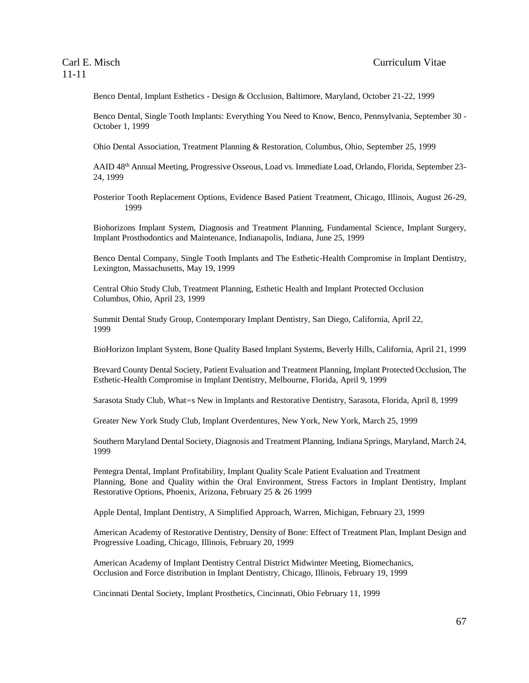Benco Dental, Implant Esthetics - Design & Occlusion, Baltimore, Maryland, October 21-22, 1999

Benco Dental, Single Tooth Implants: Everything You Need to Know, Benco, Pennsylvania, September 30 - October 1, 1999

Ohio Dental Association, Treatment Planning & Restoration, Columbus, Ohio, September 25, 1999

AAID 48th Annual Meeting, Progressive Osseous, Load vs. Immediate Load, Orlando, Florida, September 23- 24, 1999

Posterior Tooth Replacement Options, Evidence Based Patient Treatment, Chicago, Illinois, August 26-29, 1999

Biohorizons Implant System, Diagnosis and Treatment Planning, Fundamental Science, Implant Surgery, Implant Prosthodontics and Maintenance, Indianapolis, Indiana, June 25, 1999

Benco Dental Company, Single Tooth Implants and The Esthetic-Health Compromise in Implant Dentistry, Lexington, Massachusetts, May 19, 1999

Central Ohio Study Club, Treatment Planning, Esthetic Health and Implant Protected Occlusion Columbus, Ohio, April 23, 1999

Summit Dental Study Group, Contemporary Implant Dentistry, San Diego, California, April 22, 1999

BioHorizon Implant System, Bone Quality Based Implant Systems, Beverly Hills, California, April 21, 1999

Brevard County Dental Society, Patient Evaluation and Treatment Planning, Implant Protected Occlusion, The Esthetic-Health Compromise in Implant Dentistry, Melbourne, Florida, April 9, 1999

Sarasota Study Club, What=s New in Implants and Restorative Dentistry, Sarasota, Florida, April 8, 1999

Greater New York Study Club, Implant Overdentures, New York, New York, March 25, 1999

Southern Maryland Dental Society, Diagnosis and Treatment Planning, Indiana Springs, Maryland, March 24, 1999

Pentegra Dental, Implant Profitability, Implant Quality Scale Patient Evaluation and Treatment Planning, Bone and Quality within the Oral Environment, Stress Factors in Implant Dentistry, Implant Restorative Options, Phoenix, Arizona, February 25 & 26 1999

Apple Dental, Implant Dentistry, A Simplified Approach, Warren, Michigan, February 23, 1999

American Academy of Restorative Dentistry, Density of Bone: Effect of Treatment Plan, Implant Design and Progressive Loading, Chicago, Illinois, February 20, 1999

American Academy of Implant Dentistry Central District Midwinter Meeting, Biomechanics, Occlusion and Force distribution in Implant Dentistry, Chicago, Illinois, February 19, 1999

Cincinnati Dental Society, Implant Prosthetics, Cincinnati, Ohio February 11, 1999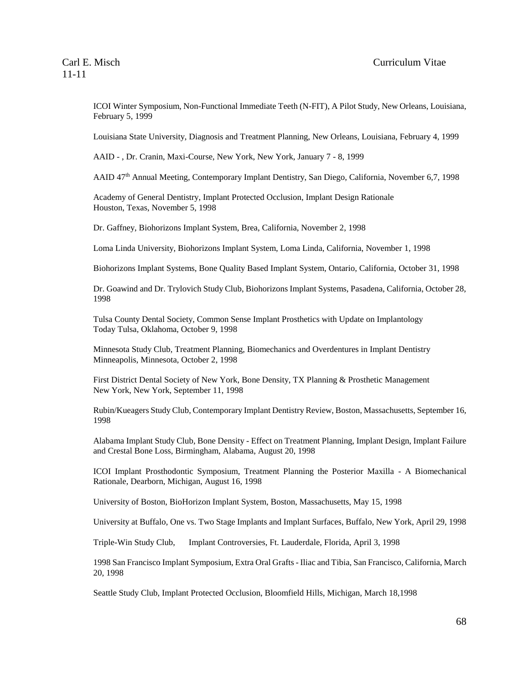ICOI Winter Symposium, Non-Functional Immediate Teeth (N-FIT), A Pilot Study, New Orleans, Louisiana, February 5, 1999

Louisiana State University, Diagnosis and Treatment Planning, New Orleans, Louisiana, February 4, 1999

AAID - , Dr. Cranin, Maxi-Course, New York, New York, January 7 - 8, 1999

AAID 47th Annual Meeting, Contemporary Implant Dentistry, San Diego, California, November 6,7, 1998

Academy of General Dentistry, Implant Protected Occlusion, Implant Design Rationale Houston, Texas, November 5, 1998

Dr. Gaffney, Biohorizons Implant System, Brea, California, November 2, 1998

Loma Linda University, Biohorizons Implant System, Loma Linda, California, November 1, 1998

Biohorizons Implant Systems, Bone Quality Based Implant System, Ontario, California, October 31, 1998

Dr. Goawind and Dr. Trylovich Study Club, Biohorizons Implant Systems, Pasadena, California, October 28, 1998

Tulsa County Dental Society, Common Sense Implant Prosthetics with Update on Implantology Today Tulsa, Oklahoma, October 9, 1998

Minnesota Study Club, Treatment Planning, Biomechanics and Overdentures in Implant Dentistry Minneapolis, Minnesota, October 2, 1998

First District Dental Society of New York, Bone Density, TX Planning & Prosthetic Management New York, New York, September 11, 1998

Rubin/Kueagers Study Club, Contemporary Implant Dentistry Review, Boston, Massachusetts, September 16, 1998

Alabama Implant Study Club, Bone Density - Effect on Treatment Planning, Implant Design, Implant Failure and Crestal Bone Loss, Birmingham, Alabama, August 20, 1998

ICOI Implant Prosthodontic Symposium, Treatment Planning the Posterior Maxilla - A Biomechanical Rationale, Dearborn, Michigan, August 16, 1998

University of Boston, BioHorizon Implant System, Boston, Massachusetts, May 15, 1998

University at Buffalo, One vs. Two Stage Implants and Implant Surfaces, Buffalo, New York, April 29, 1998

Triple-Win Study Club, Implant Controversies, Ft. Lauderdale, Florida, April 3, 1998

1998 San Francisco Implant Symposium, Extra Oral Grafts - Iliac and Tibia, San Francisco, California, March 20, 1998

Seattle Study Club, Implant Protected Occlusion, Bloomfield Hills, Michigan, March 18,1998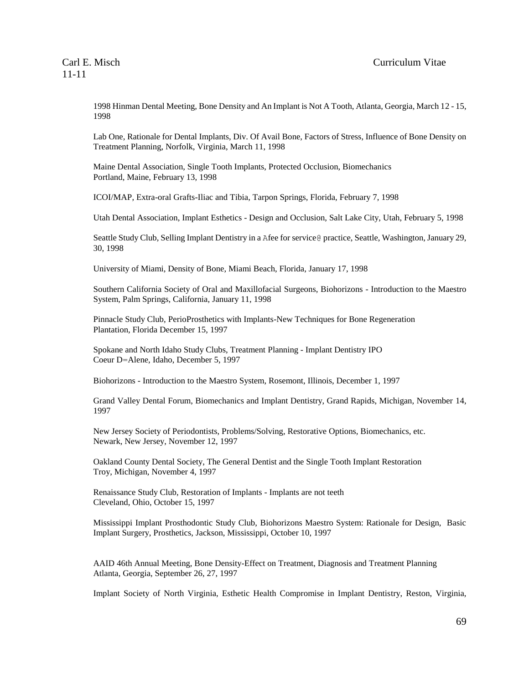1998 Hinman Dental Meeting, Bone Density and An Implant is Not A Tooth, Atlanta, Georgia, March 12 - 15, 1998

Lab One, Rationale for Dental Implants, Div. Of Avail Bone, Factors of Stress, Influence of Bone Density on Treatment Planning, Norfolk, Virginia, March 11, 1998

Maine Dental Association, Single Tooth Implants, Protected Occlusion, Biomechanics Portland, Maine, February 13, 1998

ICOI/MAP, Extra-oral Grafts-Iliac and Tibia, Tarpon Springs, Florida, February 7, 1998

Utah Dental Association, Implant Esthetics - Design and Occlusion, Salt Lake City, Utah, February 5, 1998

Seattle Study Club, Selling Implant Dentistry in a Afee for service@ practice, Seattle, Washington, January 29, 30, 1998

University of Miami, Density of Bone, Miami Beach, Florida, January 17, 1998

Southern California Society of Oral and Maxillofacial Surgeons, Biohorizons - Introduction to the Maestro System, Palm Springs, California, January 11, 1998

Pinnacle Study Club, PerioProsthetics with Implants-New Techniques for Bone Regeneration Plantation, Florida December 15, 1997

Spokane and North Idaho Study Clubs, Treatment Planning - Implant Dentistry IPO Coeur D=Alene, Idaho, December 5, 1997

Biohorizons - Introduction to the Maestro System, Rosemont, Illinois, December 1, 1997

Grand Valley Dental Forum, Biomechanics and Implant Dentistry, Grand Rapids, Michigan, November 14, 1997

New Jersey Society of Periodontists, Problems/Solving, Restorative Options, Biomechanics, etc. Newark, New Jersey, November 12, 1997

Oakland County Dental Society, The General Dentist and the Single Tooth Implant Restoration Troy, Michigan, November 4, 1997

Renaissance Study Club, Restoration of Implants - Implants are not teeth Cleveland, Ohio, October 15, 1997

Mississippi Implant Prosthodontic Study Club, Biohorizons Maestro System: Rationale for Design, Basic Implant Surgery, Prosthetics, Jackson, Mississippi, October 10, 1997

AAID 46th Annual Meeting, Bone Density-Effect on Treatment, Diagnosis and Treatment Planning Atlanta, Georgia, September 26, 27, 1997

Implant Society of North Virginia, Esthetic Health Compromise in Implant Dentistry, Reston, Virginia,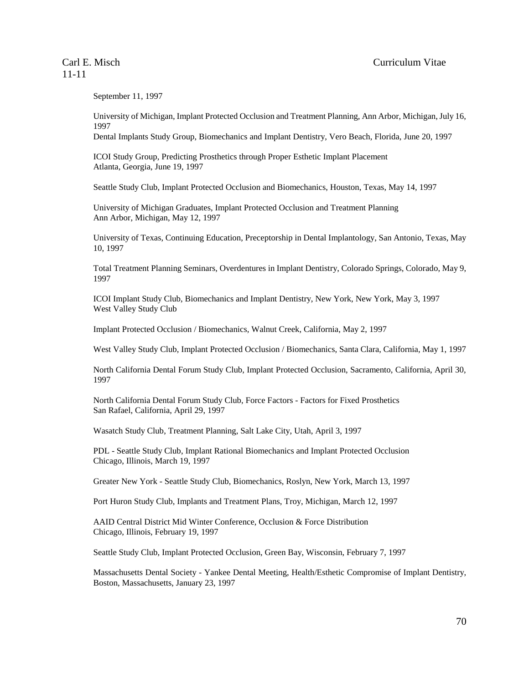September 11, 1997

University of Michigan, Implant Protected Occlusion and Treatment Planning, Ann Arbor, Michigan, July 16, 1997

Dental Implants Study Group, Biomechanics and Implant Dentistry, Vero Beach, Florida, June 20, 1997

ICOI Study Group, Predicting Prosthetics through Proper Esthetic Implant Placement Atlanta, Georgia, June 19, 1997

Seattle Study Club, Implant Protected Occlusion and Biomechanics, Houston, Texas, May 14, 1997

University of Michigan Graduates, Implant Protected Occlusion and Treatment Planning Ann Arbor, Michigan, May 12, 1997

University of Texas, Continuing Education, Preceptorship in Dental Implantology, San Antonio, Texas, May 10, 1997

Total Treatment Planning Seminars, Overdentures in Implant Dentistry, Colorado Springs, Colorado, May 9, 1997

ICOI Implant Study Club, Biomechanics and Implant Dentistry, New York, New York, May 3, 1997 West Valley Study Club

Implant Protected Occlusion / Biomechanics, Walnut Creek, California, May 2, 1997

West Valley Study Club, Implant Protected Occlusion / Biomechanics, Santa Clara, California, May 1, 1997

North California Dental Forum Study Club, Implant Protected Occlusion, Sacramento, California, April 30, 1997

North California Dental Forum Study Club, Force Factors - Factors for Fixed Prosthetics San Rafael, California, April 29, 1997

Wasatch Study Club, Treatment Planning, Salt Lake City, Utah, April 3, 1997

PDL - Seattle Study Club, Implant Rational Biomechanics and Implant Protected Occlusion Chicago, Illinois, March 19, 1997

Greater New York - Seattle Study Club, Biomechanics, Roslyn, New York, March 13, 1997

Port Huron Study Club, Implants and Treatment Plans, Troy, Michigan, March 12, 1997

AAID Central District Mid Winter Conference, Occlusion & Force Distribution Chicago, Illinois, February 19, 1997

Seattle Study Club, Implant Protected Occlusion, Green Bay, Wisconsin, February 7, 1997

Massachusetts Dental Society - Yankee Dental Meeting, Health/Esthetic Compromise of Implant Dentistry, Boston, Massachusetts, January 23, 1997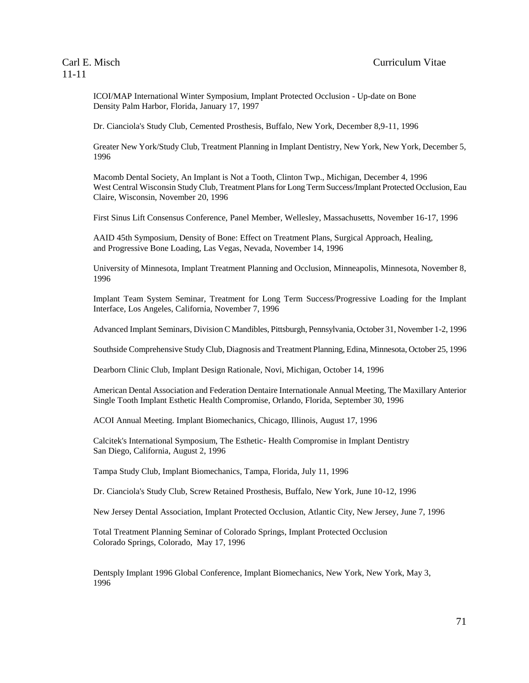ICOI/MAP International Winter Symposium, Implant Protected Occlusion - Up-date on Bone Density Palm Harbor, Florida, January 17, 1997

Dr. Cianciola's Study Club, Cemented Prosthesis, Buffalo, New York, December 8,9-11, 1996

Greater New York/Study Club, Treatment Planning in Implant Dentistry, New York, New York, December 5, 1996

Macomb Dental Society, An Implant is Not a Tooth, Clinton Twp., Michigan, December 4, 1996 West Central Wisconsin Study Club, Treatment Plans for Long Term Success/Implant Protected Occlusion, Eau Claire, Wisconsin, November 20, 1996

First Sinus Lift Consensus Conference, Panel Member, Wellesley, Massachusetts, November 16-17, 1996

AAID 45th Symposium, Density of Bone: Effect on Treatment Plans, Surgical Approach, Healing, and Progressive Bone Loading, Las Vegas, Nevada, November 14, 1996

University of Minnesota, Implant Treatment Planning and Occlusion, Minneapolis, Minnesota, November 8, 1996

Implant Team System Seminar, Treatment for Long Term Success/Progressive Loading for the Implant Interface, Los Angeles, California, November 7, 1996

Advanced Implant Seminars, Division C Mandibles, Pittsburgh, Pennsylvania, October 31, November 1-2, 1996

Southside Comprehensive Study Club, Diagnosis and Treatment Planning, Edina, Minnesota, October 25, 1996

Dearborn Clinic Club, Implant Design Rationale, Novi, Michigan, October 14, 1996

American Dental Association and Federation Dentaire Internationale Annual Meeting, The Maxillary Anterior Single Tooth Implant Esthetic Health Compromise, Orlando, Florida, September 30, 1996

ACOI Annual Meeting. Implant Biomechanics, Chicago, Illinois, August 17, 1996

Calcitek's International Symposium, The Esthetic- Health Compromise in Implant Dentistry San Diego, California, August 2, 1996

Tampa Study Club, Implant Biomechanics, Tampa, Florida, July 11, 1996

Dr. Cianciola's Study Club, Screw Retained Prosthesis, Buffalo, New York, June 10-12, 1996

New Jersey Dental Association, Implant Protected Occlusion, Atlantic City, New Jersey, June 7, 1996

Total Treatment Planning Seminar of Colorado Springs, Implant Protected Occlusion Colorado Springs, Colorado, May 17, 1996

Dentsply Implant 1996 Global Conference, Implant Biomechanics, New York, New York, May 3, 1996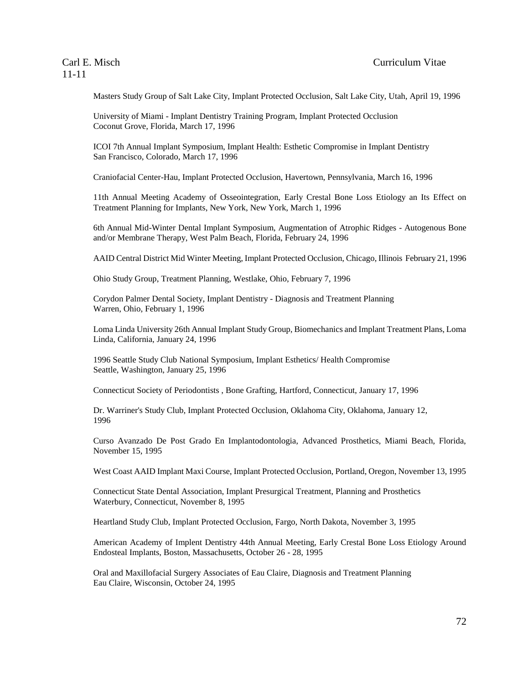Masters Study Group of Salt Lake City, Implant Protected Occlusion, Salt Lake City, Utah, April 19, 1996

University of Miami - Implant Dentistry Training Program, Implant Protected Occlusion Coconut Grove, Florida, March 17, 1996

ICOI 7th Annual Implant Symposium, Implant Health: Esthetic Compromise in Implant Dentistry San Francisco, Colorado, March 17, 1996

Craniofacial Center-Hau, Implant Protected Occlusion, Havertown, Pennsylvania, March 16, 1996

11th Annual Meeting Academy of Osseointegration, Early Crestal Bone Loss Etiology an Its Effect on Treatment Planning for Implants, New York, New York, March 1, 1996

6th Annual Mid-Winter Dental Implant Symposium, Augmentation of Atrophic Ridges - Autogenous Bone and/or Membrane Therapy, West Palm Beach, Florida, February 24, 1996

AAID Central District Mid Winter Meeting, Implant Protected Occlusion, Chicago, Illinois February 21, 1996

Ohio Study Group, Treatment Planning, Westlake, Ohio, February 7, 1996

Corydon Palmer Dental Society, Implant Dentistry - Diagnosis and Treatment Planning Warren, Ohio, February 1, 1996

Loma Linda University 26th Annual Implant Study Group, Biomechanics and Implant Treatment Plans, Loma Linda, California, January 24, 1996

1996 Seattle Study Club National Symposium, Implant Esthetics/ Health Compromise Seattle, Washington, January 25, 1996

Connecticut Society of Periodontists , Bone Grafting, Hartford, Connecticut, January 17, 1996

Dr. Warriner's Study Club, Implant Protected Occlusion, Oklahoma City, Oklahoma, January 12, 1996

Curso Avanzado De Post Grado En Implantodontologia, Advanced Prosthetics, Miami Beach, Florida, November 15, 1995

West Coast AAID Implant Maxi Course, Implant Protected Occlusion, Portland, Oregon, November 13, 1995

Connecticut State Dental Association, Implant Presurgical Treatment, Planning and Prosthetics Waterbury, Connecticut, November 8, 1995

Heartland Study Club, Implant Protected Occlusion, Fargo, North Dakota, November 3, 1995

American Academy of Implent Dentistry 44th Annual Meeting, Early Crestal Bone Loss Etiology Around Endosteal Implants, Boston, Massachusetts, October 26 - 28, 1995

Oral and Maxillofacial Surgery Associates of Eau Claire, Diagnosis and Treatment Planning Eau Claire, Wisconsin, October 24, 1995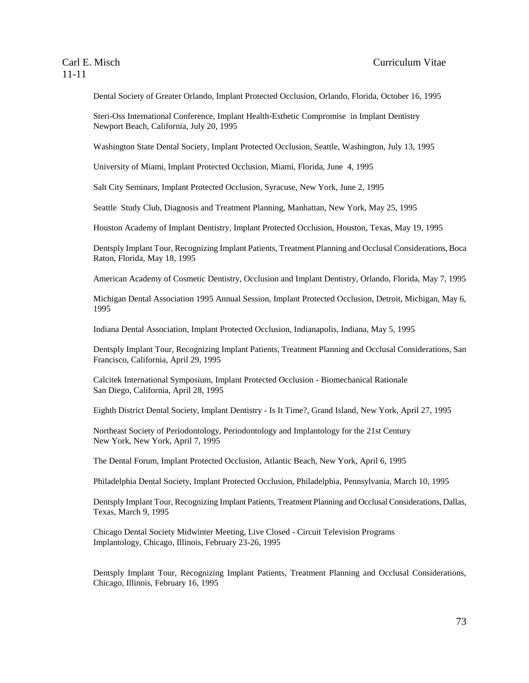Dental Society of Greater Orlando, Implant Protected Occlusion, Orlando, Florida, October 16, 1995

Steri-Oss International Conference, Implant Health-Esthetic Compromise in Implant Dentistry Newport Beach, California, July 20, 1995

Washington State Dental Society, Implant Protected Occlusion, Seattle, Washington, July 13, 1995

University of Miami, Implant Protected Occlusion, Miami, Florida, June 4, 1995

Salt City Seminars, Implant Protected Occlusion, Syracuse, New York, June 2, 1995

Seattle Study Club, Diagnosis and Treatment Planning, Manhattan, New York, May 25, 1995

Houston Academy of Implant Dentistry, Implant Protected Occlusion, Houston, Texas, May 19, 1995

Dentsply Implant Tour, Recognizing Implant Patients, Treatment Planning and Occlusal Considerations, Boca Raton, Florida, May 18, 1995

American Academy of Cosmetic Dentistry, Occlusion and Implant Dentistry, Orlando, Florida, May 7, 1995

Michigan Dental Association 1995 Annual Session, Implant Protected Occlusion, Detroit, Michigan, May 6, 1995

Indiana Dental Association, Implant Protected Occlusion, Indianapolis, Indiana, May 5, 1995

Dentsply Implant Tour, Recognizing Implant Patients, Treatment Planning and Occlusal Considerations, San Francisco, California, April 29, 1995

Calcitek International Symposium, Implant Protected Occlusion - Biomechanical Rationale San Diego, California, April 28, 1995

Eighth District Dental Society, Implant Dentistry - Is It Time?, Grand Island, New York, April 27, 1995

Northeast Society of Periodontology, Periodontology and Implantology for the 21st Century New York, New York, April 7, 1995

The Dental Forum, Implant Protected Occlusion, Atlantic Beach, New York, April 6, 1995

Philadelphia Dental Society, Implant Protected Occlusion, Philadelphia, Pennsylvania, March 10, 1995

Dentsply Implant Tour, Recognizing Implant Patients, Treatment Planning and Occlusal Considerations, Dallas, Texas, March 9, 1995

Chicago Dental Society Midwinter Meeting, Live Closed - Circuit Television Programs Implantology, Chicago, Illinois, February 23-26, 1995

Dentsply Implant Tour, Recognizing Implant Patients, Treatment Planning and Occlusal Considerations, Chicago, Illinois, February 16, 1995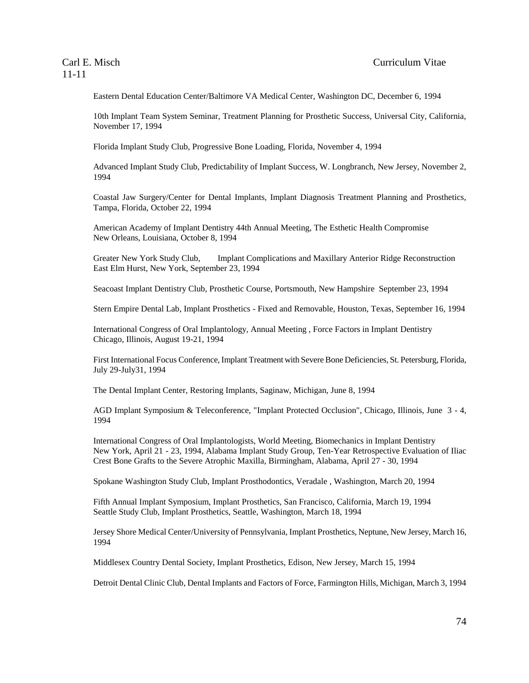Eastern Dental Education Center/Baltimore VA Medical Center, Washington DC, December 6, 1994

10th Implant Team System Seminar, Treatment Planning for Prosthetic Success, Universal City, California, November 17, 1994

Florida Implant Study Club, Progressive Bone Loading, Florida, November 4, 1994

Advanced Implant Study Club, Predictability of Implant Success, W. Longbranch, New Jersey, November 2, 1994

Coastal Jaw Surgery/Center for Dental Implants, Implant Diagnosis Treatment Planning and Prosthetics, Tampa, Florida, October 22, 1994

American Academy of Implant Dentistry 44th Annual Meeting, The Esthetic Health Compromise New Orleans, Louisiana, October 8, 1994

Greater New York Study Club, Implant Complications and Maxillary Anterior Ridge Reconstruction East Elm Hurst, New York, September 23, 1994

Seacoast Implant Dentistry Club, Prosthetic Course, Portsmouth, New Hampshire September 23, 1994

Stern Empire Dental Lab, Implant Prosthetics - Fixed and Removable, Houston, Texas, September 16, 1994

International Congress of Oral Implantology, Annual Meeting , Force Factors in Implant Dentistry Chicago, Illinois, August 19-21, 1994

First International Focus Conference, Implant Treatment with Severe Bone Deficiencies, St. Petersburg, Florida, July 29-July31, 1994

The Dental Implant Center, Restoring Implants, Saginaw, Michigan, June 8, 1994

AGD Implant Symposium & Teleconference, "Implant Protected Occlusion", Chicago, Illinois, June 3 - 4, 1994

International Congress of Oral Implantologists, World Meeting, Biomechanics in Implant Dentistry New York, April 21 - 23, 1994, Alabama Implant Study Group, Ten-Year Retrospective Evaluation of Iliac Crest Bone Grafts to the Severe Atrophic Maxilla, Birmingham, Alabama, April 27 - 30, 1994

Spokane Washington Study Club, Implant Prosthodontics, Veradale , Washington, March 20, 1994

Fifth Annual Implant Symposium, Implant Prosthetics, San Francisco, California, March 19, 1994 Seattle Study Club, Implant Prosthetics, Seattle, Washington, March 18, 1994

Jersey Shore Medical Center/University of Pennsylvania, Implant Prosthetics, Neptune, New Jersey, March 16, 1994

Middlesex Country Dental Society, Implant Prosthetics, Edison, New Jersey, March 15, 1994

Detroit Dental Clinic Club, Dental Implants and Factors of Force, Farmington Hills, Michigan, March 3, 1994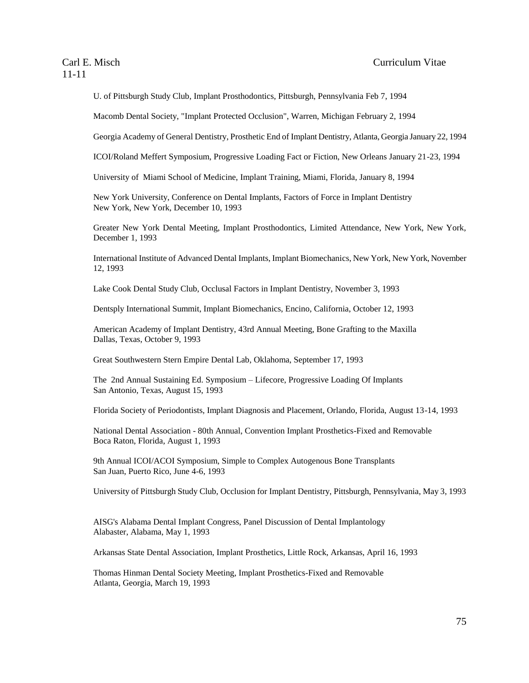U. of Pittsburgh Study Club, Implant Prosthodontics, Pittsburgh, Pennsylvania Feb 7, 1994

Macomb Dental Society, "Implant Protected Occlusion", Warren, Michigan February 2, 1994

Georgia Academy of General Dentistry, Prosthetic End of Implant Dentistry, Atlanta, Georgia January 22, 1994

ICOI/Roland Meffert Symposium, Progressive Loading Fact or Fiction, New Orleans January 21-23, 1994

University of Miami School of Medicine, Implant Training, Miami, Florida, January 8, 1994

New York University, Conference on Dental Implants, Factors of Force in Implant Dentistry New York, New York, December 10, 1993

Greater New York Dental Meeting, Implant Prosthodontics, Limited Attendance, New York, New York, December 1, 1993

International Institute of Advanced Dental Implants, Implant Biomechanics, New York, New York, November 12, 1993

Lake Cook Dental Study Club, Occlusal Factors in Implant Dentistry, November 3, 1993

Dentsply International Summit, Implant Biomechanics, Encino, California, October 12, 1993

American Academy of Implant Dentistry, 43rd Annual Meeting, Bone Grafting to the Maxilla Dallas, Texas, October 9, 1993

Great Southwestern Stern Empire Dental Lab, Oklahoma, September 17, 1993

The 2nd Annual Sustaining Ed. Symposium – Lifecore, Progressive Loading Of Implants San Antonio, Texas, August 15, 1993

Florida Society of Periodontists, Implant Diagnosis and Placement, Orlando, Florida, August 13-14, 1993

National Dental Association - 80th Annual, Convention Implant Prosthetics-Fixed and Removable Boca Raton, Florida, August 1, 1993

9th Annual ICOI/ACOI Symposium, Simple to Complex Autogenous Bone Transplants San Juan, Puerto Rico, June 4-6, 1993

University of Pittsburgh Study Club, Occlusion for Implant Dentistry, Pittsburgh, Pennsylvania, May 3, 1993

AISG's Alabama Dental Implant Congress, Panel Discussion of Dental Implantology Alabaster, Alabama, May 1, 1993

Arkansas State Dental Association, Implant Prosthetics, Little Rock, Arkansas, April 16, 1993

Thomas Hinman Dental Society Meeting, Implant Prosthetics-Fixed and Removable Atlanta, Georgia, March 19, 1993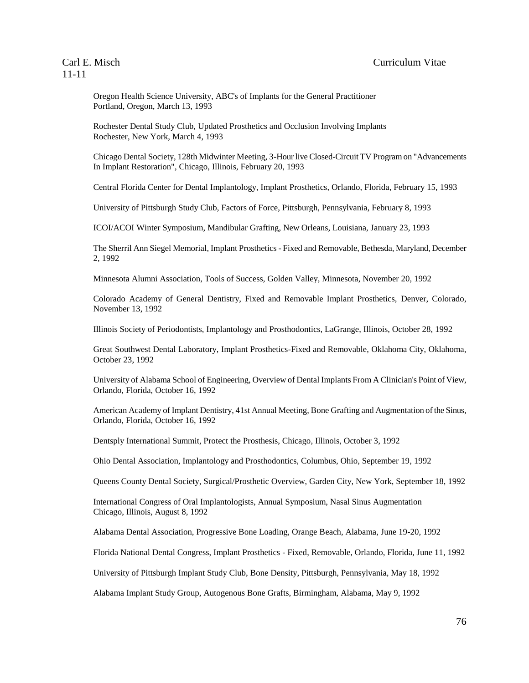Oregon Health Science University, ABC's of Implants for the General Practitioner Portland, Oregon, March 13, 1993

Rochester Dental Study Club, Updated Prosthetics and Occlusion Involving Implants Rochester, New York, March 4, 1993

Chicago Dental Society, 128th Midwinter Meeting, 3-Hour live Closed-Circuit TV Program on "Advancements In Implant Restoration", Chicago, Illinois, February 20, 1993

Central Florida Center for Dental Implantology, Implant Prosthetics, Orlando, Florida, February 15, 1993

University of Pittsburgh Study Club, Factors of Force, Pittsburgh, Pennsylvania, February 8, 1993

ICOI/ACOI Winter Symposium, Mandibular Grafting, New Orleans, Louisiana, January 23, 1993

The Sherril Ann Siegel Memorial, Implant Prosthetics - Fixed and Removable, Bethesda, Maryland, December 2, 1992

Minnesota Alumni Association, Tools of Success, Golden Valley, Minnesota, November 20, 1992

Colorado Academy of General Dentistry, Fixed and Removable Implant Prosthetics, Denver, Colorado, November 13, 1992

Illinois Society of Periodontists, Implantology and Prosthodontics, LaGrange, Illinois, October 28, 1992

Great Southwest Dental Laboratory, Implant Prosthetics-Fixed and Removable, Oklahoma City, Oklahoma, October 23, 1992

University of Alabama School of Engineering, Overview of Dental Implants From A Clinician's Point of View, Orlando, Florida, October 16, 1992

American Academy of Implant Dentistry, 41st Annual Meeting, Bone Grafting and Augmentation of the Sinus, Orlando, Florida, October 16, 1992

Dentsply International Summit, Protect the Prosthesis, Chicago, Illinois, October 3, 1992

Ohio Dental Association, Implantology and Prosthodontics, Columbus, Ohio, September 19, 1992

Queens County Dental Society, Surgical/Prosthetic Overview, Garden City, New York, September 18, 1992

International Congress of Oral Implantologists, Annual Symposium, Nasal Sinus Augmentation Chicago, Illinois, August 8, 1992

Alabama Dental Association, Progressive Bone Loading, Orange Beach, Alabama, June 19-20, 1992

Florida National Dental Congress, Implant Prosthetics - Fixed, Removable, Orlando, Florida, June 11, 1992

University of Pittsburgh Implant Study Club, Bone Density, Pittsburgh, Pennsylvania, May 18, 1992

Alabama Implant Study Group, Autogenous Bone Grafts, Birmingham, Alabama, May 9, 1992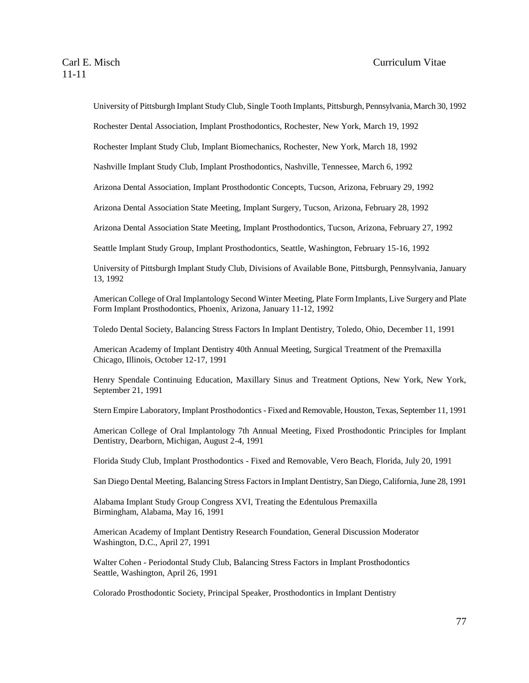University of Pittsburgh Implant Study Club, Single Tooth Implants, Pittsburgh, Pennsylvania, March 30, 1992

Rochester Dental Association, Implant Prosthodontics, Rochester, New York, March 19, 1992

Rochester Implant Study Club, Implant Biomechanics, Rochester, New York, March 18, 1992

Nashville Implant Study Club, Implant Prosthodontics, Nashville, Tennessee, March 6, 1992

Arizona Dental Association, Implant Prosthodontic Concepts, Tucson, Arizona, February 29, 1992

Arizona Dental Association State Meeting, Implant Surgery, Tucson, Arizona, February 28, 1992

Arizona Dental Association State Meeting, Implant Prosthodontics, Tucson, Arizona, February 27, 1992

Seattle Implant Study Group, Implant Prosthodontics, Seattle, Washington, February 15-16, 1992

University of Pittsburgh Implant Study Club, Divisions of Available Bone, Pittsburgh, Pennsylvania, January 13, 1992

American College of Oral Implantology Second Winter Meeting, Plate Form Implants, Live Surgery and Plate Form Implant Prosthodontics, Phoenix, Arizona, January 11-12, 1992

Toledo Dental Society, Balancing Stress Factors In Implant Dentistry, Toledo, Ohio, December 11, 1991

American Academy of Implant Dentistry 40th Annual Meeting, Surgical Treatment of the Premaxilla Chicago, Illinois, October 12-17, 1991

Henry Spendale Continuing Education, Maxillary Sinus and Treatment Options, New York, New York, September 21, 1991

Stern Empire Laboratory, Implant Prosthodontics - Fixed and Removable, Houston, Texas, September 11, 1991

American College of Oral Implantology 7th Annual Meeting, Fixed Prosthodontic Principles for Implant Dentistry, Dearborn, Michigan, August 2-4, 1991

Florida Study Club, Implant Prosthodontics - Fixed and Removable, Vero Beach, Florida, July 20, 1991

San Diego Dental Meeting, Balancing Stress Factors in Implant Dentistry, San Diego, California, June 28, 1991

Alabama Implant Study Group Congress XVI, Treating the Edentulous Premaxilla Birmingham, Alabama, May 16, 1991

American Academy of Implant Dentistry Research Foundation, General Discussion Moderator Washington, D.C., April 27, 1991

Walter Cohen - Periodontal Study Club, Balancing Stress Factors in Implant Prosthodontics Seattle, Washington, April 26, 1991

Colorado Prosthodontic Society, Principal Speaker, Prosthodontics in Implant Dentistry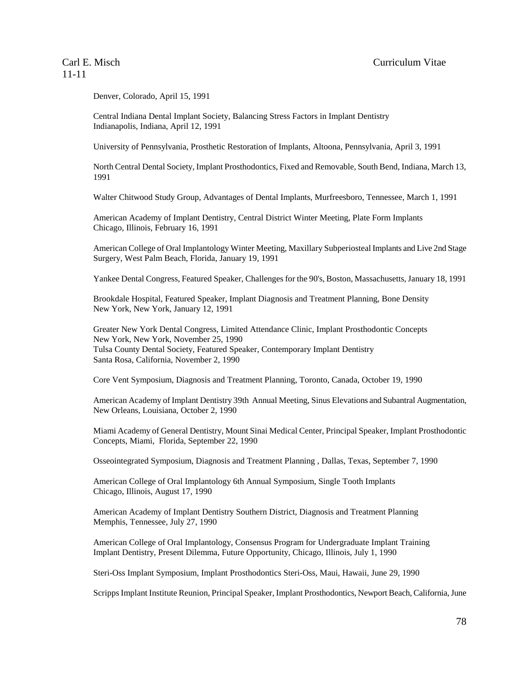Denver, Colorado, April 15, 1991

Central Indiana Dental Implant Society, Balancing Stress Factors in Implant Dentistry Indianapolis, Indiana, April 12, 1991

University of Pennsylvania, Prosthetic Restoration of Implants, Altoona, Pennsylvania, April 3, 1991

North Central Dental Society, Implant Prosthodontics, Fixed and Removable, South Bend, Indiana, March 13, 1991

Walter Chitwood Study Group, Advantages of Dental Implants, Murfreesboro, Tennessee, March 1, 1991

American Academy of Implant Dentistry, Central District Winter Meeting, Plate Form Implants Chicago, Illinois, February 16, 1991

American College of Oral Implantology Winter Meeting, Maxillary Subperiosteal Implants and Live 2nd Stage Surgery, West Palm Beach, Florida, January 19, 1991

Yankee Dental Congress, Featured Speaker, Challenges for the 90's, Boston, Massachusetts, January 18, 1991

Brookdale Hospital, Featured Speaker, Implant Diagnosis and Treatment Planning, Bone Density New York, New York, January 12, 1991

Greater New York Dental Congress, Limited Attendance Clinic, Implant Prosthodontic Concepts New York, New York, November 25, 1990 Tulsa County Dental Society, Featured Speaker, Contemporary Implant Dentistry Santa Rosa, California, November 2, 1990

Core Vent Symposium, Diagnosis and Treatment Planning, Toronto, Canada, October 19, 1990

American Academy of Implant Dentistry 39th Annual Meeting, Sinus Elevations and Subantral Augmentation, New Orleans, Louisiana, October 2, 1990

Miami Academy of General Dentistry, Mount Sinai Medical Center, Principal Speaker, Implant Prosthodontic Concepts, Miami, Florida, September 22, 1990

Osseointegrated Symposium, Diagnosis and Treatment Planning , Dallas, Texas, September 7, 1990

American College of Oral Implantology 6th Annual Symposium, Single Tooth Implants Chicago, Illinois, August 17, 1990

American Academy of Implant Dentistry Southern District, Diagnosis and Treatment Planning Memphis, Tennessee, July 27, 1990

American College of Oral Implantology, Consensus Program for Undergraduate Implant Training Implant Dentistry, Present Dilemma, Future Opportunity, Chicago, Illinois, July 1, 1990

Steri-Oss Implant Symposium, Implant Prosthodontics Steri-Oss, Maui, Hawaii, June 29, 1990

Scripps Implant Institute Reunion, Principal Speaker, Implant Prosthodontics, Newport Beach, California, June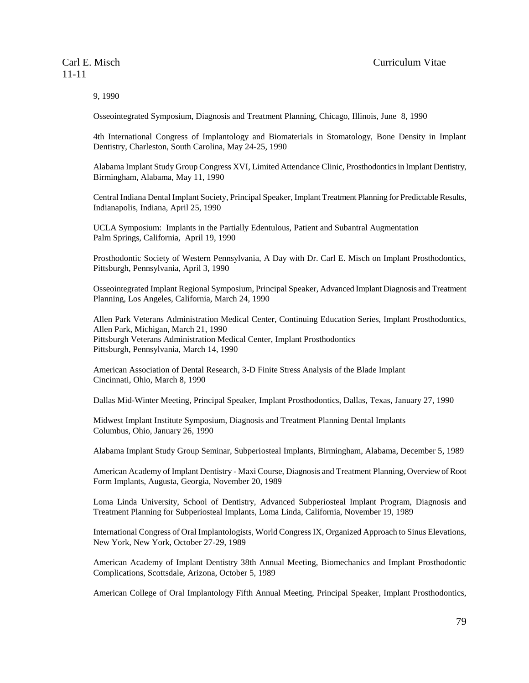9, 1990

Osseointegrated Symposium, Diagnosis and Treatment Planning, Chicago, Illinois, June 8, 1990

4th International Congress of Implantology and Biomaterials in Stomatology, Bone Density in Implant Dentistry, Charleston, South Carolina, May 24-25, 1990

Alabama Implant Study Group Congress XVI, Limited Attendance Clinic, Prosthodontics in Implant Dentistry, Birmingham, Alabama, May 11, 1990

Central Indiana Dental Implant Society, Principal Speaker, Implant Treatment Planning for Predictable Results, Indianapolis, Indiana, April 25, 1990

UCLA Symposium: Implants in the Partially Edentulous, Patient and Subantral Augmentation Palm Springs, California, April 19, 1990

Prosthodontic Society of Western Pennsylvania, A Day with Dr. Carl E. Misch on Implant Prosthodontics, Pittsburgh, Pennsylvania, April 3, 1990

Osseointegrated Implant Regional Symposium, Principal Speaker, Advanced Implant Diagnosis and Treatment Planning, Los Angeles, California, March 24, 1990

Allen Park Veterans Administration Medical Center, Continuing Education Series, Implant Prosthodontics, Allen Park, Michigan, March 21, 1990 Pittsburgh Veterans Administration Medical Center, Implant Prosthodontics Pittsburgh, Pennsylvania, March 14, 1990

American Association of Dental Research, 3-D Finite Stress Analysis of the Blade Implant Cincinnati, Ohio, March 8, 1990

Dallas Mid-Winter Meeting, Principal Speaker, Implant Prosthodontics, Dallas, Texas, January 27, 1990

Midwest Implant Institute Symposium, Diagnosis and Treatment Planning Dental Implants Columbus, Ohio, January 26, 1990

Alabama Implant Study Group Seminar, Subperiosteal Implants, Birmingham, Alabama, December 5, 1989

American Academy of Implant Dentistry - Maxi Course, Diagnosis and Treatment Planning, Overview of Root Form Implants, Augusta, Georgia, November 20, 1989

Loma Linda University, School of Dentistry, Advanced Subperiosteal Implant Program, Diagnosis and Treatment Planning for Subperiosteal Implants, Loma Linda, California, November 19, 1989

International Congress of Oral Implantologists, World Congress IX, Organized Approach to Sinus Elevations, New York, New York, October 27-29, 1989

American Academy of Implant Dentistry 38th Annual Meeting, Biomechanics and Implant Prosthodontic Complications, Scottsdale, Arizona, October 5, 1989

American College of Oral Implantology Fifth Annual Meeting, Principal Speaker, Implant Prosthodontics,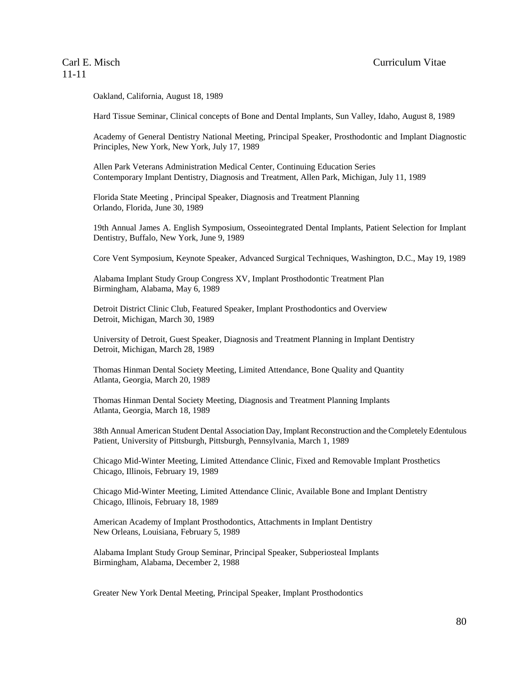Oakland, California, August 18, 1989

Hard Tissue Seminar, Clinical concepts of Bone and Dental Implants, Sun Valley, Idaho, August 8, 1989

Academy of General Dentistry National Meeting, Principal Speaker, Prosthodontic and Implant Diagnostic Principles, New York, New York, July 17, 1989

Allen Park Veterans Administration Medical Center, Continuing Education Series Contemporary Implant Dentistry, Diagnosis and Treatment, Allen Park, Michigan, July 11, 1989

Florida State Meeting , Principal Speaker, Diagnosis and Treatment Planning Orlando, Florida, June 30, 1989

19th Annual James A. English Symposium, Osseointegrated Dental Implants, Patient Selection for Implant Dentistry, Buffalo, New York, June 9, 1989

Core Vent Symposium, Keynote Speaker, Advanced Surgical Techniques, Washington, D.C., May 19, 1989

Alabama Implant Study Group Congress XV, Implant Prosthodontic Treatment Plan Birmingham, Alabama, May 6, 1989

Detroit District Clinic Club, Featured Speaker, Implant Prosthodontics and Overview Detroit, Michigan, March 30, 1989

University of Detroit, Guest Speaker, Diagnosis and Treatment Planning in Implant Dentistry Detroit, Michigan, March 28, 1989

Thomas Hinman Dental Society Meeting, Limited Attendance, Bone Quality and Quantity Atlanta, Georgia, March 20, 1989

Thomas Hinman Dental Society Meeting, Diagnosis and Treatment Planning Implants Atlanta, Georgia, March 18, 1989

38th Annual American Student Dental Association Day, Implant Reconstruction and the Completely Edentulous Patient, University of Pittsburgh, Pittsburgh, Pennsylvania, March 1, 1989

Chicago Mid-Winter Meeting, Limited Attendance Clinic, Fixed and Removable Implant Prosthetics Chicago, Illinois, February 19, 1989

Chicago Mid-Winter Meeting, Limited Attendance Clinic, Available Bone and Implant Dentistry Chicago, Illinois, February 18, 1989

American Academy of Implant Prosthodontics, Attachments in Implant Dentistry New Orleans, Louisiana, February 5, 1989

Alabama Implant Study Group Seminar, Principal Speaker, Subperiosteal Implants Birmingham, Alabama, December 2, 1988

Greater New York Dental Meeting, Principal Speaker, Implant Prosthodontics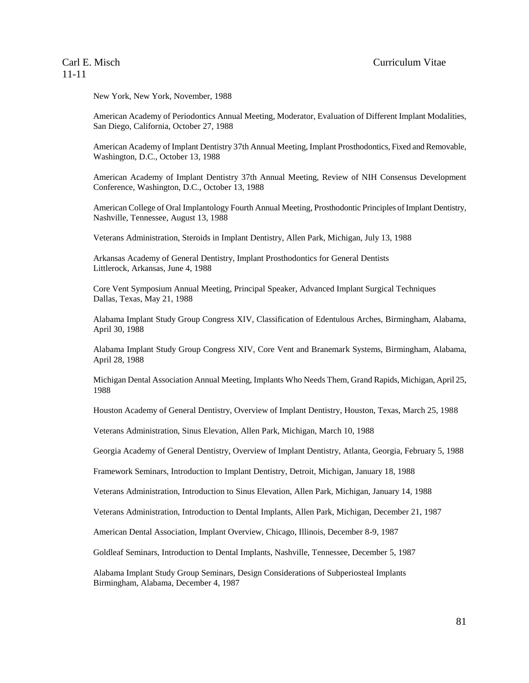New York, New York, November, 1988

American Academy of Periodontics Annual Meeting, Moderator, Evaluation of Different Implant Modalities, San Diego, California, October 27, 1988

American Academy of Implant Dentistry 37th Annual Meeting, Implant Prosthodontics, Fixed and Removable, Washington, D.C., October 13, 1988

American Academy of Implant Dentistry 37th Annual Meeting, Review of NIH Consensus Development Conference, Washington, D.C., October 13, 1988

American College of Oral Implantology Fourth Annual Meeting, Prosthodontic Principles of Implant Dentistry, Nashville, Tennessee, August 13, 1988

Veterans Administration, Steroids in Implant Dentistry, Allen Park, Michigan, July 13, 1988

Arkansas Academy of General Dentistry, Implant Prosthodontics for General Dentists Littlerock, Arkansas, June 4, 1988

Core Vent Symposium Annual Meeting, Principal Speaker, Advanced Implant Surgical Techniques Dallas, Texas, May 21, 1988

Alabama Implant Study Group Congress XIV, Classification of Edentulous Arches, Birmingham, Alabama, April 30, 1988

Alabama Implant Study Group Congress XIV, Core Vent and Branemark Systems, Birmingham, Alabama, April 28, 1988

Michigan Dental Association Annual Meeting, Implants Who Needs Them, Grand Rapids, Michigan, April 25, 1988

Houston Academy of General Dentistry, Overview of Implant Dentistry, Houston, Texas, March 25, 1988

Veterans Administration, Sinus Elevation, Allen Park, Michigan, March 10, 1988

Georgia Academy of General Dentistry, Overview of Implant Dentistry, Atlanta, Georgia, February 5, 1988

Framework Seminars, Introduction to Implant Dentistry, Detroit, Michigan, January 18, 1988

Veterans Administration, Introduction to Sinus Elevation, Allen Park, Michigan, January 14, 1988

Veterans Administration, Introduction to Dental Implants, Allen Park, Michigan, December 21, 1987

American Dental Association, Implant Overview, Chicago, Illinois, December 8-9, 1987

Goldleaf Seminars, Introduction to Dental Implants, Nashville, Tennessee, December 5, 1987

Alabama Implant Study Group Seminars, Design Considerations of Subperiosteal Implants Birmingham, Alabama, December 4, 1987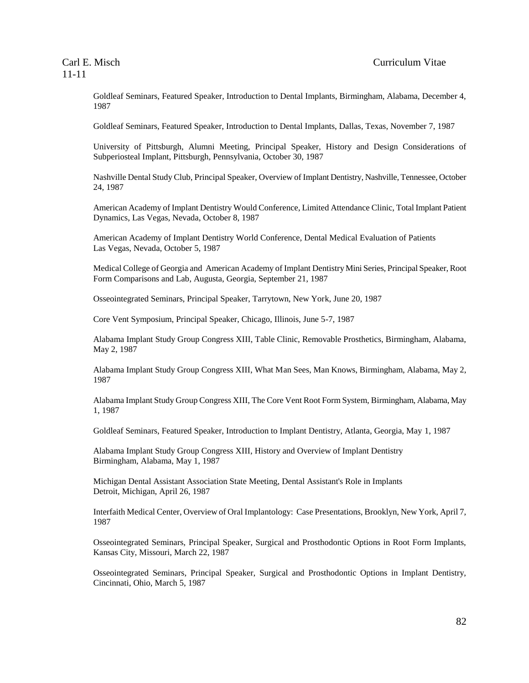Goldleaf Seminars, Featured Speaker, Introduction to Dental Implants, Birmingham, Alabama, December 4, 1987

Goldleaf Seminars, Featured Speaker, Introduction to Dental Implants, Dallas, Texas, November 7, 1987

University of Pittsburgh, Alumni Meeting, Principal Speaker, History and Design Considerations of Subperiosteal Implant, Pittsburgh, Pennsylvania, October 30, 1987

Nashville Dental Study Club, Principal Speaker, Overview of Implant Dentistry, Nashville, Tennessee, October 24, 1987

American Academy of Implant Dentistry Would Conference, Limited Attendance Clinic, Total Implant Patient Dynamics, Las Vegas, Nevada, October 8, 1987

American Academy of Implant Dentistry World Conference, Dental Medical Evaluation of Patients Las Vegas, Nevada, October 5, 1987

Medical College of Georgia and American Academy of Implant Dentistry Mini Series, Principal Speaker, Root Form Comparisons and Lab, Augusta, Georgia, September 21, 1987

Osseointegrated Seminars, Principal Speaker, Tarrytown, New York, June 20, 1987

Core Vent Symposium, Principal Speaker, Chicago, Illinois, June 5-7, 1987

Alabama Implant Study Group Congress XIII, Table Clinic, Removable Prosthetics, Birmingham, Alabama, May 2, 1987

Alabama Implant Study Group Congress XIII, What Man Sees, Man Knows, Birmingham, Alabama, May 2, 1987

Alabama Implant Study Group Congress XIII, The Core Vent Root Form System, Birmingham, Alabama, May 1, 1987

Goldleaf Seminars, Featured Speaker, Introduction to Implant Dentistry, Atlanta, Georgia, May 1, 1987

Alabama Implant Study Group Congress XIII, History and Overview of Implant Dentistry Birmingham, Alabama, May 1, 1987

Michigan Dental Assistant Association State Meeting, Dental Assistant's Role in Implants Detroit, Michigan, April 26, 1987

Interfaith Medical Center, Overview of Oral Implantology: Case Presentations, Brooklyn, New York, April 7, 1987

Osseointegrated Seminars, Principal Speaker, Surgical and Prosthodontic Options in Root Form Implants, Kansas City, Missouri, March 22, 1987

Osseointegrated Seminars, Principal Speaker, Surgical and Prosthodontic Options in Implant Dentistry, Cincinnati, Ohio, March 5, 1987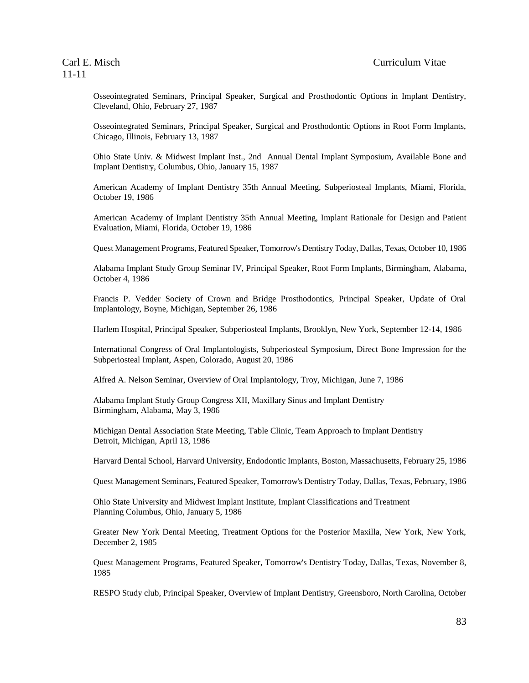Osseointegrated Seminars, Principal Speaker, Surgical and Prosthodontic Options in Implant Dentistry, Cleveland, Ohio, February 27, 1987

Osseointegrated Seminars, Principal Speaker, Surgical and Prosthodontic Options in Root Form Implants, Chicago, Illinois, February 13, 1987

Ohio State Univ. & Midwest Implant Inst., 2nd Annual Dental Implant Symposium, Available Bone and Implant Dentistry, Columbus, Ohio, January 15, 1987

American Academy of Implant Dentistry 35th Annual Meeting, Subperiosteal Implants, Miami, Florida, October 19, 1986

American Academy of Implant Dentistry 35th Annual Meeting, Implant Rationale for Design and Patient Evaluation, Miami, Florida, October 19, 1986

Quest Management Programs, Featured Speaker, Tomorrow's Dentistry Today, Dallas, Texas, October 10, 1986

Alabama Implant Study Group Seminar IV, Principal Speaker, Root Form Implants, Birmingham, Alabama, October 4, 1986

Francis P. Vedder Society of Crown and Bridge Prosthodontics, Principal Speaker, Update of Oral Implantology, Boyne, Michigan, September 26, 1986

Harlem Hospital, Principal Speaker, Subperiosteal Implants, Brooklyn, New York, September 12-14, 1986

International Congress of Oral Implantologists, Subperiosteal Symposium, Direct Bone Impression for the Subperiosteal Implant, Aspen, Colorado, August 20, 1986

Alfred A. Nelson Seminar, Overview of Oral Implantology, Troy, Michigan, June 7, 1986

Alabama Implant Study Group Congress XII, Maxillary Sinus and Implant Dentistry Birmingham, Alabama, May 3, 1986

Michigan Dental Association State Meeting, Table Clinic, Team Approach to Implant Dentistry Detroit, Michigan, April 13, 1986

Harvard Dental School, Harvard University, Endodontic Implants, Boston, Massachusetts, February 25, 1986

Quest Management Seminars, Featured Speaker, Tomorrow's Dentistry Today, Dallas, Texas, February, 1986

Ohio State University and Midwest Implant Institute, Implant Classifications and Treatment Planning Columbus, Ohio, January 5, 1986

Greater New York Dental Meeting, Treatment Options for the Posterior Maxilla, New York, New York, December 2, 1985

Quest Management Programs, Featured Speaker, Tomorrow's Dentistry Today, Dallas, Texas, November 8, 1985

RESPO Study club, Principal Speaker, Overview of Implant Dentistry, Greensboro, North Carolina, October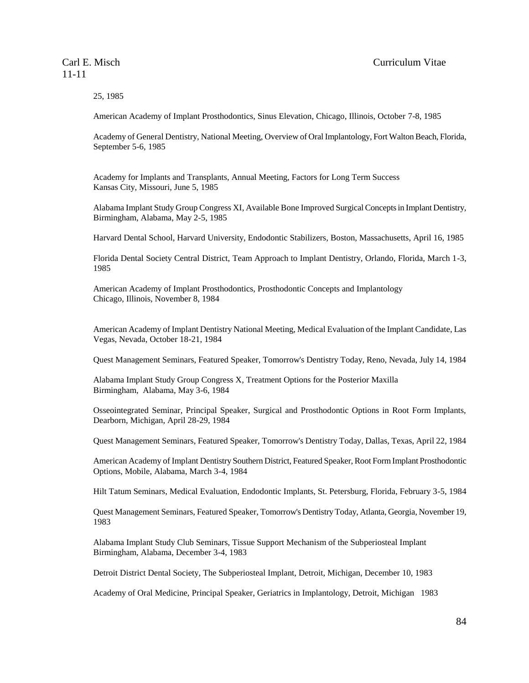25, 1985

American Academy of Implant Prosthodontics, Sinus Elevation, Chicago, Illinois, October 7-8, 1985

Academy of General Dentistry, National Meeting, Overview of Oral Implantology, Fort Walton Beach, Florida, September 5-6, 1985

Academy for Implants and Transplants, Annual Meeting, Factors for Long Term Success Kansas City, Missouri, June 5, 1985

Alabama Implant Study Group Congress XI, Available Bone Improved Surgical Concepts in Implant Dentistry, Birmingham, Alabama, May 2-5, 1985

Harvard Dental School, Harvard University, Endodontic Stabilizers, Boston, Massachusetts, April 16, 1985

Florida Dental Society Central District, Team Approach to Implant Dentistry, Orlando, Florida, March 1-3, 1985

American Academy of Implant Prosthodontics, Prosthodontic Concepts and Implantology Chicago, Illinois, November 8, 1984

American Academy of Implant Dentistry National Meeting, Medical Evaluation of the Implant Candidate, Las Vegas, Nevada, October 18-21, 1984

Quest Management Seminars, Featured Speaker, Tomorrow's Dentistry Today, Reno, Nevada, July 14, 1984

Alabama Implant Study Group Congress X, Treatment Options for the Posterior Maxilla Birmingham, Alabama, May 3-6, 1984

Osseointegrated Seminar, Principal Speaker, Surgical and Prosthodontic Options in Root Form Implants, Dearborn, Michigan, April 28-29, 1984

Quest Management Seminars, Featured Speaker, Tomorrow's Dentistry Today, Dallas, Texas, April 22, 1984

American Academy of Implant Dentistry Southern District, Featured Speaker, Root Form Implant Prosthodontic Options, Mobile, Alabama, March 3-4, 1984

Hilt Tatum Seminars, Medical Evaluation, Endodontic Implants, St. Petersburg, Florida, February 3-5, 1984

Quest Management Seminars, Featured Speaker, Tomorrow's Dentistry Today, Atlanta, Georgia, November 19, 1983

Alabama Implant Study Club Seminars, Tissue Support Mechanism of the Subperiosteal Implant Birmingham, Alabama, December 3-4, 1983

Detroit District Dental Society, The Subperiosteal Implant, Detroit, Michigan, December 10, 1983

Academy of Oral Medicine, Principal Speaker, Geriatrics in Implantology, Detroit, Michigan 1983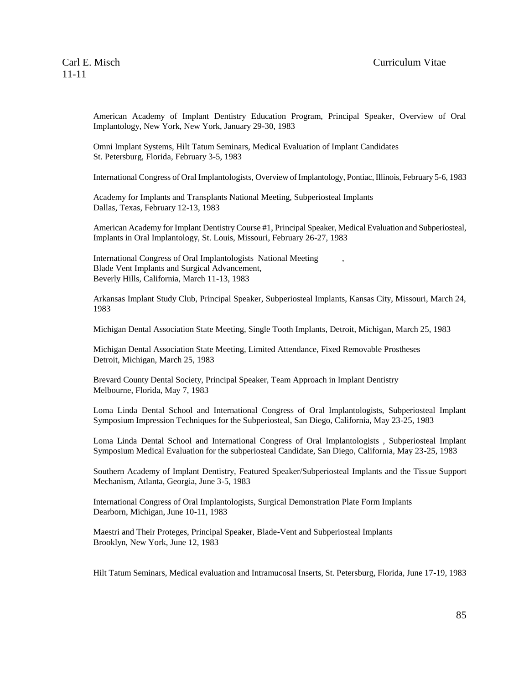American Academy of Implant Dentistry Education Program, Principal Speaker, Overview of Oral Implantology, New York, New York, January 29-30, 1983

Omni Implant Systems, Hilt Tatum Seminars, Medical Evaluation of Implant Candidates St. Petersburg, Florida, February 3-5, 1983

International Congress of Oral Implantologists, Overview of Implantology, Pontiac, Illinois, February 5-6, 1983

Academy for Implants and Transplants National Meeting, Subperiosteal Implants Dallas, Texas, February 12-13, 1983

American Academy for Implant Dentistry Course #1, Principal Speaker, Medical Evaluation and Subperiosteal, Implants in Oral Implantology, St. Louis, Missouri, February 26-27, 1983

International Congress of Oral Implantologists National Meeting , Blade Vent Implants and Surgical Advancement, Beverly Hills, California, March 11-13, 1983

Arkansas Implant Study Club, Principal Speaker, Subperiosteal Implants, Kansas City, Missouri, March 24, 1983

Michigan Dental Association State Meeting, Single Tooth Implants, Detroit, Michigan, March 25, 1983

Michigan Dental Association State Meeting, Limited Attendance, Fixed Removable Prostheses Detroit, Michigan, March 25, 1983

Brevard County Dental Society, Principal Speaker, Team Approach in Implant Dentistry Melbourne, Florida, May 7, 1983

Loma Linda Dental School and International Congress of Oral Implantologists, Subperiosteal Implant Symposium Impression Techniques for the Subperiosteal, San Diego, California, May 23-25, 1983

Loma Linda Dental School and International Congress of Oral Implantologists , Subperiosteal Implant Symposium Medical Evaluation for the subperiosteal Candidate, San Diego, California, May 23-25, 1983

Southern Academy of Implant Dentistry, Featured Speaker/Subperiosteal Implants and the Tissue Support Mechanism, Atlanta, Georgia, June 3-5, 1983

International Congress of Oral Implantologists, Surgical Demonstration Plate Form Implants Dearborn, Michigan, June 10-11, 1983

Maestri and Their Proteges, Principal Speaker, Blade-Vent and Subperiosteal Implants Brooklyn, New York, June 12, 1983

Hilt Tatum Seminars, Medical evaluation and Intramucosal Inserts, St. Petersburg, Florida, June 17-19, 1983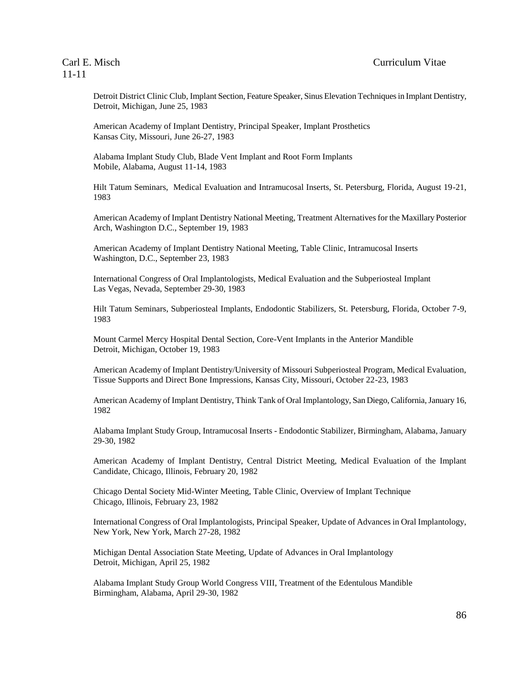Detroit District Clinic Club, Implant Section, Feature Speaker, Sinus Elevation Techniques in Implant Dentistry, Detroit, Michigan, June 25, 1983

American Academy of Implant Dentistry, Principal Speaker, Implant Prosthetics Kansas City, Missouri, June 26-27, 1983

Alabama Implant Study Club, Blade Vent Implant and Root Form Implants Mobile, Alabama, August 11-14, 1983

Hilt Tatum Seminars, Medical Evaluation and Intramucosal Inserts, St. Petersburg, Florida, August 19-21, 1983

American Academy of Implant Dentistry National Meeting, Treatment Alternatives for the Maxillary Posterior Arch, Washington D.C., September 19, 1983

American Academy of Implant Dentistry National Meeting, Table Clinic, Intramucosal Inserts Washington, D.C., September 23, 1983

International Congress of Oral Implantologists, Medical Evaluation and the Subperiosteal Implant Las Vegas, Nevada, September 29-30, 1983

Hilt Tatum Seminars, Subperiosteal Implants, Endodontic Stabilizers, St. Petersburg, Florida, October 7-9, 1983

Mount Carmel Mercy Hospital Dental Section, Core-Vent Implants in the Anterior Mandible Detroit, Michigan, October 19, 1983

American Academy of Implant Dentistry/University of Missouri Subperiosteal Program, Medical Evaluation, Tissue Supports and Direct Bone Impressions, Kansas City, Missouri, October 22-23, 1983

American Academy of Implant Dentistry, Think Tank of Oral Implantology, San Diego, California, January 16, 1982

Alabama Implant Study Group, Intramucosal Inserts - Endodontic Stabilizer, Birmingham, Alabama, January 29-30, 1982

American Academy of Implant Dentistry, Central District Meeting, Medical Evaluation of the Implant Candidate, Chicago, Illinois, February 20, 1982

Chicago Dental Society Mid-Winter Meeting, Table Clinic, Overview of Implant Technique Chicago, Illinois, February 23, 1982

International Congress of Oral Implantologists, Principal Speaker, Update of Advances in Oral Implantology, New York, New York, March 27-28, 1982

Michigan Dental Association State Meeting, Update of Advances in Oral Implantology Detroit, Michigan, April 25, 1982

Alabama Implant Study Group World Congress VIII, Treatment of the Edentulous Mandible Birmingham, Alabama, April 29-30, 1982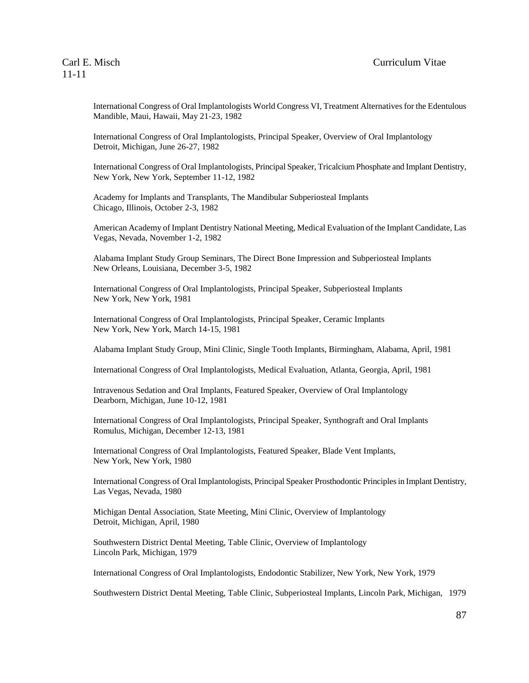International Congress of Oral Implantologists World Congress VI, Treatment Alternatives for the Edentulous Mandible, Maui, Hawaii, May 21-23, 1982

International Congress of Oral Implantologists, Principal Speaker, Overview of Oral Implantology Detroit, Michigan, June 26-27, 1982

International Congress of Oral Implantologists, Principal Speaker, Tricalcium Phosphate and Implant Dentistry, New York, New York, September 11-12, 1982

Academy for Implants and Transplants, The Mandibular Subperiosteal Implants Chicago, Illinois, October 2-3, 1982

American Academy of Implant Dentistry National Meeting, Medical Evaluation of the Implant Candidate, Las Vegas, Nevada, November 1-2, 1982

Alabama Implant Study Group Seminars, The Direct Bone Impression and Subperiosteal Implants New Orleans, Louisiana, December 3-5, 1982

International Congress of Oral Implantologists, Principal Speaker, Subperiosteal Implants New York, New York, 1981

International Congress of Oral Implantologists, Principal Speaker, Ceramic Implants New York, New York, March 14-15, 1981

Alabama Implant Study Group, Mini Clinic, Single Tooth Implants, Birmingham, Alabama, April, 1981

International Congress of Oral Implantologists, Medical Evaluation, Atlanta, Georgia, April, 1981

Intravenous Sedation and Oral Implants, Featured Speaker, Overview of Oral Implantology Dearborn, Michigan, June 10-12, 1981

International Congress of Oral Implantologists, Principal Speaker, Synthograft and Oral Implants Romulus, Michigan, December 12-13, 1981

International Congress of Oral Implantologists, Featured Speaker, Blade Vent Implants, New York, New York, 1980

International Congress of Oral Implantologists, Principal Speaker Prosthodontic Principles in Implant Dentistry, Las Vegas, Nevada, 1980

Michigan Dental Association, State Meeting, Mini Clinic, Overview of Implantology Detroit, Michigan, April, 1980

Southwestern District Dental Meeting, Table Clinic, Overview of Implantology Lincoln Park, Michigan, 1979

International Congress of Oral Implantologists, Endodontic Stabilizer, New York, New York, 1979

Southwestern District Dental Meeting, Table Clinic, Subperiosteal Implants, Lincoln Park, Michigan, 1979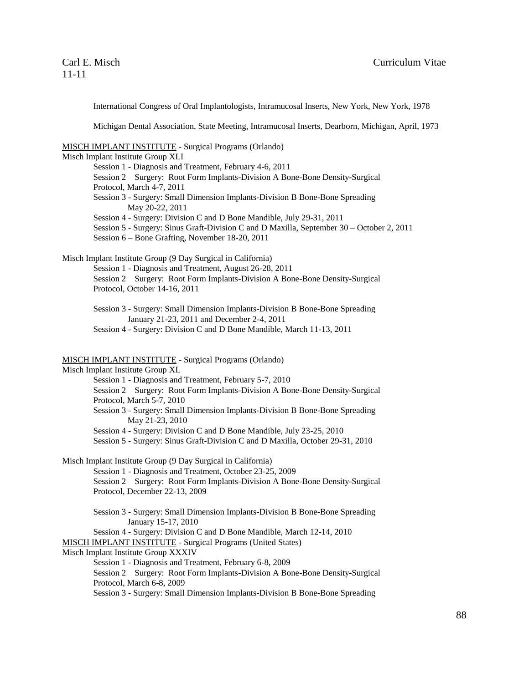International Congress of Oral Implantologists, Intramucosal Inserts, New York, New York, 1978

Michigan Dental Association, State Meeting, Intramucosal Inserts, Dearborn, Michigan, April, 1973

### MISCH IMPLANT INSTITUTE - Surgical Programs (Orlando)

Misch Implant Institute Group XLI Session 1 - Diagnosis and Treatment, February 4-6, 2011 Session 2 Surgery: Root Form Implants-Division A Bone-Bone Density-Surgical Protocol, March 4-7, 2011 Session 3 - Surgery: Small Dimension Implants-Division B Bone-Bone Spreading May 20-22, 2011 Session 4 - Surgery: Division C and D Bone Mandible, July 29-31, 2011 Session 5 - Surgery: Sinus Graft-Division C and D Maxilla, September 30 – October 2, 2011 Session 6 – Bone Grafting, November 18-20, 2011

Misch Implant Institute Group (9 Day Surgical in California)

Session 1 - Diagnosis and Treatment, August 26-28, 2011

Session 2 Surgery: Root Form Implants-Division A Bone-Bone Density-Surgical Protocol, October 14-16, 2011

Session 3 - Surgery: Small Dimension Implants-Division B Bone-Bone Spreading January 21-23, 2011 and December 2-4, 2011 Session 4 - Surgery: Division C and D Bone Mandible, March 11-13, 2011

### MISCH IMPLANT INSTITUTE - Surgical Programs (Orlando)

Misch Implant Institute Group XL Session 1 - Diagnosis and Treatment, February 5-7, 2010 Session 2 Surgery: Root Form Implants-Division A Bone-Bone Density-Surgical Protocol, March 5-7, 2010 Session 3 - Surgery: Small Dimension Implants-Division B Bone-Bone Spreading May 21-23, 2010 Session 4 - Surgery: Division C and D Bone Mandible, July 23-25, 2010 Session 5 - Surgery: Sinus Graft-Division C and D Maxilla, October 29-31, 2010

Misch Implant Institute Group (9 Day Surgical in California)

Session 1 - Diagnosis and Treatment, October 23-25, 2009

Session 2 Surgery: Root Form Implants-Division A Bone-Bone Density-Surgical Protocol, December 22-13, 2009

Session 3 - Surgery: Small Dimension Implants-Division B Bone-Bone Spreading January 15-17, 2010

Session 4 - Surgery: Division C and D Bone Mandible, March 12-14, 2010

MISCH IMPLANT INSTITUTE - Surgical Programs (United States)

Misch Implant Institute Group XXXIV

Session 1 - Diagnosis and Treatment, February 6-8, 2009

Session 2 Surgery: Root Form Implants-Division A Bone-Bone Density-Surgical Protocol, March 6-8, 2009

Session 3 - Surgery: Small Dimension Implants-Division B Bone-Bone Spreading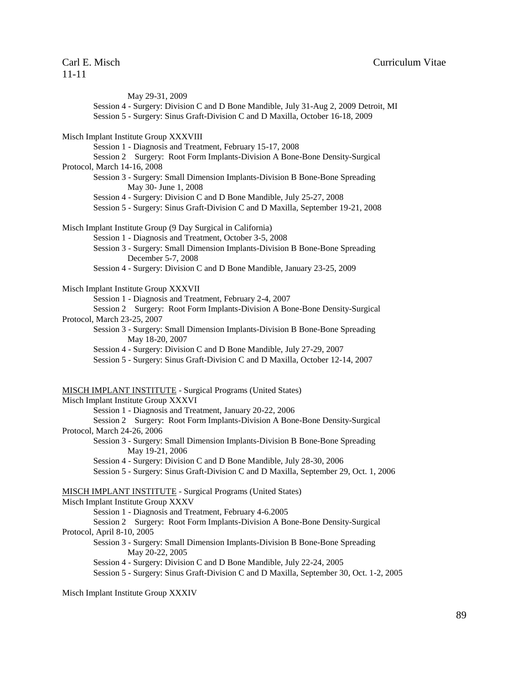May 29-31, 2009 Session 4 - Surgery: Division C and D Bone Mandible, July 31-Aug 2, 2009 Detroit, MI Session 5 - Surgery: Sinus Graft-Division C and D Maxilla, October 16-18, 2009 Misch Implant Institute Group XXXVIII Session 1 - Diagnosis and Treatment, February 15-17, 2008 Session 2 Surgery: Root Form Implants-Division A Bone-Bone Density-Surgical Protocol, March 14-16, 2008 Session 3 - Surgery: Small Dimension Implants-Division B Bone-Bone Spreading May 30- June 1, 2008 Session 4 - Surgery: Division C and D Bone Mandible, July 25-27, 2008 Session 5 - Surgery: Sinus Graft-Division C and D Maxilla, September 19-21, 2008 Misch Implant Institute Group (9 Day Surgical in California) Session 1 - Diagnosis and Treatment, October 3-5, 2008 Session 3 - Surgery: Small Dimension Implants-Division B Bone-Bone Spreading December 5-7, 2008 Session 4 - Surgery: Division C and D Bone Mandible, January 23-25, 2009 Misch Implant Institute Group XXXVII Session 1 - Diagnosis and Treatment, February 2-4, 2007 Session 2 Surgery: Root Form Implants-Division A Bone-Bone Density-Surgical Protocol, March 23-25, 2007 Session 3 - Surgery: Small Dimension Implants-Division B Bone-Bone Spreading May 18-20, 2007 Session 4 - Surgery: Division C and D Bone Mandible, July 27-29, 2007 Session 5 - Surgery: Sinus Graft-Division C and D Maxilla, October 12-14, 2007 MISCH IMPLANT INSTITUTE - Surgical Programs (United States) Misch Implant Institute Group XXXVI Session 1 - Diagnosis and Treatment, January 20-22, 2006 Session 2 Surgery: Root Form Implants-Division A Bone-Bone Density-Surgical Protocol, March 24-26, 2006 Session 3 - Surgery: Small Dimension Implants-Division B Bone-Bone Spreading May 19-21, 2006 Session 4 - Surgery: Division C and D Bone Mandible, July 28-30, 2006 Session 5 - Surgery: Sinus Graft-Division C and D Maxilla, September 29, Oct. 1, 2006 MISCH IMPLANT INSTITUTE - Surgical Programs (United States) Misch Implant Institute Group XXXV Session 1 - Diagnosis and Treatment, February 4-6.2005 Session 2 Surgery: Root Form Implants-Division A Bone-Bone Density-Surgical Protocol, April 8-10, 2005 Session 3 - Surgery: Small Dimension Implants-Division B Bone-Bone Spreading May 20-22, 2005 Session 4 - Surgery: Division C and D Bone Mandible, July 22-24, 2005 Session 5 - Surgery: Sinus Graft-Division C and D Maxilla, September 30, Oct. 1-2, 2005

Misch Implant Institute Group XXXIV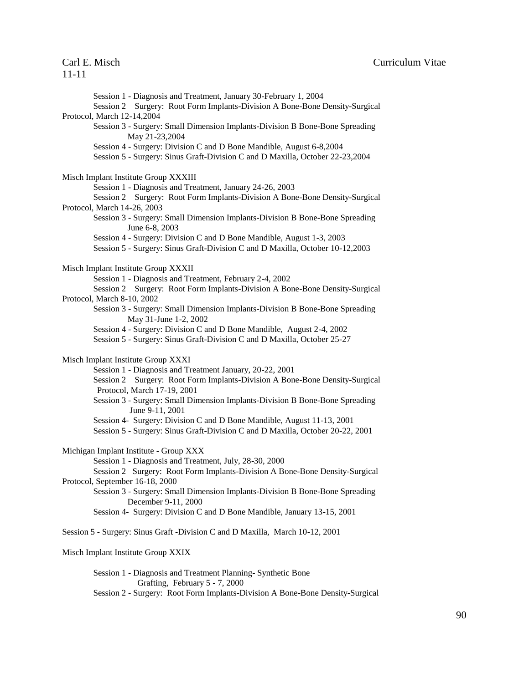Session 1 - Diagnosis and Treatment, January 30-February 1, 2004 Session 2 Surgery: Root Form Implants-Division A Bone-Bone Density-Surgical Protocol, March 12-14,2004 Session 3 - Surgery: Small Dimension Implants-Division B Bone-Bone Spreading May 21-23,2004 Session 4 - Surgery: Division C and D Bone Mandible, August 6-8,2004 Session 5 - Surgery: Sinus Graft-Division C and D Maxilla, October 22-23,2004 Misch Implant Institute Group XXXIII Session 1 - Diagnosis and Treatment, January 24-26, 2003 Session 2 Surgery: Root Form Implants-Division A Bone-Bone Density-Surgical Protocol, March 14-26, 2003 Session 3 - Surgery: Small Dimension Implants-Division B Bone-Bone Spreading June 6-8, 2003 Session 4 - Surgery: Division C and D Bone Mandible, August 1-3, 2003 Session 5 - Surgery: Sinus Graft-Division C and D Maxilla, October 10-12,2003 Misch Implant Institute Group XXXII Session 1 - Diagnosis and Treatment, February 2-4, 2002 Session 2 Surgery: Root Form Implants-Division A Bone-Bone Density-Surgical Protocol, March 8-10, 2002 Session 3 - Surgery: Small Dimension Implants-Division B Bone-Bone Spreading May 31-June 1-2, 2002 Session 4 - Surgery: Division C and D Bone Mandible, August 2-4, 2002 Session 5 - Surgery: Sinus Graft-Division C and D Maxilla, October 25-27 Misch Implant Institute Group XXXI Session 1 - Diagnosis and Treatment January, 20-22, 2001 Session 2 Surgery: Root Form Implants-Division A Bone-Bone Density-Surgical Protocol, March 17-19, 2001 Session 3 - Surgery: Small Dimension Implants-Division B Bone-Bone Spreading June 9-11, 2001 Session 4- Surgery: Division C and D Bone Mandible, August 11-13, 2001 Session 5 - Surgery: Sinus Graft-Division C and D Maxilla, October 20-22, 2001 Michigan Implant Institute - Group XXX Session 1 - Diagnosis and Treatment, July, 28-30, 2000 Session 2 Surgery: Root Form Implants-Division A Bone-Bone Density-Surgical Protocol, September 16-18, 2000 Session 3 - Surgery: Small Dimension Implants-Division B Bone-Bone Spreading December 9-11, 2000 Session 4- Surgery: Division C and D Bone Mandible, January 13-15, 2001 Session 5 - Surgery: Sinus Graft -Division C and D Maxilla, March 10-12, 2001 Misch Implant Institute Group XXIX

Session 1 - Diagnosis and Treatment Planning- Synthetic Bone Grafting, February 5 - 7, 2000 Session 2 - Surgery: Root Form Implants-Division A Bone-Bone Density-Surgical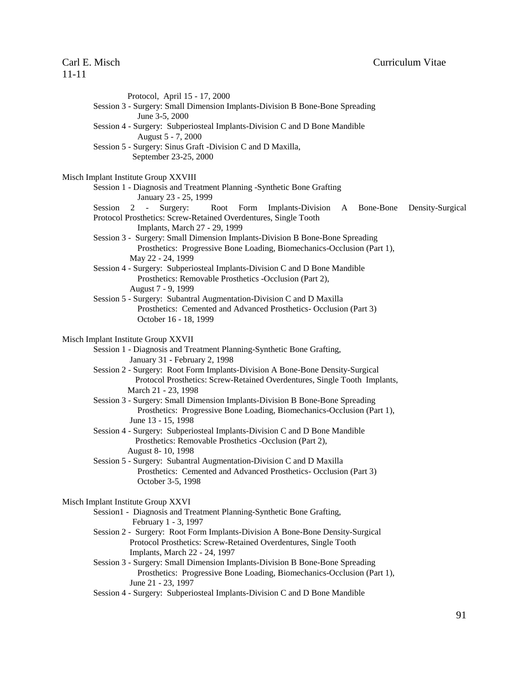| Protocol, April 15 - 17, 2000<br>Session 3 - Surgery: Small Dimension Implants-Division B Bone-Bone Spreading<br>June 3-5, 2000<br>Session 4 - Surgery: Subperiosteal Implants-Division C and D Bone Mandible<br>August 5 - 7, 2000<br>Session 5 - Surgery: Sinus Graft -Division C and D Maxilla,<br>September 23-25, 2000 |                  |
|-----------------------------------------------------------------------------------------------------------------------------------------------------------------------------------------------------------------------------------------------------------------------------------------------------------------------------|------------------|
| Misch Implant Institute Group XXVIII                                                                                                                                                                                                                                                                                        |                  |
| Session 1 - Diagnosis and Treatment Planning -Synthetic Bone Grafting<br>January 23 - 25, 1999                                                                                                                                                                                                                              |                  |
| $2 - 1$<br>Surgery:<br>Session<br>Root Form Implants-Division<br>Bone-Bone<br>A<br>Protocol Prosthetics: Screw-Retained Overdentures, Single Tooth<br>Implants, March 27 - 29, 1999                                                                                                                                         | Density-Surgical |
| Session 3 - Surgery: Small Dimension Implants-Division B Bone-Bone Spreading<br>Prosthetics: Progressive Bone Loading, Biomechanics-Occlusion (Part 1),<br>May 22 - 24, 1999                                                                                                                                                |                  |
| Session 4 - Surgery: Subperiosteal Implants-Division C and D Bone Mandible<br>Prosthetics: Removable Prosthetics -Occlusion (Part 2),<br>August 7 - 9, 1999                                                                                                                                                                 |                  |
| Session 5 - Surgery: Subantral Augmentation-Division C and D Maxilla<br>Prosthetics: Cemented and Advanced Prosthetics- Occlusion (Part 3)<br>October 16 - 18, 1999                                                                                                                                                         |                  |
| Misch Implant Institute Group XXVII                                                                                                                                                                                                                                                                                         |                  |
| Session 1 - Diagnosis and Treatment Planning-Synthetic Bone Grafting,<br>January 31 - February 2, 1998                                                                                                                                                                                                                      |                  |
| Session 2 - Surgery: Root Form Implants-Division A Bone-Bone Density-Surgical<br>Protocol Prosthetics: Screw-Retained Overdentures, Single Tooth Implants,<br>March 21 - 23, 1998                                                                                                                                           |                  |
| Session 3 - Surgery: Small Dimension Implants-Division B Bone-Bone Spreading<br>Prosthetics: Progressive Bone Loading, Biomechanics-Occlusion (Part 1),<br>June 13 - 15, 1998                                                                                                                                               |                  |
| Session 4 - Surgery: Subperiosteal Implants-Division C and D Bone Mandible<br>Prosthetics: Removable Prosthetics -Occlusion (Part 2),<br>August 8-10, 1998                                                                                                                                                                  |                  |
| Session 5 - Surgery: Subantral Augmentation-Division C and D Maxilla<br>Prosthetics: Cemented and Advanced Prosthetics- Occlusion (Part 3)<br>October 3-5, 1998                                                                                                                                                             |                  |
| Misch Implant Institute Group XXVI                                                                                                                                                                                                                                                                                          |                  |
| Session1 - Diagnosis and Treatment Planning-Synthetic Bone Grafting,<br>February 1 - 3, 1997                                                                                                                                                                                                                                |                  |
| Session 2 - Surgery: Root Form Implants-Division A Bone-Bone Density-Surgical<br>Protocol Prosthetics: Screw-Retained Overdentures, Single Tooth<br>Implants, March 22 - 24, 1997                                                                                                                                           |                  |
| Session 3 - Surgery: Small Dimension Implants-Division B Bone-Bone Spreading<br>Prosthetics: Progressive Bone Loading, Biomechanics-Occlusion (Part 1),<br>June 21 - 23, 1997                                                                                                                                               |                  |
| Session 4 - Surgery: Subperiosteal Implants-Division C and D Bone Mandible                                                                                                                                                                                                                                                  |                  |
|                                                                                                                                                                                                                                                                                                                             |                  |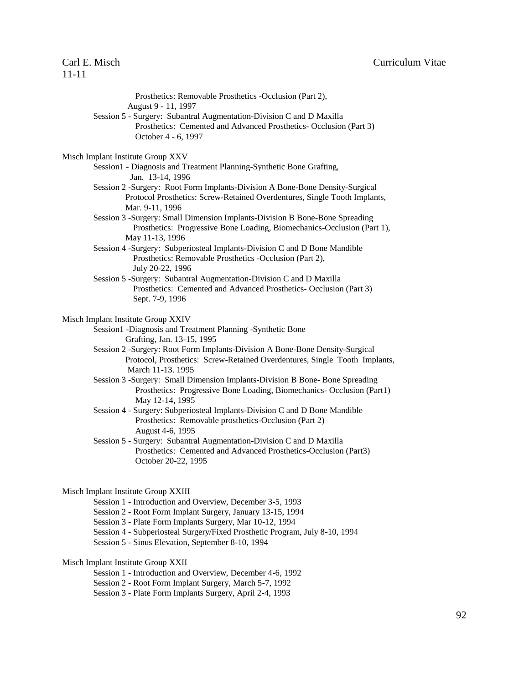| Prosthetics: Removable Prosthetics -Occlusion (Part 2),<br>August 9 - 11, 1997                                                                                                  |
|---------------------------------------------------------------------------------------------------------------------------------------------------------------------------------|
| Session 5 - Surgery: Subantral Augmentation-Division C and D Maxilla                                                                                                            |
| Prosthetics: Cemented and Advanced Prosthetics- Occlusion (Part 3)                                                                                                              |
| October 4 - 6, 1997                                                                                                                                                             |
| Misch Implant Institute Group XXV                                                                                                                                               |
| Session1 - Diagnosis and Treatment Planning-Synthetic Bone Grafting,<br>Jan. 13-14, 1996                                                                                        |
| Session 2 -Surgery: Root Form Implants-Division A Bone-Bone Density-Surgical<br>Protocol Prosthetics: Screw-Retained Overdentures, Single Tooth Implants,<br>Mar. 9-11, 1996    |
| Session 3 -Surgery: Small Dimension Implants-Division B Bone-Bone Spreading<br>Prosthetics: Progressive Bone Loading, Biomechanics-Occlusion (Part 1),<br>May 11-13, 1996       |
| Session 4 -Surgery: Subperiosteal Implants-Division C and D Bone Mandible<br>Prosthetics: Removable Prosthetics -Occlusion (Part 2),<br>July 20-22, 1996                        |
| Session 5 -Surgery: Subantral Augmentation-Division C and D Maxilla<br>Prosthetics: Cemented and Advanced Prosthetics- Occlusion (Part 3)<br>Sept. 7-9, 1996                    |
| Misch Implant Institute Group XXIV                                                                                                                                              |
| Session1 -Diagnosis and Treatment Planning -Synthetic Bone<br>Grafting, Jan. 13-15, 1995                                                                                        |
| Session 2 -Surgery: Root Form Implants-Division A Bone-Bone Density-Surgical<br>Protocol, Prosthetics: Screw-Retained Overdentures, Single Tooth Implants,<br>March 11-13. 1995 |
| Session 3 -Surgery: Small Dimension Implants-Division B Bone- Bone Spreading<br>Prosthetics: Progressive Bone Loading, Biomechanics- Occlusion (Part1)<br>May 12-14, 1995       |
| Session 4 - Surgery: Subperiosteal Implants-Division C and D Bone Mandible<br>Prosthetics: Removable prosthetics-Occlusion (Part 2)<br>August 4-6, 1995                         |
| Session 5 - Surgery: Subantral Augmentation-Division C and D Maxilla<br>Prosthetics: Cemented and Advanced Prosthetics-Occlusion (Part3)<br>October 20-22, 1995                 |
| Misch Implant Institute Group XXIII                                                                                                                                             |
| Session 1 - Introduction and Overview, December 3-5, 1993                                                                                                                       |
| Session 2 - Root Form Implant Surgery, January 13-15, 1994                                                                                                                      |

- Session 3 Plate Form Implants Surgery, Mar 10-12, 1994
- Session 4 Subperiosteal Surgery/Fixed Prosthetic Program, July 8-10, 1994
- Session 5 Sinus Elevation, September 8-10, 1994

## Misch Implant Institute Group XXII

- Session 1 Introduction and Overview, December 4-6, 1992
- Session 2 Root Form Implant Surgery, March 5-7, 1992
- Session 3 Plate Form Implants Surgery, April 2-4, 1993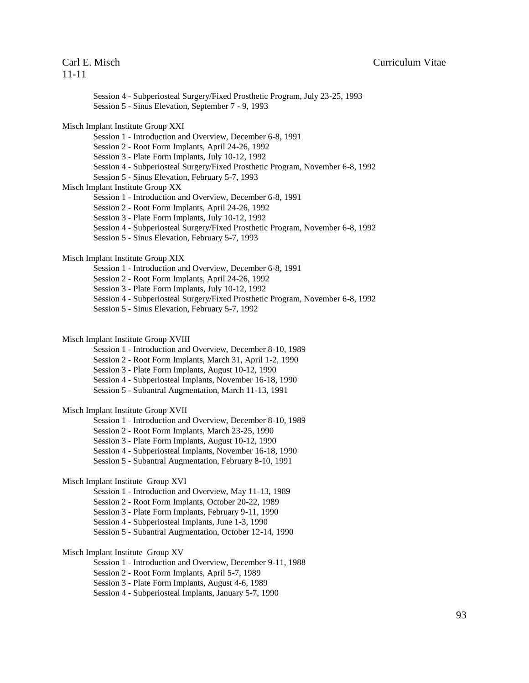| Session 4 - Subperiosteal Surgery/Fixed Prosthetic Program, July 23-25, 1993<br>Session 5 - Sinus Elevation, September 7 - 9, 1993                                                                                                                                                                                                            |
|-----------------------------------------------------------------------------------------------------------------------------------------------------------------------------------------------------------------------------------------------------------------------------------------------------------------------------------------------|
| Misch Implant Institute Group XXI<br>Session 1 - Introduction and Overview, December 6-8, 1991<br>Session 2 - Root Form Implants, April 24-26, 1992<br>Session 3 - Plate Form Implants, July 10-12, 1992<br>Session 4 - Subperiosteal Surgery/Fixed Prosthetic Program, November 6-8, 1992<br>Session 5 - Sinus Elevation, February 5-7, 1993 |
| Misch Implant Institute Group XX<br>Session 1 - Introduction and Overview, December 6-8, 1991<br>Session 2 - Root Form Implants, April 24-26, 1992<br>Session 3 - Plate Form Implants, July 10-12, 1992<br>Session 4 - Subperiosteal Surgery/Fixed Prosthetic Program, November 6-8, 1992<br>Session 5 - Sinus Elevation, February 5-7, 1993  |
| Misch Implant Institute Group XIX<br>Session 1 - Introduction and Overview, December 6-8, 1991<br>Session 2 - Root Form Implants, April 24-26, 1992<br>Session 3 - Plate Form Implants, July 10-12, 1992<br>Session 4 - Subperiosteal Surgery/Fixed Prosthetic Program, November 6-8, 1992<br>Session 5 - Sinus Elevation, February 5-7, 1992 |
| Misch Implant Institute Group XVIII<br>Session 1 - Introduction and Overview, December 8-10, 1989<br>Session 2 - Root Form Implants, March 31, April 1-2, 1990<br>Session 3 - Plate Form Implants, August 10-12, 1990<br>Session 4 - Subperiosteal Implants, November 16-18, 1990<br>Session 5 - Subantral Augmentation, March 11-13, 1991    |
| Misch Implant Institute Group XVII<br>Session 1 - Introduction and Overview, December 8-10, 1989<br>Session 2 - Root Form Implants, March 23-25, 1990<br>Session 3 - Plate Form Implants, August 10-12, 1990<br>Session 4 - Subperiosteal Implants, November 16-18, 1990<br>Session 5 - Subantral Augmentation, February 8-10, 1991           |
| Misch Implant Institute Group XVI<br>Session 1 - Introduction and Overview, May 11-13, 1989<br>Session 2 - Root Form Implants, October 20-22, 1989<br>Session 3 - Plate Form Implants, February 9-11, 1990<br>Session 4 - Subperiosteal Implants, June 1-3, 1990<br>Session 5 - Subantral Augmentation, October 12-14, 1990                   |
| Misch Implant Institute Group XV<br>Session 1 - Introduction and Overview, December 9-11, 1988<br>Session 2 - Root Form Implants, April 5-7, 1989<br>Session 3 - Plate Form Implants, August 4-6, 1989<br>Session 4 - Subperiosteal Implants, January 5-7, 1990                                                                               |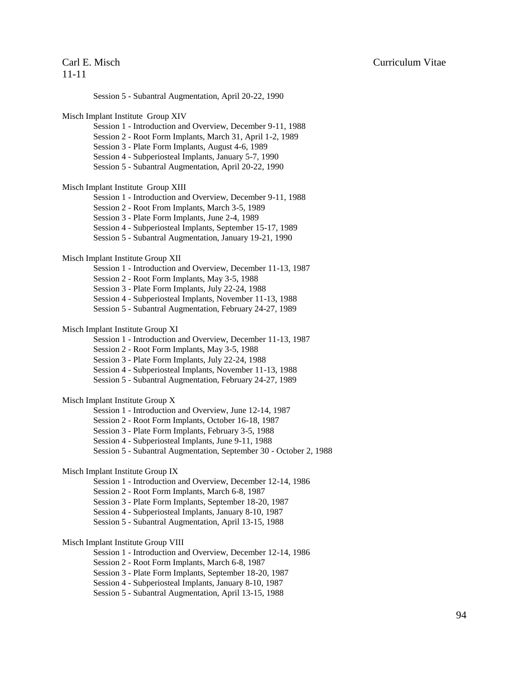Session 5 - Subantral Augmentation, April 20-22, 1990 Misch Implant Institute Group XIV Session 1 - Introduction and Overview, December 9-11, 1988 Session 2 - Root Form Implants, March 31, April 1-2, 1989 Session 3 - Plate Form Implants, August 4-6, 1989 Session 4 - Subperiosteal Implants, January 5-7, 1990 Session 5 - Subantral Augmentation, April 20-22, 1990 Misch Implant Institute Group XIII Session 1 - Introduction and Overview, December 9-11, 1988 Session 2 - Root From Implants, March 3-5, 1989 Session 3 - Plate Form Implants, June 2-4, 1989 Session 4 - Subperiosteal Implants, September 15-17, 1989 Session 5 - Subantral Augmentation, January 19-21, 1990 Misch Implant Institute Group XII Session 1 - Introduction and Overview, December 11-13, 1987 Session 2 - Root Form Implants, May 3-5, 1988 Session 3 - Plate Form Implants, July 22-24, 1988 Session 4 - Subperiosteal Implants, November 11-13, 1988 Session 5 - Subantral Augmentation, February 24-27, 1989 Misch Implant Institute Group XI Session 1 - Introduction and Overview, December 11-13, 1987 Session 2 - Root Form Implants, May 3-5, 1988 Session 3 - Plate Form Implants, July 22-24, 1988 Session 4 - Subperiosteal Implants, November 11-13, 1988 Session 5 - Subantral Augmentation, February 24-27, 1989 Misch Implant Institute Group X Session 1 - Introduction and Overview, June 12-14, 1987 Session 2 - Root Form Implants, October 16-18, 1987 Session 3 - Plate Form Implants, February 3-5, 1988 Session 4 - Subperiosteal Implants, June 9-11, 1988 Session 5 - Subantral Augmentation, September 30 - October 2, 1988 Misch Implant Institute Group IX Session 1 - Introduction and Overview, December 12-14, 1986 Session 2 - Root Form Implants, March 6-8, 1987 Session 3 - Plate Form Implants, September 18-20, 1987 Session 4 - Subperiosteal Implants, January 8-10, 1987 Session 5 - Subantral Augmentation, April 13-15, 1988 Misch Implant Institute Group VIII Session 1 - Introduction and Overview, December 12-14, 1986 Session 2 - Root Form Implants, March 6-8, 1987 Session 3 - Plate Form Implants, September 18-20, 1987 Session 4 - Subperiosteal Implants, January 8-10, 1987 Session 5 - Subantral Augmentation, April 13-15, 1988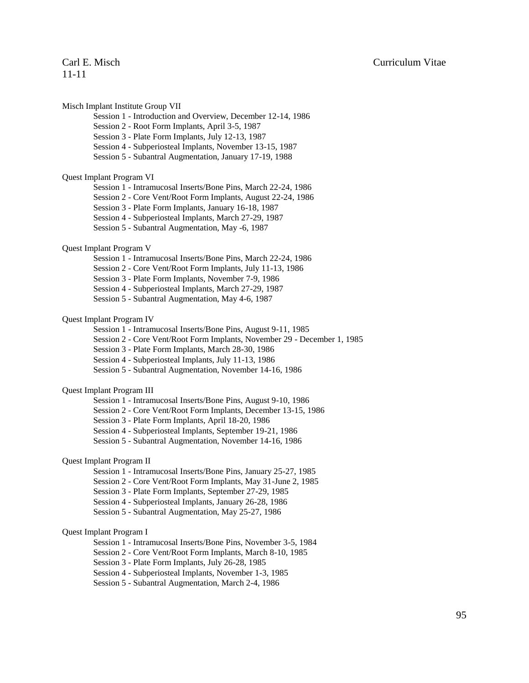Misch Implant Institute Group VII

- Session 1 Introduction and Overview, December 12-14, 1986
- Session 2 Root Form Implants, April 3-5, 1987
- Session 3 Plate Form Implants, July 12-13, 1987
- Session 4 Subperiosteal Implants, November 13-15, 1987
- Session 5 Subantral Augmentation, January 17-19, 1988

### Quest Implant Program VI

- Session 1 Intramucosal Inserts/Bone Pins, March 22-24, 1986
- Session 2 Core Vent/Root Form Implants, August 22-24, 1986
- Session 3 Plate Form Implants, January 16-18, 1987
- Session 4 Subperiosteal Implants, March 27-29, 1987
- Session 5 Subantral Augmentation, May -6, 1987

### Quest Implant Program V

- Session 1 Intramucosal Inserts/Bone Pins, March 22-24, 1986
- Session 2 Core Vent/Root Form Implants, July 11-13, 1986
- Session 3 Plate Form Implants, November 7-9, 1986
- Session 4 Subperiosteal Implants, March 27-29, 1987
- Session 5 Subantral Augmentation, May 4-6, 1987

### Quest Implant Program IV

- Session 1 Intramucosal Inserts/Bone Pins, August 9-11, 1985
- Session 2 Core Vent/Root Form Implants, November 29 December 1, 1985
- Session 3 Plate Form Implants, March 28-30, 1986
- Session 4 Subperiosteal Implants, July 11-13, 1986
- Session 5 Subantral Augmentation, November 14-16, 1986

### Quest Implant Program III

- Session 1 Intramucosal Inserts/Bone Pins, August 9-10, 1986
- Session 2 Core Vent/Root Form Implants, December 13-15, 1986
- Session 3 Plate Form Implants, April 18-20, 1986
- Session 4 Subperiosteal Implants, September 19-21, 1986
- Session 5 Subantral Augmentation, November 14-16, 1986

### Quest Implant Program II

- Session 1 Intramucosal Inserts/Bone Pins, January 25-27, 1985
- Session 2 Core Vent/Root Form Implants, May 31-June 2, 1985
- Session 3 Plate Form Implants, September 27-29, 1985
- Session 4 Subperiosteal Implants, January 26-28, 1986
- Session 5 Subantral Augmentation, May 25-27, 1986

#### Quest Implant Program I

- Session 1 Intramucosal Inserts/Bone Pins, November 3-5, 1984
- Session 2 Core Vent/Root Form Implants, March 8-10, 1985
- Session 3 Plate Form Implants, July 26-28, 1985
- Session 4 Subperiosteal Implants, November 1-3, 1985
- Session 5 Subantral Augmentation, March 2-4, 1986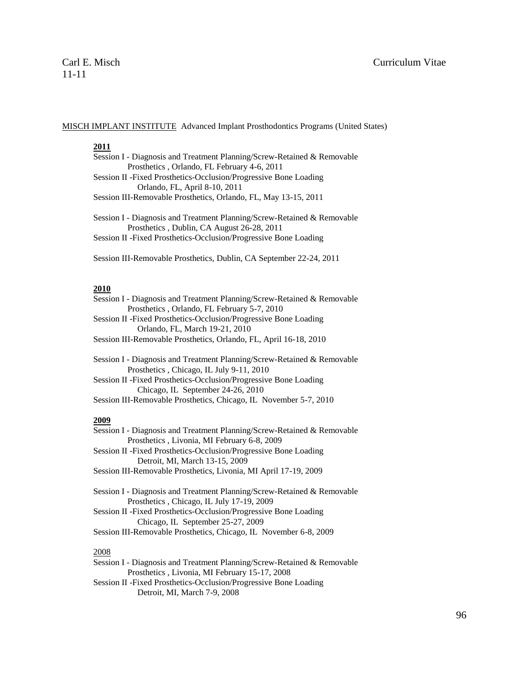### MISCH IMPLANT INSTITUTE Advanced Implant Prosthodontics Programs (United States)

## **2011**

| Session I - Diagnosis and Treatment Planning/Screw-Retained & Removable |
|-------------------------------------------------------------------------|
| Prosthetics, Orlando, FL February 4-6, 2011                             |
| Session II - Fixed Prosthetics-Occlusion/Progressive Bone Loading       |
| Orlando, FL, April 8-10, 2011                                           |
|                                                                         |

Session III-Removable Prosthetics, Orlando, FL, May 13-15, 2011

Session I - Diagnosis and Treatment Planning/Screw-Retained & Removable Prosthetics , Dublin, CA August 26-28, 2011 Session II -Fixed Prosthetics-Occlusion/Progressive Bone Loading

Session III-Removable Prosthetics, Dublin, CA September 22-24, 2011

## **2010**

| Session I - Diagnosis and Treatment Planning/Screw-Retained & Removable                                             |
|---------------------------------------------------------------------------------------------------------------------|
| Prosthetics, Orlando, FL February 5-7, 2010                                                                         |
| Session II - Fixed Prosthetics-Occlusion/Progressive Bone Loading                                                   |
| Orlando, FL, March 19-21, 2010                                                                                      |
| Session III-Removable Prosthetics, Orlando, FL, April 16-18, 2010                                                   |
| Session I - Diagnosis and Treatment Planning/Screw-Retained & Removable<br>Prosthetics, Chicago, IL July 9-11, 2010 |

Session II -Fixed Prosthetics-Occlusion/Progressive Bone Loading Chicago, IL September 24-26, 2010

Session III-Removable Prosthetics, Chicago, IL November 5-7, 2010

## **2009**

| Session I - Diagnosis and Treatment Planning/Screw-Retained & Removable |
|-------------------------------------------------------------------------|
| Prosthetics, Livonia, MI February 6-8, 2009                             |
| Session II - Fixed Prosthetics-Occlusion/Progressive Bone Loading       |
| Detroit, MI, March 13-15, 2009                                          |
| Session III-Removable Prosthetics, Livonia, MI April 17-19, 2009        |
|                                                                         |

Session I - Diagnosis and Treatment Planning/Screw-Retained & Removable Prosthetics , Chicago, IL July 17-19, 2009 Session II -Fixed Prosthetics-Occlusion/Progressive Bone Loading

Chicago, IL September 25-27, 2009

Session III-Removable Prosthetics, Chicago, IL November 6-8, 2009

## 2008

| Session I - Diagnosis and Treatment Planning/Screw-Retained & Removable |
|-------------------------------------------------------------------------|
| Prosthetics, Livonia, MI February 15-17, 2008                           |

Session II -Fixed Prosthetics-Occlusion/Progressive Bone Loading Detroit, MI, March 7-9, 2008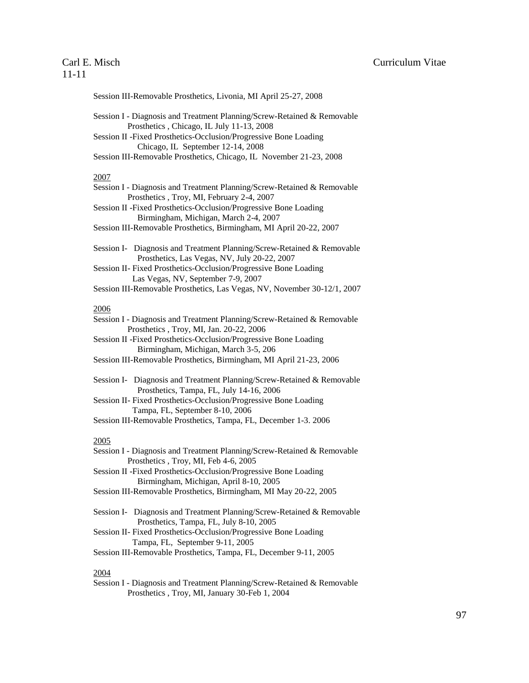## 11-11

Session III-Removable Prosthetics, Livonia, MI April 25-27, 2008

- Session I Diagnosis and Treatment Planning/Screw-Retained & Removable Prosthetics , Chicago, IL July 11-13, 2008
- Session II -Fixed Prosthetics-Occlusion/Progressive Bone Loading Chicago, IL September 12-14, 2008
- Session III-Removable Prosthetics, Chicago, IL November 21-23, 2008

### 2007

- Session I Diagnosis and Treatment Planning/Screw-Retained & Removable Prosthetics , Troy, MI, February 2-4, 2007
- Session II -Fixed Prosthetics-Occlusion/Progressive Bone Loading Birmingham, Michigan, March 2-4, 2007
- Session III-Removable Prosthetics, Birmingham, MI April 20-22, 2007
- Session I- Diagnosis and Treatment Planning/Screw-Retained & Removable Prosthetics, Las Vegas, NV, July 20-22, 2007
- Session II- Fixed Prosthetics-Occlusion/Progressive Bone Loading Las Vegas, NV, September 7-9, 2007
- Session III-Removable Prosthetics, Las Vegas, NV, November 30-12/1, 2007

### 2006

- Session I Diagnosis and Treatment Planning/Screw-Retained & Removable Prosthetics , Troy, MI, Jan. 20-22, 2006
- Session II -Fixed Prosthetics-Occlusion/Progressive Bone Loading Birmingham, Michigan, March 3-5, 206
- Session III-Removable Prosthetics, Birmingham, MI April 21-23, 2006
- Session I- Diagnosis and Treatment Planning/Screw-Retained & Removable Prosthetics, Tampa, FL, July 14-16, 2006
- Session II- Fixed Prosthetics-Occlusion/Progressive Bone Loading Tampa, FL, September 8-10, 2006
- Session III-Removable Prosthetics, Tampa, FL, December 1-3. 2006

## 2005

| Session I - Diagnosis and Treatment Planning/Screw-Retained & Removable |
|-------------------------------------------------------------------------|
| Prosthetics, Troy, MI, Feb 4-6, 2005                                    |

- Session II -Fixed Prosthetics-Occlusion/Progressive Bone Loading Birmingham, Michigan, April 8-10, 2005
- Session III-Removable Prosthetics, Birmingham, MI May 20-22, 2005
- Session I- Diagnosis and Treatment Planning/Screw-Retained & Removable Prosthetics, Tampa, FL, July 8-10, 2005
- Session II- Fixed Prosthetics-Occlusion/Progressive Bone Loading Tampa, FL, September 9-11, 2005
- Session III-Removable Prosthetics, Tampa, FL, December 9-11, 2005

### 2004

Session I - Diagnosis and Treatment Planning/Screw-Retained & Removable Prosthetics , Troy, MI, January 30-Feb 1, 2004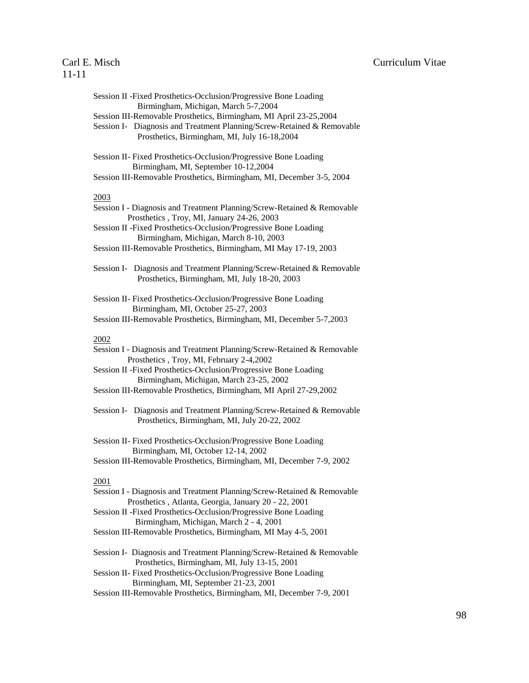| Session II - Fixed Prosthetics-Occlusion/Progressive Bone Loading<br>Birmingham, Michigan, March 5-7,2004<br>Session III-Removable Prosthetics, Birmingham, MI April 23-25,2004<br>Session I- Diagnosis and Treatment Planning/Screw-Retained & Removable                                                                  |
|----------------------------------------------------------------------------------------------------------------------------------------------------------------------------------------------------------------------------------------------------------------------------------------------------------------------------|
| Prosthetics, Birmingham, MI, July 16-18,2004<br>Session II- Fixed Prosthetics-Occlusion/Progressive Bone Loading                                                                                                                                                                                                           |
| Birmingham, MI, September 10-12,2004<br>Session III-Removable Prosthetics, Birmingham, MI, December 3-5, 2004                                                                                                                                                                                                              |
| 2003<br>Session I - Diagnosis and Treatment Planning/Screw-Retained & Removable<br>Prosthetics, Troy, MI, January 24-26, 2003<br>Session II - Fixed Prosthetics-Occlusion/Progressive Bone Loading<br>Birmingham, Michigan, March 8-10, 2003<br>Session III-Removable Prosthetics, Birmingham, MI May 17-19, 2003          |
| Session I- Diagnosis and Treatment Planning/Screw-Retained & Removable<br>Prosthetics, Birmingham, MI, July 18-20, 2003                                                                                                                                                                                                    |
| Session II- Fixed Prosthetics-Occlusion/Progressive Bone Loading<br>Birmingham, MI, October 25-27, 2003<br>Session III-Removable Prosthetics, Birmingham, MI, December 5-7,2003                                                                                                                                            |
| 2002<br>Session I - Diagnosis and Treatment Planning/Screw-Retained & Removable<br>Prosthetics, Troy, MI, February 2-4,2002<br>Session II - Fixed Prosthetics-Occlusion/Progressive Bone Loading<br>Birmingham, Michigan, March 23-25, 2002<br>Session III-Removable Prosthetics, Birmingham, MI April 27-29,2002          |
| Session I- Diagnosis and Treatment Planning/Screw-Retained & Removable<br>Prosthetics, Birmingham, MI, July 20-22, 2002                                                                                                                                                                                                    |
| Session II- Fixed Prosthetics-Occlusion/Progressive Bone Loading<br>Birmingham, MI, October 12-14, 2002<br>Session III-Removable Prosthetics, Birmingham, MI, December 7-9, 2002                                                                                                                                           |
| 2001<br>Session I - Diagnosis and Treatment Planning/Screw-Retained & Removable<br>Prosthetics, Atlanta, Georgia, January 20 - 22, 2001<br>Session II - Fixed Prosthetics-Occlusion/Progressive Bone Loading<br>Birmingham, Michigan, March 2 - 4, 2001<br>Session III-Removable Prosthetics, Birmingham, MI May 4-5, 2001 |
| Session I- Diagnosis and Treatment Planning/Screw-Retained & Removable                                                                                                                                                                                                                                                     |

- Prosthetics, Birmingham, MI, July 13-15, 2001 Session II- Fixed Prosthetics-Occlusion/Progressive Bone Loading Birmingham, MI, September 21-23, 2001
- Session III-Removable Prosthetics, Birmingham, MI, December 7-9, 2001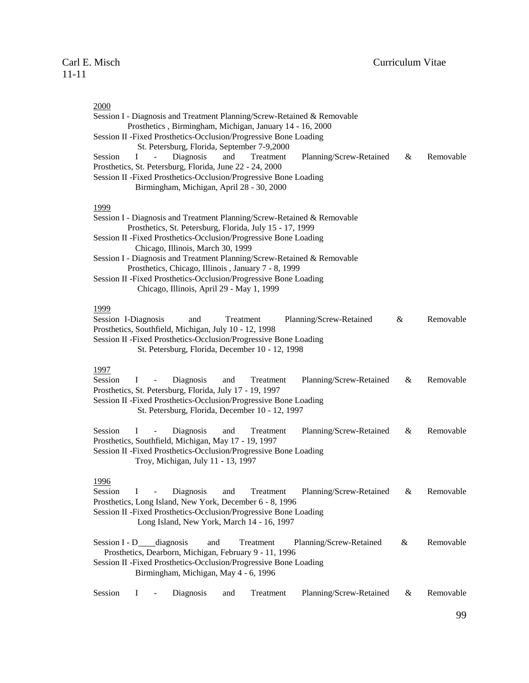## 2000

| Session I - Diagnosis and Treatment Planning/Screw-Retained & Removable                                                       |      |           |
|-------------------------------------------------------------------------------------------------------------------------------|------|-----------|
| Prosthetics, Birmingham, Michigan, January 14 - 16, 2000<br>Session II - Fixed Prosthetics-Occlusion/Progressive Bone Loading |      |           |
| St. Petersburg, Florida, September 7-9,2000                                                                                   |      |           |
| $\bf I$<br>Session<br>Diagnosis<br>and<br>Treatment<br>Planning/Screw-Retained<br>$\bar{\phantom{a}}$                         | $\&$ | Removable |
| Prosthetics, St. Petersburg, Florida, June 22 - 24, 2000                                                                      |      |           |
| Session II - Fixed Prosthetics-Occlusion/Progressive Bone Loading                                                             |      |           |
| Birmingham, Michigan, April 28 - 30, 2000                                                                                     |      |           |
| 1999                                                                                                                          |      |           |
| Session I - Diagnosis and Treatment Planning/Screw-Retained & Removable                                                       |      |           |
| Prosthetics, St. Petersburg, Florida, July 15 - 17, 1999<br>Session II - Fixed Prosthetics-Occlusion/Progressive Bone Loading |      |           |
| Chicago, Illinois, March 30, 1999                                                                                             |      |           |
| Session I - Diagnosis and Treatment Planning/Screw-Retained & Removable                                                       |      |           |
| Prosthetics, Chicago, Illinois, January 7 - 8, 1999                                                                           |      |           |
| Session II - Fixed Prosthetics-Occlusion/Progressive Bone Loading                                                             |      |           |
| Chicago, Illinois, April 29 - May 1, 1999                                                                                     |      |           |
| 1999                                                                                                                          |      |           |
| Session I-Diagnosis<br>Planning/Screw-Retained<br>and<br>Treatment                                                            | &    | Removable |
| Prosthetics, Southfield, Michigan, July 10 - 12, 1998                                                                         |      |           |
| Session II - Fixed Prosthetics-Occlusion/Progressive Bone Loading                                                             |      |           |
| St. Petersburg, Florida, December 10 - 12, 1998                                                                               |      |           |
| 1997                                                                                                                          |      |           |
| Session<br>$\bf{I}$<br>Diagnosis<br>and<br>Planning/Screw-Retained<br>Treatment<br>$\overline{\phantom{a}}$                   | &    | Removable |
| Prosthetics, St. Petersburg, Florida, July 17 - 19, 1997                                                                      |      |           |
| Session II - Fixed Prosthetics-Occlusion/Progressive Bone Loading                                                             |      |           |
| St. Petersburg, Florida, December 10 - 12, 1997                                                                               |      |           |
| Session<br>I<br>Diagnosis<br>Planning/Screw-Retained<br>and<br>Treatment<br>$\overline{\phantom{a}}$                          | &    | Removable |
| Prosthetics, Southfield, Michigan, May 17 - 19, 1997                                                                          |      |           |
| Session II - Fixed Prosthetics-Occlusion/Progressive Bone Loading                                                             |      |           |
| Troy, Michigan, July 11 - 13, 1997                                                                                            |      |           |
| 1996                                                                                                                          |      |           |
| Diagnosis<br>Planning/Screw-Retained<br>Session<br>$\bf{I}$<br>Treatment<br>and<br>$\blacksquare$                             | &    | Removable |
| Prosthetics, Long Island, New York, December 6 - 8, 1996                                                                      |      |           |
| Session II - Fixed Prosthetics-Occlusion/Progressive Bone Loading                                                             |      |           |
| Long Island, New York, March 14 - 16, 1997                                                                                    |      |           |
| Session $I - D$ _____diagnosis<br>Planning/Screw-Retained<br>and<br>Treatment                                                 | &    | Removable |
| Prosthetics, Dearborn, Michigan, February 9 - 11, 1996                                                                        |      |           |
| Session II - Fixed Prosthetics-Occlusion/Progressive Bone Loading                                                             |      |           |
| Birmingham, Michigan, May 4 - 6, 1996                                                                                         |      |           |
|                                                                                                                               |      |           |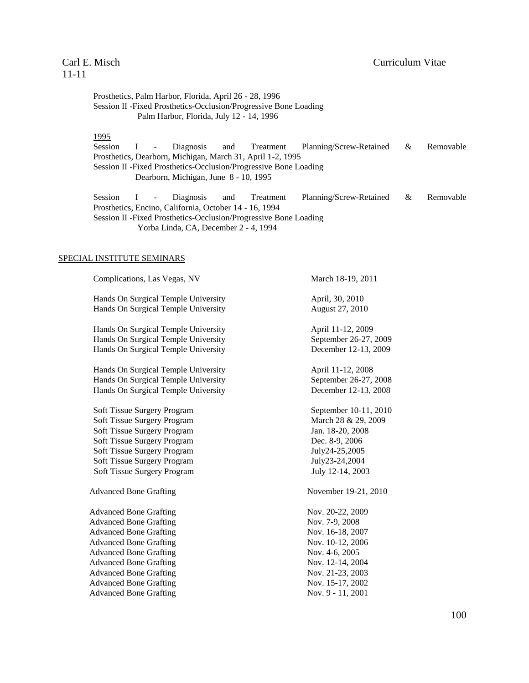# 11-11

Prosthetics, Palm Harbor, Florida, April 26 - 28, 1996 Session II -Fixed Prosthetics-Occlusion/Progressive Bone Loading Palm Harbor, Florida, July 12 - 14, 1996

## 1995

Session I - Diagnosis and Treatment Planning/Screw-Retained & Removable Prosthetics, Dearborn, Michigan, March 31, April 1-2, 1995 Session II -Fixed Prosthetics-Occlusion/Progressive Bone Loading Dearborn, Michigan, June 8 - 10, 1995

Session I - Diagnosis and Treatment Planning/Screw-Retained & Removable Prosthetics, Encino, California, October 14 - 16, 1994 Session II -Fixed Prosthetics-Occlusion/Progressive Bone Loading Yorba Linda, CA, December 2 - 4, 1994

### SPECIAL INSTITUTE SEMINARS

| Complications, Las Vegas, NV        | March 18-19, 2011     |
|-------------------------------------|-----------------------|
| Hands On Surgical Temple University | April, 30, 2010       |
| Hands On Surgical Temple University | August 27, 2010       |
| Hands On Surgical Temple University | April 11-12, 2009     |
| Hands On Surgical Temple University | September 26-27, 2009 |
| Hands On Surgical Temple University | December 12-13, 2009  |
| Hands On Surgical Temple University | April 11-12, 2008     |
| Hands On Surgical Temple University | September 26-27, 2008 |
| Hands On Surgical Temple University | December 12-13, 2008  |
| Soft Tissue Surgery Program         | September 10-11, 2010 |
| Soft Tissue Surgery Program         | March 28 & 29, 2009   |
| Soft Tissue Surgery Program         | Jan. 18-20, 2008      |
| Soft Tissue Surgery Program         | Dec. 8-9, 2006        |
| Soft Tissue Surgery Program         | July24-25,2005        |
| Soft Tissue Surgery Program         | July23-24,2004        |
| <b>Soft Tissue Surgery Program</b>  | July 12-14, 2003      |
| <b>Advanced Bone Grafting</b>       | November 19-21, 2010  |
| <b>Advanced Bone Grafting</b>       | Nov. 20-22, 2009      |
| <b>Advanced Bone Grafting</b>       | Nov. 7-9, 2008        |
| <b>Advanced Bone Grafting</b>       | Nov. 16-18, 2007      |
| <b>Advanced Bone Grafting</b>       | Nov. 10-12, 2006      |
| <b>Advanced Bone Grafting</b>       | Nov. 4-6, 2005        |
| <b>Advanced Bone Grafting</b>       | Nov. 12-14, 2004      |
| <b>Advanced Bone Grafting</b>       | Nov. 21-23, 2003      |
| <b>Advanced Bone Grafting</b>       | Nov. 15-17, 2002      |
| <b>Advanced Bone Grafting</b>       | Nov. 9 - 11, 2001     |
|                                     |                       |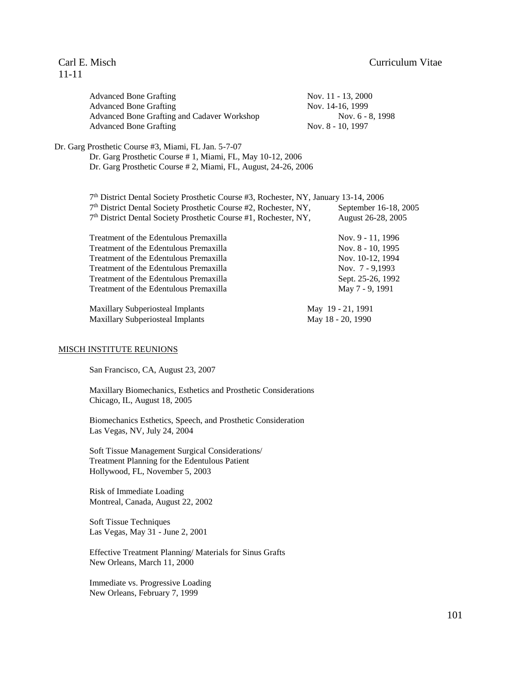# 11-11

| <b>Advanced Bone Grafting</b>               |  |
|---------------------------------------------|--|
| <b>Advanced Bone Grafting</b>               |  |
| Advanced Bone Grafting and Cadaver Workshop |  |
| <b>Advanced Bone Grafting</b>               |  |

Vov. 11 - 13, 2000 Vov. 14-16, 1999 Nov. 6 - 8, 1998 Nov. 8 - 10, 1997

Dr. Garg Prosthetic Course #3, Miami, FL Jan. 5-7-07 Dr. Garg Prosthetic Course # 1, Miami, FL, May 10-12, 2006

Dr. Garg Prosthetic Course # 2, Miami, FL, August, 24-26, 2006

| 7th District Dental Society Prosthetic Course #3, Rochester, NY, January 13-14, 2006 |                       |
|--------------------------------------------------------------------------------------|-----------------------|
| 7 <sup>th</sup> District Dental Society Prosthetic Course #2, Rochester, NY,         | September 16-18, 2005 |
| 7 <sup>th</sup> District Dental Society Prosthetic Course #1, Rochester, NY,         | August 26-28, 2005    |

Treatment of the Edentulous Premaxilla Nov. 9 - 11, 1996 Treatment of the Edentulous Premaxilla Nov. 8 - 10, 1995 Treatment of the Edentulous Premaxilla Nov. 10-12, 1994 Treatment of the Edentulous Premaxilla Nov. 7 - 9,1993 Treatment of the Edentulous Premaxilla Sept. 25-26, 1992 Treatment of the Edentulous Premaxilla May 7 - 9, 1991

Maxillary Subperiosteal Implants May 19 - 21, 1991 Maxillary Subperiosteal Implants May 18 - 20, 1990

### MISCH INSTITUTE REUNIONS

San Francisco, CA, August 23, 2007

Maxillary Biomechanics, Esthetics and Prosthetic Considerations Chicago, IL, August 18, 2005

Biomechanics Esthetics, Speech, and Prosthetic Consideration Las Vegas, NV, July 24, 2004

Soft Tissue Management Surgical Considerations/ Treatment Planning for the Edentulous Patient Hollywood, FL, November 5, 2003

Risk of Immediate Loading Montreal, Canada, August 22, 2002

Soft Tissue Techniques Las Vegas, May 31 - June 2, 2001

Effective Treatment Planning/ Materials for Sinus Grafts New Orleans, March 11, 2000

Immediate vs. Progressive Loading New Orleans, February 7, 1999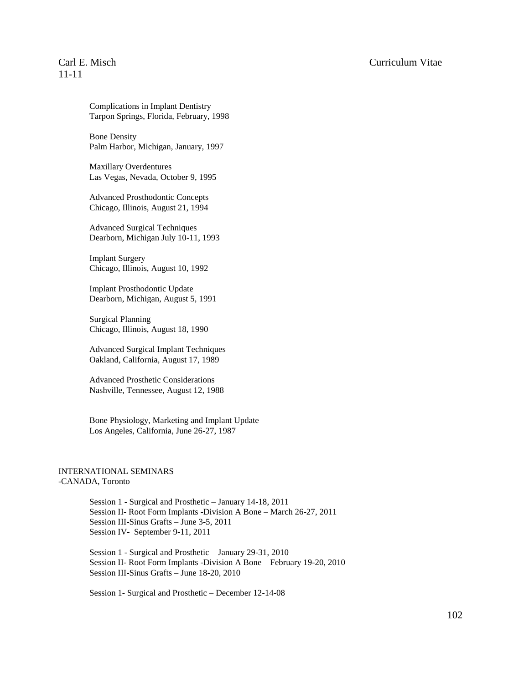# 11-11

Complications in Implant Dentistry Tarpon Springs, Florida, February, 1998

Bone Density Palm Harbor, Michigan, January, 1997

Maxillary Overdentures Las Vegas, Nevada, October 9, 1995

Advanced Prosthodontic Concepts Chicago, Illinois, August 21, 1994

Advanced Surgical Techniques Dearborn, Michigan July 10-11, 1993

Implant Surgery Chicago, Illinois, August 10, 1992

Implant Prosthodontic Update Dearborn, Michigan, August 5, 1991

Surgical Planning Chicago, Illinois, August 18, 1990

Advanced Surgical Implant Techniques Oakland, California, August 17, 1989

Advanced Prosthetic Considerations Nashville, Tennessee, August 12, 1988

Bone Physiology, Marketing and Implant Update Los Angeles, California, June 26-27, 1987

### INTERNATIONAL SEMINARS -CANADA, Toronto

Session 1 - Surgical and Prosthetic – January 14-18, 2011 Session II- Root Form Implants -Division A Bone – March 26-27, 2011 Session III-Sinus Grafts – June 3-5, 2011 Session IV- September 9-11, 2011

Session 1 - Surgical and Prosthetic – January 29-31, 2010 Session II- Root Form Implants -Division A Bone – February 19-20, 2010 Session III-Sinus Grafts – June 18-20, 2010

Session 1- Surgical and Prosthetic – December 12-14-08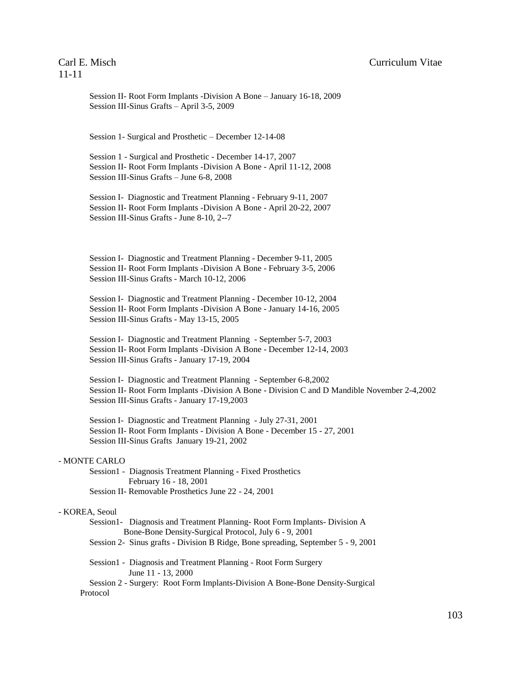Session II- Root Form Implants -Division A Bone – January 16-18, 2009 Session III-Sinus Grafts – April 3-5, 2009

Session 1- Surgical and Prosthetic – December 12-14-08

Session 1 - Surgical and Prosthetic - December 14-17, 2007 Session II- Root Form Implants -Division A Bone - April 11-12, 2008 Session III-Sinus Grafts – June 6-8, 2008

Session I- Diagnostic and Treatment Planning - February 9-11, 2007 Session II- Root Form Implants -Division A Bone - April 20-22, 2007 Session III-Sinus Grafts - June 8-10, 2--7

Session I- Diagnostic and Treatment Planning - December 9-11, 2005 Session II- Root Form Implants -Division A Bone - February 3-5, 2006 Session III-Sinus Grafts - March 10-12, 2006

Session I- Diagnostic and Treatment Planning - December 10-12, 2004 Session II- Root Form Implants -Division A Bone - January 14-16, 2005 Session III-Sinus Grafts - May 13-15, 2005

Session I- Diagnostic and Treatment Planning - September 5-7, 2003 Session II- Root Form Implants -Division A Bone - December 12-14, 2003 Session III-Sinus Grafts - January 17-19, 2004

Session I- Diagnostic and Treatment Planning - September 6-8,2002 Session II- Root Form Implants -Division A Bone - Division C and D Mandible November 2-4,2002 Session III-Sinus Grafts - January 17-19,2003

Session I- Diagnostic and Treatment Planning - July 27-31, 2001 Session II- Root Form Implants - Division A Bone - December 15 - 27, 2001 Session III-Sinus Grafts January 19-21, 2002

### - MONTE CARLO

Session1 - Diagnosis Treatment Planning - Fixed Prosthetics February 16 - 18, 2001 Session II- Removable Prosthetics June 22 - 24, 2001

### - KOREA, Seoul

Session1- Diagnosis and Treatment Planning- Root Form Implants- Division A Bone-Bone Density-Surgical Protocol, July 6 - 9, 2001

Session 2- Sinus grafts - Division B Ridge, Bone spreading, September 5 - 9, 2001

Session1 - Diagnosis and Treatment Planning - Root Form Surgery June 11 - 13, 2000

Session 2 - Surgery: Root Form Implants-Division A Bone-Bone Density-Surgical Protocol